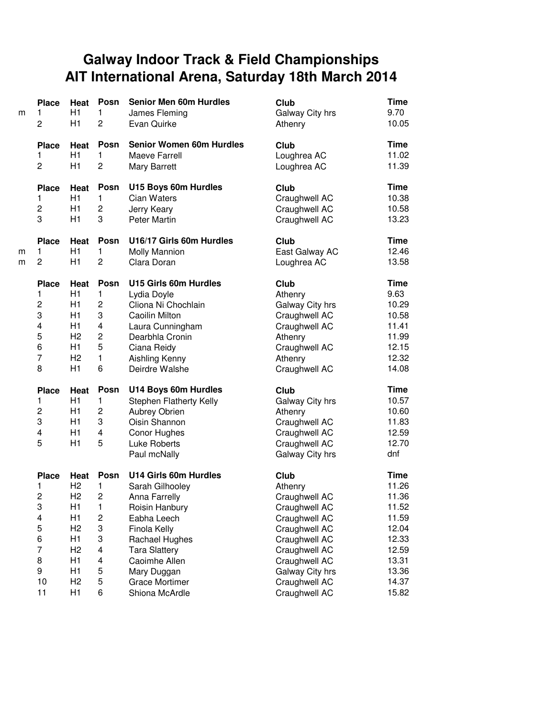## **Galway Indoor Track & Field Championships AIT International Arena, Saturday 18th March 2014**

| m | <b>Place</b><br>$\mathbf{1}$<br>$\overline{c}$ | Heat<br>H1<br>H1     | Posn<br>$\mathbf{1}$<br>$\overline{2}$ | <b>Senior Men 60m Hurdles</b><br>James Fleming<br>Evan Quirke    | Club<br>Galway City hrs<br>Athenry | <b>Time</b><br>9.70<br>10.05  |
|---|------------------------------------------------|----------------------|----------------------------------------|------------------------------------------------------------------|------------------------------------|-------------------------------|
|   | <b>Place</b><br>1<br>2                         | Heat<br>H1<br>H1     | <b>Posn</b><br>1<br>$\overline{c}$     | <b>Senior Women 60m Hurdles</b><br>Maeve Farrell<br>Mary Barrett | Club<br>Loughrea AC<br>Loughrea AC | <b>Time</b><br>11.02<br>11.39 |
|   | <b>Place</b>                                   | Heat                 | Posn                                   | U15 Boys 60m Hurdles                                             | Club                               | <b>Time</b>                   |
|   | 1                                              | H1                   | 1                                      | <b>Cian Waters</b>                                               | Craughwell AC                      | 10.38                         |
|   | $\overline{c}$                                 | H1                   | $\overline{c}$                         | Jerry Keary                                                      | Craughwell AC                      | 10.58                         |
|   | 3                                              | H1                   | 3                                      | <b>Peter Martin</b>                                              | Craughwell AC                      | 13.23                         |
|   | <b>Place</b>                                   | Heat                 | Posn                                   | U16/17 Girls 60m Hurdles                                         | Club                               | <b>Time</b>                   |
| m | 1                                              | H1                   | 1                                      | <b>Molly Mannion</b>                                             | East Galway AC                     | 12.46                         |
| m | $\overline{2}$                                 | H1                   | 2                                      | Clara Doran                                                      | Loughrea AC                        | 13.58                         |
|   | <b>Place</b>                                   | Heat                 | Posn                                   | U15 Girls 60m Hurdles                                            | Club                               | <b>Time</b>                   |
|   | 1                                              | H1                   | 1                                      | Lydia Doyle                                                      | Athenry                            | 9.63                          |
|   | $\overline{c}$                                 | H1                   | $\overline{c}$                         | Cliona Ni Chochlain                                              | Galway City hrs                    | 10.29                         |
|   | 3                                              | H1                   | 3                                      | Caoilin Milton                                                   | Craughwell AC                      | 10.58                         |
|   | $\overline{\mathbf{4}}$<br>5                   | H1<br>H <sub>2</sub> | 4<br>$\overline{c}$                    | Laura Cunningham                                                 | Craughwell AC                      | 11.41<br>11.99                |
|   | 6                                              | H1                   | 5                                      | Dearbhla Cronin                                                  | Athenry<br>Craughwell AC           | 12.15                         |
|   | $\overline{7}$                                 | H <sub>2</sub>       | 1                                      | Ciana Reidy<br>Aishling Kenny                                    | Athenry                            | 12.32                         |
|   | 8                                              | H1                   | 6                                      | Deirdre Walshe                                                   | Craughwell AC                      | 14.08                         |
|   | <b>Place</b>                                   | Heat                 | Posn                                   | U14 Boys 60m Hurdles                                             | Club                               | <b>Time</b>                   |
|   | 1                                              | H1                   | 1                                      | Stephen Flatherty Kelly                                          | Galway City hrs                    | 10.57                         |
|   | $\overline{c}$                                 | H1                   | 2                                      | <b>Aubrey Obrien</b>                                             | Athenry                            | 10.60                         |
|   | 3                                              | H1                   | 3                                      | Oisin Shannon                                                    | Craughwell AC                      | 11.83                         |
|   | 4                                              | H1                   | 4                                      | Conor Hughes                                                     | Craughwell AC                      | 12.59                         |
|   | 5                                              | H1                   | 5                                      | Luke Roberts                                                     | Craughwell AC                      | 12.70                         |
|   |                                                |                      |                                        | Paul mcNally                                                     | Galway City hrs                    | dnf                           |
|   | <b>Place</b>                                   | <b>Heat</b>          | Posn                                   | U14 Girls 60m Hurdles                                            | Club                               | Time                          |
|   | 1                                              | H <sub>2</sub>       | 1                                      | Sarah Gilhooley                                                  | Athenry                            | 11.26                         |
|   | $\overline{c}$                                 | H <sub>2</sub>       | $\overline{c}$                         | Anna Farrelly                                                    | Craughwell AC                      | 11.36                         |
|   | 3                                              | H1                   | $\mathbf{1}$                           | Roisin Hanbury                                                   | Craughwell AC                      | 11.52                         |
|   | $\overline{\mathbf{4}}$                        | H <sub>1</sub>       | $\overline{c}$                         | Eabha Leech                                                      | Craughwell AC                      | 11.59                         |
|   | 5                                              | H <sub>2</sub>       | 3                                      | Finola Kelly                                                     | Craughwell AC                      | 12.04                         |
|   | 6<br>$\overline{7}$                            | H1<br>H <sub>2</sub> | 3<br>$\overline{\mathbf{4}}$           | Rachael Hughes                                                   | Craughwell AC                      | 12.33<br>12.59                |
|   | 8                                              | H1                   | 4                                      | <b>Tara Slattery</b>                                             | Craughwell AC<br>Craughwell AC     | 13.31                         |
|   | 9                                              | H1                   | 5                                      | Caoimhe Allen<br>Mary Duggan                                     | Galway City hrs                    | 13.36                         |
|   | 10                                             | H <sub>2</sub>       | 5                                      | <b>Grace Mortimer</b>                                            | Craughwell AC                      | 14.37                         |
|   | 11                                             | H1                   | 6                                      | Shiona McArdle                                                   | Craughwell AC                      | 15.82                         |
|   |                                                |                      |                                        |                                                                  |                                    |                               |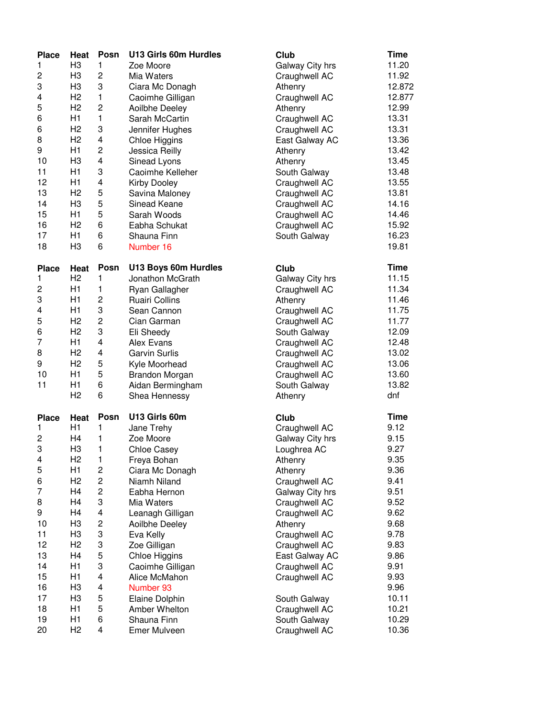| <b>Place</b>   | Heat           | Posn                    | U13 Girls 60m Hurdles | Club            | <b>Time</b> |
|----------------|----------------|-------------------------|-----------------------|-----------------|-------------|
| 1              | H <sub>3</sub> | 1                       | Zoe Moore             | Galway City hrs | 11.20       |
| 2              | H <sub>3</sub> | $\overline{c}$          | Mia Waters            | Craughwell AC   | 11.92       |
| 3              | H <sub>3</sub> | 3                       | Ciara Mc Donagh       | Athenry         | 12.872      |
| 4              | H2             | $\mathbf{1}$            | Caoimhe Gilligan      | Craughwell AC   | 12.877      |
| 5              | H <sub>2</sub> | $\overline{c}$          | Aoilbhe Deeley        | Athenry         | 12.99       |
| 6              | H1             | $\mathbf{1}$            | Sarah McCartin        | Craughwell AC   | 13.31       |
| 6              | H <sub>2</sub> | 3                       | Jennifer Hughes       | Craughwell AC   | 13.31       |
| 8              | H <sub>2</sub> | 4                       | Chloe Higgins         | East Galway AC  | 13.36       |
| 9              | H1             | $\overline{\mathbf{c}}$ | Jessica Reilly        | Athenry         | 13.42       |
| 10             | H <sub>3</sub> | $\overline{\mathbf{4}}$ | Sinead Lyons          | Athenry         | 13.45       |
| 11             | H1             | 3                       | Caoimhe Kelleher      | South Galway    | 13.48       |
| 12             | H1             | 4                       | Kirby Dooley          | Craughwell AC   | 13.55       |
| 13             | H <sub>2</sub> | 5                       | Savina Maloney        | Craughwell AC   | 13.81       |
| 14             | H <sub>3</sub> | 5                       | Sinead Keane          | Craughwell AC   | 14.16       |
| 15             | H1             | 5                       | Sarah Woods           | Craughwell AC   | 14.46       |
| 16             | H <sub>2</sub> | 6                       |                       | Craughwell AC   | 15.92       |
| 17             | H1             | 6                       | Eabha Schukat         |                 | 16.23       |
|                |                |                         | Shauna Finn           | South Galway    |             |
| 18             | H <sub>3</sub> | 6                       | Number 16             |                 | 19.81       |
| <b>Place</b>   | Heat           | Posn                    | U13 Boys 60m Hurdles  | Club            | <b>Time</b> |
| 1              | H <sub>2</sub> | 1                       | Jonathon McGrath      | Galway City hrs | 11.15       |
| $\overline{c}$ | H1             | 1                       | Ryan Gallagher        | Craughwell AC   | 11.34       |
| 3              | H1             | $\overline{c}$          | <b>Ruairi Collins</b> | Athenry         | 11.46       |
| 4              | H1             | 3                       | Sean Cannon           | Craughwell AC   | 11.75       |
| 5              | H <sub>2</sub> | $\overline{c}$          | Cian Garman           | Craughwell AC   | 11.77       |
| 6              | H <sub>2</sub> | 3                       | Eli Sheedy            | South Galway    | 12.09       |
| 7              | H1             | $\overline{\mathbf{4}}$ | Alex Evans            | Craughwell AC   | 12.48       |
| 8              | H <sub>2</sub> | $\overline{\mathbf{4}}$ | <b>Garvin Surlis</b>  | Craughwell AC   | 13.02       |
| 9              | H <sub>2</sub> | 5                       | Kyle Moorhead         | Craughwell AC   | 13.06       |
| 10             | H1             | 5                       | Brandon Morgan        | Craughwell AC   | 13.60       |
| 11             | H1             | 6                       | Aidan Bermingham      | South Galway    | 13.82       |
|                | H <sub>2</sub> | 6                       | Shea Hennessy         | Athenry         | dnf         |
|                |                |                         |                       |                 |             |
| <b>Place</b>   | Heat           | Posn                    | U13 Girls 60m         | Club            | <b>Time</b> |
| 1              | H1             | $\mathbf{1}$            | Jane Trehy            | Craughwell AC   | 9.12        |
| $\overline{c}$ | H4             | 1                       | Zoe Moore             | Galway City hrs | 9.15        |
| 3              | H <sub>3</sub> | 1                       | <b>Chloe Casey</b>    | Loughrea AC     | 9.27        |
| 4              | H <sub>2</sub> | $\mathbf{1}$            | Freya Bohan           | Athenry         | 9.35        |
| 5              | H1             | $\overline{\mathbf{c}}$ | Ciara Mc Donagh       | Athenry         | 9.36        |
| 6              | H <sub>2</sub> | $\overline{\mathbf{c}}$ | Niamh Niland          | Craughwell AC   | 9.41        |
| 7              | H <sub>4</sub> | $\overline{c}$          | Eabha Hernon          | Galway City hrs | 9.51        |
| 8              | H <sub>4</sub> | 3                       | Mia Waters            | Craughwell AC   | 9.52        |
| 9              | H <sub>4</sub> | 4                       | Leanagh Gilligan      | Craughwell AC   | 9.62        |
| 10             | H <sub>3</sub> | $\overline{c}$          | Aoilbhe Deeley        | Athenry         | 9.68        |
| 11             | H <sub>3</sub> | 3                       | Eva Kelly             | Craughwell AC   | 9.78        |
| 12             | H <sub>2</sub> | 3                       | Zoe Gilligan          | Craughwell AC   | 9.83        |
| 13             | H4             | 5                       | Chloe Higgins         | East Galway AC  | 9.86        |
| 14             | H1             | 3                       | Caoimhe Gilligan      | Craughwell AC   | 9.91        |
| 15             | H1             | 4                       | Alice McMahon         | Craughwell AC   | 9.93        |
| 16             | H <sub>3</sub> | 4                       | Number 93             |                 | 9.96        |
| 17             | H <sub>3</sub> | 5                       | Elaine Dolphin        | South Galway    | 10.11       |
| 18             | H1             | 5                       | Amber Whelton         | Craughwell AC   | 10.21       |
| 19             | H1             | 6                       | Shauna Finn           | South Galway    | 10.29       |
| 20             | H <sub>2</sub> | $\overline{\mathbf{4}}$ | Emer Mulveen          | Craughwell AC   | 10.36       |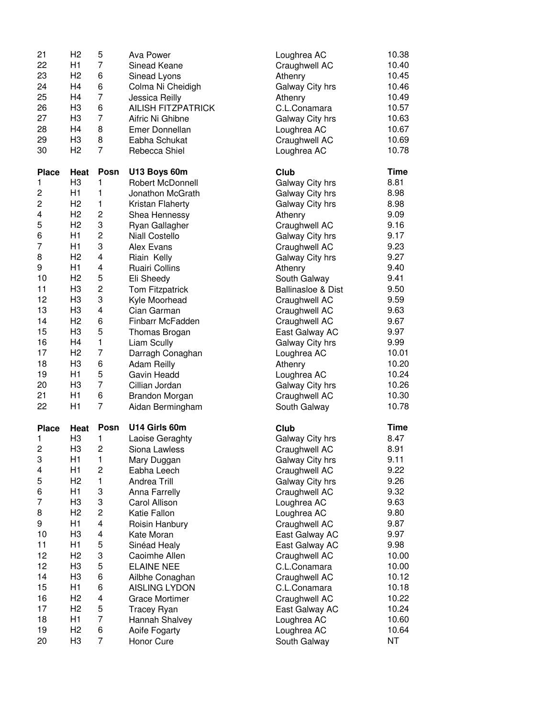| 21                      | H <sub>2</sub>         | 5              | Ava Power                              | Loughrea AC                   | 10.38       |
|-------------------------|------------------------|----------------|----------------------------------------|-------------------------------|-------------|
| 22                      | H1                     | $\overline{7}$ | Sinead Keane                           | Craughwell AC                 | 10.40       |
| 23                      | H <sub>2</sub>         | 6              | Sinead Lyons                           | Athenry                       | 10.45       |
| 24                      | H4                     | 6              | Colma Ni Cheidigh                      | Galway City hrs               | 10.46       |
| 25                      | H <sub>4</sub>         | $\overline{7}$ | Jessica Reilly                         | Athenry                       | 10.49       |
| 26                      | H <sub>3</sub>         | 6              | <b>AILISH FITZPATRICK</b>              | C.L.Conamara                  | 10.57       |
| 27                      | H <sub>3</sub>         | $\overline{7}$ | Aifric Ni Ghibne                       | Galway City hrs               | 10.63       |
| 28                      | H <sub>4</sub>         | 8              | Emer Donnellan                         | Loughrea AC                   | 10.67       |
| 29                      | H <sub>3</sub>         | 8              | Eabha Schukat                          | Craughwell AC                 | 10.69       |
| 30                      | H <sub>2</sub>         | $\overline{7}$ | Rebecca Shiel                          | Loughrea AC                   | 10.78       |
|                         |                        | Posn           | U13 Boys 60m                           | Club                          | <b>Time</b> |
| <b>Place</b><br>1       | Heat<br>H <sub>3</sub> | 1              |                                        | Galway City hrs               | 8.81        |
| $\overline{\mathbf{c}}$ | H1                     | 1              | Robert McDonnell<br>Jonathon McGrath   | Galway City hrs               | 8.98        |
| $\overline{c}$          | H <sub>2</sub>         | $\mathbf{1}$   | Kristan Flaherty                       | Galway City hrs               | 8.98        |
| 4                       | H <sub>2</sub>         | $\overline{c}$ | Shea Hennessy                          | Athenry                       | 9.09        |
| 5                       | H <sub>2</sub>         | 3              | Ryan Gallagher                         | Craughwell AC                 | 9.16        |
| 6                       | H1                     | $\overline{c}$ | <b>Niall Costello</b>                  | Galway City hrs               | 9.17        |
| 7                       | H1                     | 3              | Alex Evans                             | Craughwell AC                 | 9.23        |
| 8                       | H <sub>2</sub>         | 4              | Riain Kelly                            | Galway City hrs               | 9.27        |
| 9                       | H1                     | 4              | <b>Ruairi Collins</b>                  | Athenry                       | 9.40        |
| 10                      | H <sub>2</sub>         | 5              | Eli Sheedy                             | South Galway                  | 9.41        |
| 11                      | H <sub>3</sub>         | 2              | Tom Fitzpatrick                        | <b>Ballinasloe &amp; Dist</b> | 9.50        |
| 12                      | H <sub>3</sub>         | 3              | Kyle Moorhead                          | Craughwell AC                 | 9.59        |
| 13                      | H <sub>3</sub>         | 4              | Cian Garman                            | Craughwell AC                 | 9.63        |
| 14                      | H <sub>2</sub>         | 6              | Finbarr McFadden                       | Craughwell AC                 | 9.67        |
| 15                      | H <sub>3</sub>         | 5              |                                        | East Galway AC                | 9.97        |
| 16                      | H4                     | $\mathbf{1}$   | Thomas Brogan<br>Liam Scully           | Galway City hrs               | 9.99        |
| 17                      | H <sub>2</sub>         | $\overline{7}$ |                                        | Loughrea AC                   | 10.01       |
| 18                      | H <sub>3</sub>         | 6              | Darragh Conaghan<br><b>Adam Reilly</b> | Athenry                       | 10.20       |
| 19                      | H1                     | 5              | Gavin Headd                            | Loughrea AC                   | 10.24       |
| 20                      | H <sub>3</sub>         | $\overline{7}$ | Cillian Jordan                         | Galway City hrs               | 10.26       |
| 21                      | H1                     | 6              | <b>Brandon Morgan</b>                  | Craughwell AC                 | 10.30       |
| 22                      | H1                     | $\overline{7}$ | Aidan Bermingham                       | South Galway                  | 10.78       |
|                         |                        |                |                                        |                               |             |
| <b>Place</b>            | Heat                   | Posn           | U14 Girls 60m                          | Club                          | <b>Time</b> |
| 1                       | H <sub>3</sub>         | 1.             | Laoise Geraghty                        | Galway City hrs               | 8.47        |
| 2                       | H3                     | $\overline{c}$ | Siona Lawless                          | Craughwell AC                 | 8.91        |
| 3                       | H1                     | 1              | Mary Duggan                            | Galway City hrs               | 9.11        |
| 4                       | H1                     | $\overline{c}$ | Eabha Leech                            | Craughwell AC                 | 9.22        |
| 5                       | H <sub>2</sub>         | $\mathbf{1}$   | <b>Andrea Trill</b>                    | Galway City hrs               | 9.26        |
| 6                       | H1                     | 3              | Anna Farrelly                          | Craughwell AC                 | 9.32        |
| 7                       | H <sub>3</sub>         | 3              | Carol Allison                          | Loughrea AC                   | 9.63        |
| 8                       | H2                     | $\overline{c}$ | Katie Fallon                           | Loughrea AC                   | 9.80        |
| 9                       | H1                     | 4              | Roisin Hanbury                         | Craughwell AC                 | 9.87        |
| 10                      | H <sub>3</sub>         | 4              | Kate Moran                             | East Galway AC                | 9.97        |
| 11                      | H1                     | 5              | Sinéad Healy                           | East Galway AC                | 9.98        |
| 12                      | H <sub>2</sub>         | 3              | Caoimhe Allen                          | Craughwell AC                 | 10.00       |
| 12                      | H <sub>3</sub>         | 5              | <b>ELAINE NEE</b>                      | C.L.Conamara                  | 10.00       |
| 14                      | H <sub>3</sub>         | 6              | Ailbhe Conaghan                        | Craughwell AC                 | 10.12       |
| 15                      | H1                     | 6              | <b>AISLING LYDON</b>                   | C.L.Conamara                  | 10.18       |
| 16                      | H <sub>2</sub>         | 4              | <b>Grace Mortimer</b>                  | Craughwell AC                 | 10.22       |
| 17                      | H <sub>2</sub>         | 5              | <b>Tracey Ryan</b>                     | East Galway AC                | 10.24       |
| 18                      | H1                     | $\overline{7}$ | Hannah Shalvey                         | Loughrea AC                   | 10.60       |
| 19<br>20                | H <sub>2</sub>         | 6              | Aoife Fogarty                          | Loughrea AC                   | 10.64       |
|                         | H <sub>3</sub>         | $\overline{7}$ | Honor Cure                             | South Galway                  | ΝT          |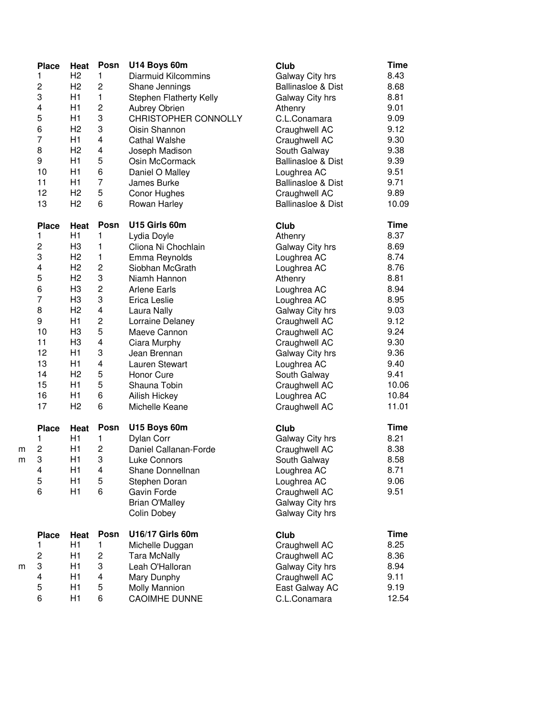|   | <b>Place</b>            | Heat           | Posn                    | U14 Boys 60m                   | Club                          | <b>Time</b> |
|---|-------------------------|----------------|-------------------------|--------------------------------|-------------------------------|-------------|
|   | 1                       | H <sub>2</sub> | $\mathbf{1}$            | <b>Diarmuid Kilcommins</b>     | Galway City hrs               | 8.43        |
|   | $\overline{c}$          | H <sub>2</sub> | $\overline{c}$          | Shane Jennings                 | <b>Ballinasloe &amp; Dist</b> | 8.68        |
|   | 3                       | H1             | $\mathbf{1}$            | <b>Stephen Flatherty Kelly</b> | Galway City hrs               | 8.81        |
|   | 4                       | H1             | $\overline{c}$          | <b>Aubrey Obrien</b>           | Athenry                       | 9.01        |
|   | 5                       | H1             | 3                       | CHRISTOPHER CONNOLLY           | C.L.Conamara                  | 9.09        |
|   | 6                       | H <sub>2</sub> | 3                       | Oisin Shannon                  | Craughwell AC                 | 9.12        |
|   | $\overline{7}$          | H1             | 4                       | <b>Cathal Walshe</b>           | Craughwell AC                 | 9.30        |
|   | 8                       | H2             | 4                       | Joseph Madison                 | South Galway                  | 9.38        |
|   | 9                       | H1             | 5                       | Osin McCormack                 | <b>Ballinasloe &amp; Dist</b> | 9.39        |
|   | 10                      | H1             | 6                       | Daniel O Malley                | Loughrea AC                   | 9.51        |
|   | 11                      | H1             | $\overline{7}$          | James Burke                    | <b>Ballinasloe &amp; Dist</b> | 9.71        |
|   | 12                      | H <sub>2</sub> | 5                       | Conor Hughes                   | Craughwell AC                 | 9.89        |
|   | 13                      | H <sub>2</sub> | 6                       | Rowan Harley                   | <b>Ballinasloe &amp; Dist</b> | 10.09       |
|   | <b>Place</b>            | Heat           | Posn                    | U15 Girls 60m                  | Club                          | <b>Time</b> |
|   | 1                       | H1             | 1                       | Lydia Doyle                    | Athenry                       | 8.37        |
|   | 2                       | H <sub>3</sub> | 1                       | Cliona Ni Chochlain            | Galway City hrs               | 8.69        |
|   | 3                       | H2             | 1                       | Emma Reynolds                  | Loughrea AC                   | 8.74        |
|   | $\overline{\mathbf{4}}$ | H2             | $\overline{c}$          | Siobhan McGrath                | Loughrea AC                   | 8.76        |
|   | 5                       | H2             | 3                       | Niamh Hannon                   | Athenry                       | 8.81        |
|   | 6                       | H <sub>3</sub> | $\overline{c}$          | <b>Arlene Earls</b>            | Loughrea AC                   | 8.94        |
|   | $\overline{7}$          | H <sub>3</sub> | 3                       | <b>Erica Leslie</b>            | Loughrea AC                   | 8.95        |
|   | 8                       | H2             | $\overline{\mathbf{4}}$ | Laura Nally                    | Galway City hrs               | 9.03        |
|   | 9                       | H1             | $\overline{c}$          | Lorraine Delaney               | Craughwell AC                 | 9.12        |
|   | 10                      | H <sub>3</sub> | 5                       | Maeve Cannon                   | Craughwell AC                 | 9.24        |
|   | 11                      | H <sub>3</sub> | $\overline{\mathbf{4}}$ | Ciara Murphy                   | Craughwell AC                 | 9.30        |
|   | 12                      | H1             | 3                       | Jean Brennan                   | Galway City hrs               | 9.36        |
|   | 13                      | H1             | 4                       | Lauren Stewart                 | Loughrea AC                   | 9.40        |
|   | 14                      | H <sub>2</sub> | 5                       | Honor Cure                     | South Galway                  | 9.41        |
|   | 15                      | H1             | 5                       | Shauna Tobin                   | Craughwell AC                 | 10.06       |
|   | 16                      | H1             | 6                       | Ailish Hickey                  | Loughrea AC                   | 10.84       |
|   | 17                      | H2             | 6                       | Michelle Keane                 | Craughwell AC                 | 11.01       |
|   | <b>Place</b>            | Heat           | Posn                    | U15 Boys 60m                   | Club                          | <b>Time</b> |
|   | 1                       | H1             | 1                       | Dylan Corr                     | Galway City hrs               | 8.21        |
| m | $\overline{c}$          | H1             | $\overline{c}$          | Daniel Callanan-Forde          | Craughwell AC                 | 8.38        |
| m | 3                       | H1             | 3                       | Luke Connors                   | South Galway                  | 8.58        |
|   | 4                       | H1             | 4                       | Shane Donnellnan               | Loughrea AC                   | 8.71        |
|   | 5                       | H1             | 5                       | Stephen Doran                  | Loughrea AC                   | 9.06        |
|   | 6                       | H1             | 6                       | Gavin Forde                    | Craughwell AC                 | 9.51        |
|   |                         |                |                         | <b>Brian O'Malley</b>          | Galway City hrs               |             |
|   |                         |                |                         | <b>Colin Dobey</b>             | Galway City hrs               |             |
|   | <b>Place</b>            | Heat           | Posn                    | U16/17 Girls 60m               | Club                          | <b>Time</b> |
|   | 1                       | H1             | 1                       | Michelle Duggan                | Craughwell AC                 | 8.25        |
|   | $\overline{c}$          | H1             | $\overline{\mathbf{c}}$ | <b>Tara McNally</b>            | Craughwell AC                 | 8.36        |
| m | 3                       | H1             | 3                       | Leah O'Halloran                | Galway City hrs               | 8.94        |
|   | $\overline{\mathbf{4}}$ | H1             | 4                       | Mary Dunphy                    | Craughwell AC                 | 9.11        |
|   | 5                       | H1             | 5                       | <b>Molly Mannion</b>           | East Galway AC                | 9.19        |
|   | 6                       | H1             | 6                       | <b>CAOIMHE DUNNE</b>           | C.L.Conamara                  | 12.54       |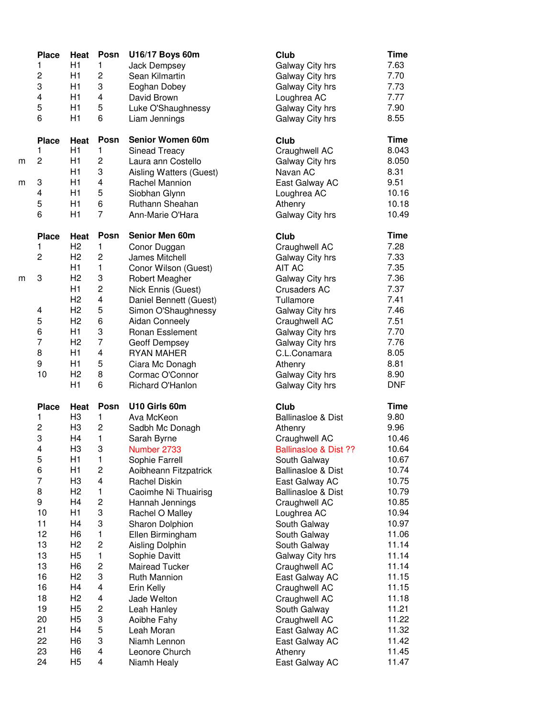|   | <b>Place</b>     | Heat           | Posn                    | U16/17 Boys 60m         | Club                             | <b>Time</b> |
|---|------------------|----------------|-------------------------|-------------------------|----------------------------------|-------------|
|   | $\mathbf{1}$     | H1             | 1                       | <b>Jack Dempsey</b>     | Galway City hrs                  | 7.63        |
|   | $\overline{c}$   | H1             | $\overline{c}$          | Sean Kilmartin          | Galway City hrs                  | 7.70        |
|   | 3                | H1             | 3                       | Eoghan Dobey            | Galway City hrs                  | 7.73        |
|   | 4                | H1             | 4                       | David Brown             | Loughrea AC                      | 7.77        |
|   | 5                | H1             | 5                       | Luke O'Shaughnessy      | Galway City hrs                  | 7.90        |
|   | 6                | H1             | 6                       | Liam Jennings           | Galway City hrs                  | 8.55        |
|   | <b>Place</b>     | Heat           | Posn                    | Senior Women 60m        | Club                             | <b>Time</b> |
|   | $\mathbf{1}$     | H1             | 1                       | <b>Sinead Treacy</b>    | Craughwell AC                    | 8.043       |
| m | $\overline{c}$   | H1             | 2                       | Laura ann Costello      | Galway City hrs                  | 8.050       |
|   |                  | H1             | 3                       | Aisling Watters (Guest) | Navan AC                         | 8.31        |
| m | 3                | H1             | 4                       | Rachel Mannion          | East Galway AC                   | 9.51        |
|   | 4                | H1             | 5                       | Siobhan Glynn           | Loughrea AC                      | 10.16       |
|   | 5                | H1             | 6                       | Ruthann Sheahan         | Athenry                          | 10.18       |
|   | 6                | H1             | $\overline{7}$          | Ann-Marie O'Hara        | Galway City hrs                  | 10.49       |
|   | <b>Place</b>     | Heat           | Posn                    | Senior Men 60m          | Club                             | <b>Time</b> |
|   | 1                | H <sub>2</sub> | 1                       | Conor Duggan            | Craughwell AC                    | 7.28        |
|   | $\overline{c}$   | H <sub>2</sub> | 2                       | James Mitchell          | Galway City hrs                  | 7.33        |
|   |                  | H1             | 1                       | Conor Wilson (Guest)    | AIT AC                           | 7.35        |
| m | 3                | H <sub>2</sub> | 3                       | Robert Meagher          | Galway City hrs                  | 7.36        |
|   |                  | H1             | $\overline{c}$          | Nick Ennis (Guest)      | <b>Crusaders AC</b>              | 7.37        |
|   |                  | H <sub>2</sub> | 4                       | Daniel Bennett (Guest)  | Tullamore                        | 7.41        |
|   | 4                | H2             | 5                       | Simon O'Shaughnessy     | Galway City hrs                  | 7.46        |
|   | 5                | H <sub>2</sub> | 6                       | <b>Aidan Conneely</b>   | Craughwell AC                    | 7.51        |
|   | 6                | H1             | 3                       | Ronan Esslement         | Galway City hrs                  | 7.70        |
|   | $\boldsymbol{7}$ | H <sub>2</sub> | $\overline{7}$          | Geoff Dempsey           | Galway City hrs                  | 7.76        |
|   | 8                | H1             | 4                       | <b>RYAN MAHER</b>       | C.L.Conamara                     | 8.05        |
|   | 9                | H1             | 5                       | Ciara Mc Donagh         | Athenry                          | 8.81        |
|   | 10               | H <sub>2</sub> | 8                       | Cormac O'Connor         | Galway City hrs                  | 8.90        |
|   |                  | H1             | 6                       | Richard O'Hanlon        | Galway City hrs                  | <b>DNF</b>  |
|   | <b>Place</b>     | Heat           | Posn                    | U10 Girls 60m           | Club                             | <b>Time</b> |
|   | $\mathbf{1}$     | H <sub>3</sub> | 1                       | Ava McKeon              | <b>Ballinasloe &amp; Dist</b>    | 9.80        |
|   | $\overline{c}$   | H <sub>3</sub> | 2                       | Sadbh Mc Donagh         | Athenry                          | 9.96        |
|   | 3                | H <sub>4</sub> | 1                       | Sarah Byrne             | Craughwell AC                    | 10.46       |
|   | 4                | H <sub>3</sub> | 3                       | Number 2733             | <b>Ballinasloe &amp; Dist ??</b> | 10.64       |
|   | 5                | H1             | 1                       | Sophie Farrell          | South Galway                     | 10.67       |
|   | 6                | H1             | 2                       | Aoibheann Fitzpatrick   | <b>Ballinasloe &amp; Dist</b>    | 10.74       |
|   | $\overline{7}$   | H <sub>3</sub> | 4                       | Rachel Diskin           | East Galway AC                   | 10.75       |
|   | 8                | H <sub>2</sub> | 1                       | Caoimhe Ni Thuairisg    | <b>Ballinasloe &amp; Dist</b>    | 10.79       |
|   | 9                | H <sub>4</sub> | 2                       | Hannah Jennings         | Craughwell AC                    | 10.85       |
|   | 10               | H1             | 3                       | Rachel O Malley         | Loughrea AC                      | 10.94       |
|   | 11               | H <sub>4</sub> | 3                       | Sharon Dolphion         | South Galway                     | 10.97       |
|   | 12               | H <sub>6</sub> | $\mathbf{1}$            | Ellen Birmingham        | South Galway                     | 11.06       |
|   | 13               | H <sub>2</sub> | $\overline{c}$          | Aisling Dolphin         | South Galway                     | 11.14       |
|   | 13               | H <sub>5</sub> | $\mathbf{1}$            | Sophie Davitt           | Galway City hrs                  | 11.14       |
|   | 13               | H <sub>6</sub> | $\overline{\mathbf{c}}$ | Mairead Tucker          | Craughwell AC                    | 11.14       |
|   | 16               | H <sub>2</sub> | 3                       | Ruth Mannion            | East Galway AC                   | 11.15       |
|   | 16               | H4             | 4                       | Erin Kelly              | Craughwell AC                    | 11.15       |
|   | 18               | H <sub>2</sub> | 4                       | Jade Welton             | Craughwell AC                    | 11.18       |
|   | 19               | H <sub>5</sub> | $\overline{c}$          | Leah Hanley             | South Galway                     | 11.21       |
|   | 20               | H <sub>5</sub> | 3                       | Aoibhe Fahy             | Craughwell AC                    | 11.22       |
|   | 21               | H4             | 5                       | Leah Moran              | East Galway AC                   | 11.32       |
|   | 22               | H <sub>6</sub> | 3                       | Niamh Lennon            | East Galway AC                   | 11.42       |
|   | 23               | H <sub>6</sub> | 4                       | Leonore Church          | Athenry                          | 11.45       |
|   | 24               | H <sub>5</sub> | 4                       | Niamh Healy             | East Galway AC                   | 11.47       |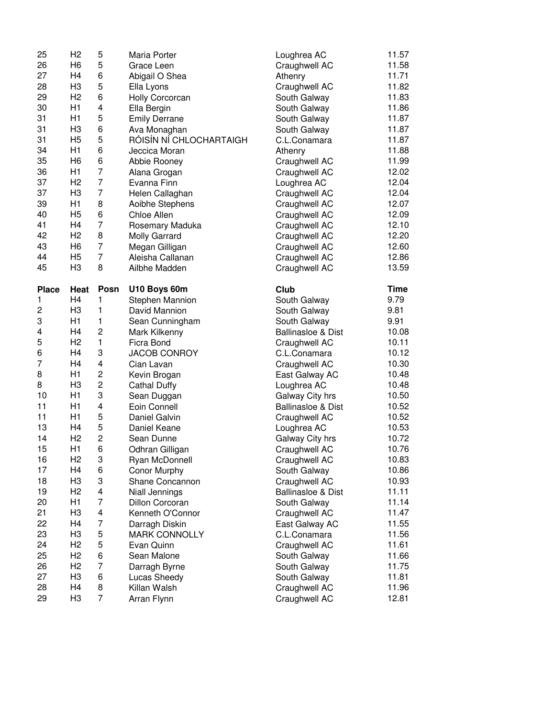| 25                  | H <sub>2</sub> | 5                       | Maria Porter                | Loughrea AC                    | 11.57          |
|---------------------|----------------|-------------------------|-----------------------------|--------------------------------|----------------|
| 26                  | H <sub>6</sub> | 5                       | Grace Leen                  | Craughwell AC                  | 11.58          |
| 27                  | H4             | 6                       | Abigail O Shea              | Athenry                        | 11.71          |
| 28                  | H <sub>3</sub> | 5                       | Ella Lyons                  | Craughwell AC                  | 11.82          |
| 29                  | H <sub>2</sub> | 6                       | Holly Corcorcan             | South Galway                   | 11.83          |
| 30                  | H1             | 4                       | Ella Bergin                 | South Galway                   | 11.86          |
| 31                  | H1             | 5                       | <b>Emily Derrane</b>        | South Galway                   | 11.87          |
| 31                  | H <sub>3</sub> | 6                       | Ava Monaghan                | South Galway                   | 11.87          |
| 31                  | H <sub>5</sub> | 5                       | RÓISÍN NÍ CHLOCHARTAIGH     | C.L.Conamara                   | 11.87          |
| 34                  | H1             | 6                       | Jeccica Moran               | Athenry                        | 11.88          |
| 35                  | H <sub>6</sub> | 6                       | Abbie Rooney                | Craughwell AC                  | 11.99          |
| 36                  | H1             | $\overline{7}$          | Alana Grogan                | Craughwell AC                  | 12.02          |
| 37                  | H <sub>2</sub> | $\overline{7}$          | Evanna Finn                 | Loughrea AC                    | 12.04          |
| 37                  | H <sub>3</sub> | $\overline{7}$          | Helen Callaghan             |                                | 12.04          |
| 39                  | H1             | 8                       |                             | Craughwell AC                  | 12.07          |
|                     |                |                         | Aoibhe Stephens             | Craughwell AC                  |                |
| 40                  | H <sub>5</sub> | 6                       | Chloe Allen                 | Craughwell AC                  | 12.09          |
| 41                  | H <sub>4</sub> | $\overline{7}$          | Rosemary Maduka             | Craughwell AC                  | 12.10          |
| 42                  | H <sub>2</sub> | 8                       | Molly Garrard               | Craughwell AC                  | 12.20          |
| 43                  | H <sub>6</sub> | $\overline{7}$          | Megan Gilligan              | Craughwell AC                  | 12.60          |
| 44                  | H <sub>5</sub> | $\overline{7}$          | Aleisha Callanan            | Craughwell AC                  | 12.86          |
| 45                  | H <sub>3</sub> | 8                       | Ailbhe Madden               | Craughwell AC                  | 13.59          |
| <b>Place</b>        | Heat           | Posn                    | U10 Boys 60m                | Club                           | <b>Time</b>    |
| $\mathbf{1}$        | H <sub>4</sub> | 1                       | Stephen Mannion             | South Galway                   | 9.79           |
| 2                   | H <sub>3</sub> | $\mathbf{1}$            | David Mannion               | South Galway                   | 9.81           |
| 3                   | H1             | 1                       | Sean Cunningham             | South Galway                   | 9.91           |
|                     |                |                         |                             |                                |                |
| 4                   | H4             | $\overline{c}$          | Mark Kilkenny               | <b>Ballinasloe &amp; Dist</b>  | 10.08          |
| 5                   | H <sub>2</sub> | $\mathbf{1}$            | Ficra Bond                  |                                | 10.11          |
|                     | H <sub>4</sub> |                         |                             | Craughwell AC                  | 10.12          |
| 6<br>$\overline{7}$ | H <sub>4</sub> | 3<br>4                  | JACOB CONROY                | C.L.Conamara                   |                |
|                     | H1             |                         | Cian Lavan                  | Craughwell AC                  | 10.30          |
| 8                   |                | 2                       | Kevin Brogan                | East Galway AC                 | 10.48          |
| 8                   | H3             | $\overline{c}$          | <b>Cathal Duffy</b>         | Loughrea AC                    | 10.48          |
| 10                  | H1             | 3                       | Sean Duggan                 | Galway City hrs                | 10.50          |
| 11                  | H1             | 4                       | Eoin Connell                | <b>Ballinasloe &amp; Dist</b>  | 10.52          |
| 11                  | H1             | 5                       | Daniel Galvin               | Craughwell AC                  | 10.52          |
| 13                  | H <sub>4</sub> | 5                       | Daniel Keane                | Loughrea AC                    | 10.53          |
| 14                  | H <sub>2</sub> | $\overline{c}$          | Sean Dunne                  | Galway City hrs                | 10.72          |
| 15                  | H1             | 6                       | Odhran Gilligan             | Craughwell AC                  | 10.76          |
| 16                  | H2             | 3                       | Ryan McDonnell              | Craughwell AC                  | 10.83          |
| 17                  | H4             | 6                       | Conor Murphy                | South Galway                   | 10.86          |
| 18                  | H <sub>3</sub> | 3                       | Shane Concannon             | Craughwell AC                  | 10.93          |
| 19                  | H <sub>2</sub> | $\overline{\mathbf{4}}$ | Niall Jennings              | Ballinasloe & Dist             | 11.11          |
| 20                  | H1             | $\overline{7}$          | Dillon Corcoran             | South Galway                   | 11.14          |
| 21                  | H <sub>3</sub> | $\overline{\mathbf{4}}$ | Kenneth O'Connor            | Craughwell AC                  | 11.47          |
| 22                  | H4             | $\overline{7}$          | Darragh Diskin              | East Galway AC                 | 11.55          |
| 23                  | H <sub>3</sub> | 5                       | <b>MARK CONNOLLY</b>        | C.L.Conamara                   | 11.56          |
| 24                  | H <sub>2</sub> | 5                       | Evan Quinn                  | Craughwell AC                  | 11.61          |
| 25                  | H <sub>2</sub> | 6                       | Sean Malone                 | South Galway                   | 11.66          |
| 26                  | H <sub>2</sub> | $\overline{7}$          | Darragh Byrne               | South Galway                   | 11.75          |
| 27                  | H <sub>3</sub> | 6                       | Lucas Sheedy                | South Galway                   | 11.81          |
| 28<br>29            | H4<br>H3       | 8<br>$\overline{7}$     | Killan Walsh<br>Arran Flynn | Craughwell AC<br>Craughwell AC | 11.96<br>12.81 |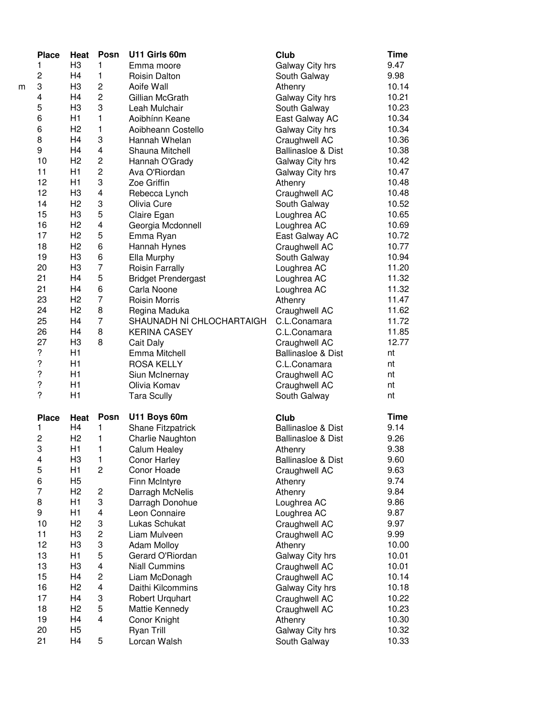| <b>Place</b>            | Heat                 | Posn                    | U11 Girls 60m              | Club                            | <b>Time</b>    |
|-------------------------|----------------------|-------------------------|----------------------------|---------------------------------|----------------|
| 1                       | H <sub>3</sub>       | $\mathbf{1}$            | Emma moore                 | Galway City hrs                 | 9.47           |
| $\overline{\mathbf{c}}$ | H4                   | $\mathbf{1}$            | Roisin Dalton              | South Galway                    | 9.98           |
| 3                       | H <sub>3</sub>       | $\overline{\mathbf{c}}$ | Aoife Wall                 | Athenry                         | 10.14          |
| 4                       | H4                   | $\overline{c}$          | Gillian McGrath            | Galway City hrs                 | 10.21          |
| 5                       | H <sub>3</sub>       | 3                       | Leah Mulchair              | South Galway                    | 10.23          |
| 6                       | H1                   | 1                       | Aoibhínn Keane             | East Galway AC                  | 10.34          |
| 6                       | H <sub>2</sub>       | 1                       | Aoibheann Costello         | Galway City hrs                 | 10.34          |
| 8                       | H4                   | 3                       | Hannah Whelan              | Craughwell AC                   | 10.36          |
| 9                       | H4                   | 4                       | Shauna Mitchell            | <b>Ballinasloe &amp; Dist</b>   | 10.38          |
| 10                      | H <sub>2</sub>       | $\overline{c}$          |                            |                                 | 10.42          |
|                         |                      | $\overline{c}$          | Hannah O'Grady             | Galway City hrs                 |                |
| 11                      | H1                   |                         | Ava O'Riordan              | Galway City hrs                 | 10.47          |
| 12                      | H1                   | 3                       | Zoe Griffin                | Athenry                         | 10.48          |
| 12                      | H <sub>3</sub>       | 4                       | Rebecca Lynch              | Craughwell AC                   | 10.48          |
| 14                      | H <sub>2</sub>       | 3                       | Olivia Cure                | South Galway                    | 10.52          |
| 15                      | H <sub>3</sub>       | 5                       | Claire Egan                | Loughrea AC                     | 10.65          |
| 16                      | H2                   | 4                       | Georgia Mcdonnell          | Loughrea AC                     | 10.69          |
| 17                      | H <sub>2</sub>       | 5                       | Emma Ryan                  | East Galway AC                  | 10.72          |
| 18                      | H <sub>2</sub>       | 6                       | Hannah Hynes               | Craughwell AC                   | 10.77          |
| 19                      | H <sub>3</sub>       | 6                       | Ella Murphy                | South Galway                    | 10.94          |
| 20                      | H <sub>3</sub>       | $\overline{7}$          | Roisin Farrally            | Loughrea AC                     | 11.20          |
| 21                      | H4                   | 5                       | <b>Bridget Prendergast</b> | Loughrea AC                     | 11.32          |
| 21                      | H <sub>4</sub>       | 6                       | Carla Noone                | Loughrea AC                     | 11.32          |
| 23                      | H <sub>2</sub>       | $\overline{7}$          | <b>Roisin Morris</b>       | Athenry                         | 11.47          |
| 24                      | H <sub>2</sub>       | 8                       | Regina Maduka              | Craughwell AC                   | 11.62          |
| 25                      | H4                   | $\overline{7}$          | SHAUNADH NÍ CHLOCHARTAIGH  | C.L.Conamara                    | 11.72          |
| 26                      | H <sub>4</sub>       | 8                       | <b>KERINA CASEY</b>        | C.L.Conamara                    | 11.85          |
| 27                      | H <sub>3</sub>       | 8                       | Cait Daly                  | Craughwell AC                   | 12.77          |
| $\boldsymbol{?}$        | H1                   |                         | Emma Mitchell              | <b>Ballinasloe &amp; Dist</b>   | nt             |
| $\ddot{?}$              | H1                   |                         | <b>ROSA KELLY</b>          | C.L.Conamara                    | nt             |
| $\ddot{?}$              | H1                   |                         | Siun McInernay             | Craughwell AC                   | nt             |
| $\boldsymbol{?}$        | H1                   |                         | Olivia Komav               | Craughwell AC                   | nt             |
| $\overline{?}$          | H1                   |                         |                            | South Galway                    | nt             |
|                         |                      |                         | <b>Tara Scully</b>         |                                 |                |
| <b>Place</b>            | Heat                 | Posn                    | U11 Boys 60m               | Club                            | <b>Time</b>    |
| 1                       | H4                   | 1                       | Shane Fitzpatrick          | <b>Ballinasloe &amp; Dist</b>   | 9.14           |
| $\overline{c}$          | H <sub>2</sub>       | 1                       | Charlie Naughton           | <b>Ballinasloe &amp; Dist</b>   | 9.26           |
| 3                       | H1                   | 1                       | Calum Healey               | Athenry                         | 9.38           |
| 4                       | HЗ                   | 1                       | <b>Conor Harley</b>        | <b>Ballinasloe &amp; Dist</b>   | 9.60           |
| 5                       | H1                   | $\overline{c}$          | Conor Hoade                | Craughwell AC                   | 9.63           |
| 6                       | H <sub>5</sub>       |                         | Finn McIntyre              | Athenry                         | 9.74           |
| $\overline{7}$          | H <sub>2</sub>       | $\overline{\mathbf{c}}$ | Darragh McNelis            | Athenry                         | 9.84           |
| 8                       |                      |                         |                            |                                 |                |
| 9                       |                      |                         |                            |                                 |                |
|                         | H1                   | 3                       | Darragh Donohue            | Loughrea AC                     | 9.86           |
|                         | H1                   | $\overline{\mathbf{4}}$ | Leon Connaire              | Loughrea AC                     | 9.87           |
| 10                      | H <sub>2</sub>       | 3                       | Lukas Schukat              | Craughwell AC                   | 9.97           |
| 11                      | H <sub>3</sub>       | $\overline{c}$          | Liam Mulveen               | Craughwell AC                   | 9.99           |
| 12                      | H <sub>3</sub>       | 3                       | <b>Adam Molloy</b>         | Athenry                         | 10.00          |
| 13                      | H1                   | 5                       | Gerard O'Riordan           | Galway City hrs                 | 10.01          |
| 13                      | H <sub>3</sub>       | $\overline{\mathbf{4}}$ | <b>Niall Cummins</b>       | Craughwell AC                   | 10.01          |
| 15                      | H4                   | $\overline{c}$          | Liam McDonagh              | Craughwell AC                   | 10.14          |
| 16                      | H <sub>2</sub>       | 4                       | Daithi Kilcommins          | Galway City hrs                 | 10.18          |
| 17                      | H4                   | 3                       | Robert Urquhart            | Craughwell AC                   | 10.22          |
| 18                      | H <sub>2</sub>       | 5                       | Mattie Kennedy             | Craughwell AC                   | 10.23          |
| 19                      | H4                   | 4                       | Conor Knight               | Athenry                         | 10.30          |
| 20<br>21                | H <sub>5</sub><br>H4 | 5                       | Ryan Trill<br>Lorcan Walsh | Galway City hrs<br>South Galway | 10.32<br>10.33 |

m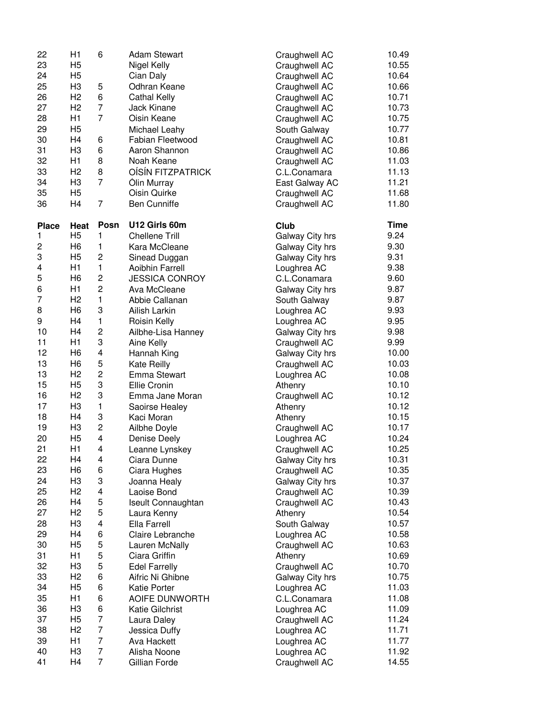| 22           | H1             | 6                       | <b>Adam Stewart</b>   | Craughwell AC   | 10.49       |
|--------------|----------------|-------------------------|-----------------------|-----------------|-------------|
| 23           | H <sub>5</sub> |                         | Nigel Kelly           | Craughwell AC   | 10.55       |
| 24           | H <sub>5</sub> |                         | Cian Daly             | Craughwell AC   | 10.64       |
| 25           | H <sub>3</sub> | 5                       | Odhran Keane          | Craughwell AC   | 10.66       |
| 26           | H <sub>2</sub> | 6                       | Cathal Kelly          | Craughwell AC   | 10.71       |
| 27           | H <sub>2</sub> | $\overline{7}$          | <b>Jack Kinane</b>    | Craughwell AC   | 10.73       |
| 28           | H1             | $\overline{7}$          | Oisin Keane           | Craughwell AC   | 10.75       |
| 29           | H <sub>5</sub> |                         | Michael Leahy         | South Galway    | 10.77       |
| 30           | H <sub>4</sub> | 6                       | Fabian Fleetwood      | Craughwell AC   | 10.81       |
| 31           | H <sub>3</sub> | 6                       | Aaron Shannon         | Craughwell AC   | 10.86       |
| 32           | H1             | 8                       | Noah Keane            |                 | 11.03       |
| 33           | H <sub>2</sub> | 8                       |                       | Craughwell AC   | 11.13       |
|              |                | $\overline{7}$          | OÍSÍN FITZPATRICK     | C.L.Conamara    |             |
| 34           | H <sub>3</sub> |                         | Ólin Murray           | East Galway AC  | 11.21       |
| 35           | H <sub>5</sub> |                         | Oisin Quirke          | Craughwell AC   | 11.68       |
| 36           | H <sub>4</sub> | $\overline{7}$          | <b>Ben Cunniffe</b>   | Craughwell AC   | 11.80       |
| <b>Place</b> | Heat           | Posn                    | U12 Girls 60m         | Club            | <b>Time</b> |
| 1            | H <sub>5</sub> | 1                       | <b>Chellene Trill</b> | Galway City hrs | 9.24        |
| 2            | H <sub>6</sub> | 1                       | Kara McCleane         | Galway City hrs | 9.30        |
| 3            | H <sub>5</sub> | $\overline{c}$          | Sinead Duggan         | Galway City hrs | 9.31        |
| 4            | H1             | $\mathbf{1}$            | Aoibhin Farrell       | Loughrea AC     | 9.38        |
| 5            | H <sub>6</sub> | $\overline{\mathbf{c}}$ | <b>JESSICA CONROY</b> | C.L.Conamara    | 9.60        |
| 6            | H1             | $\overline{\mathbf{c}}$ | Ava McCleane          | Galway City hrs | 9.87        |
| 7            | H <sub>2</sub> | $\mathbf{1}$            | Abbie Callanan        | South Galway    | 9.87        |
| 8            | H <sub>6</sub> | 3                       | Ailish Larkin         | Loughrea AC     | 9.93        |
| 9            | H <sub>4</sub> | 1                       | Roisin Kelly          | Loughrea AC     | 9.95        |
| 10           | H <sub>4</sub> | $\overline{c}$          | Ailbhe-Lisa Hanney    | Galway City hrs | 9.98        |
| 11           | H1             | 3                       | Aine Kelly            | Craughwell AC   | 9.99        |
| 12           | H <sub>6</sub> | 4                       | Hannah King           | Galway City hrs | 10.00       |
| 13           | H <sub>6</sub> | 5                       | Kate Reilly           | Craughwell AC   | 10.03       |
| 13           | H <sub>2</sub> | $\overline{c}$          | Emma Stewart          | Loughrea AC     | 10.08       |
| 15           | H <sub>5</sub> | 3                       | Ellie Cronin          | Athenry         | 10.10       |
| 16           | H <sub>2</sub> | 3                       | Emma Jane Moran       | Craughwell AC   | 10.12       |
| 17           | H <sub>3</sub> | $\mathbf{1}$            | Saoirse Healey        | Athenry         | 10.12       |
| 18           | H <sub>4</sub> | 3                       |                       | Athenry         | 10.15       |
| 19           | H <sub>3</sub> | $\overline{c}$          | Kaci Moran            |                 | 10.17       |
| 20           | H <sub>5</sub> | $\overline{4}$          | Ailbhe Doyle          | Craughwell AC   |             |
|              |                |                         | Denise Deely          | Loughrea AC     | 10.24       |
| 21           | H1             | $\overline{\mathbf{4}}$ | Leanne Lynskey        | Craughwell AC   | 10.25       |
| 22           | H <sub>4</sub> | $\overline{\mathbf{4}}$ | Ciara Dunne           | Galway City hrs | 10.31       |
| 23           | H <sub>6</sub> | 6                       | Ciara Hughes          | Craughwell AC   | 10.35       |
| 24           | H <sub>3</sub> | 3                       | Joanna Healy          | Galway City hrs | 10.37       |
| 25           | H <sub>2</sub> | $\overline{\mathbf{4}}$ | Laoise Bond           | Craughwell AC   | 10.39       |
| 26           | H <sub>4</sub> | 5                       | Iseult Connaughtan    | Craughwell AC   | 10.43       |
| 27           | H <sub>2</sub> | 5                       | Laura Kenny           | Athenry         | 10.54       |
| 28           | H <sub>3</sub> | 4                       | Ella Farrell          | South Galway    | 10.57       |
| 29           | H <sub>4</sub> | 6                       | Claire Lebranche      | Loughrea AC     | 10.58       |
| 30           | H <sub>5</sub> | 5                       | Lauren McNally        | Craughwell AC   | 10.63       |
| 31           | H1             | 5                       | Ciara Griffin         | Athenry         | 10.69       |
| 32           | H <sub>3</sub> | 5                       | <b>Edel Farrelly</b>  | Craughwell AC   | 10.70       |
| 33           | H <sub>2</sub> | 6                       | Aifric Ni Ghibne      | Galway City hrs | 10.75       |
| 34           | H <sub>5</sub> | 6                       | Katie Porter          | Loughrea AC     | 11.03       |
| 35           | H1             | 6                       | AOIFE DUNWORTH        | C.L.Conamara    | 11.08       |
| 36           | H <sub>3</sub> | 6                       | Katie Gilchrist       | Loughrea AC     | 11.09       |
| 37           | H <sub>5</sub> | $\overline{7}$          | Laura Daley           | Craughwell AC   | 11.24       |
| 38           | H <sub>2</sub> | $\overline{7}$          | Jessica Duffy         | Loughrea AC     | 11.71       |
| 39           | H1             | $\overline{7}$          | Ava Hackett           | Loughrea AC     | 11.77       |
| 40           | H <sub>3</sub> | $\overline{7}$          | Alisha Noone          | Loughrea AC     | 11.92       |
| 41           | H <sub>4</sub> | $\overline{7}$          | Gillian Forde         | Craughwell AC   | 14.55       |
|              |                |                         |                       |                 |             |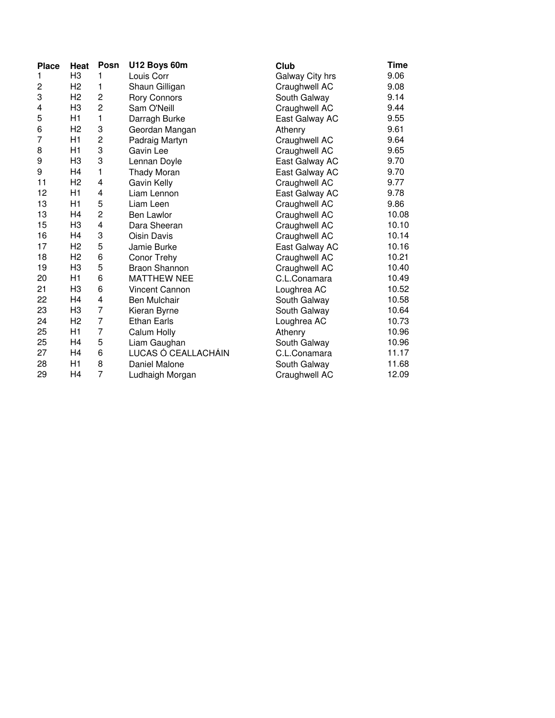| <b>Place</b> | Heat           | Posn           | U12 Boys 60m          | Club            | Time  |
|--------------|----------------|----------------|-----------------------|-----------------|-------|
| 1            | H <sub>3</sub> | 1              | Louis Corr            | Galway City hrs | 9.06  |
| 2            | H <sub>2</sub> | 1              | Shaun Gilligan        | Craughwell AC   | 9.08  |
| 3            | H <sub>2</sub> | $\overline{c}$ | <b>Rory Connors</b>   | South Galway    | 9.14  |
| 4            | H <sub>3</sub> | $\overline{c}$ | Sam O'Neill           | Craughwell AC   | 9.44  |
| 5            | H1             | 1              | Darragh Burke         | East Galway AC  | 9.55  |
| 6            | H <sub>2</sub> | 3              | Geordan Mangan        | Athenry         | 9.61  |
| 7            | H1             | $\overline{c}$ | Padraig Martyn        | Craughwell AC   | 9.64  |
| 8            | H1             | 3              | Gavin Lee             | Craughwell AC   | 9.65  |
| 9            | H3             | 3              | Lennan Doyle          | East Galway AC  | 9.70  |
| 9            | H4             | 1              | Thady Moran           | East Galway AC  | 9.70  |
| 11           | H <sub>2</sub> | 4              | Gavin Kelly           | Craughwell AC   | 9.77  |
| 12           | H1             | 4              | Liam Lennon           | East Galway AC  | 9.78  |
| 13           | H1             | 5              | Liam Leen             | Craughwell AC   | 9.86  |
| 13           | H4             | $\overline{c}$ | <b>Ben Lawlor</b>     | Craughwell AC   | 10.08 |
| 15           | H <sub>3</sub> | 4              | Dara Sheeran          | Craughwell AC   | 10.10 |
| 16           | H4             | 3              | Oisin Davis           | Craughwell AC   | 10.14 |
| 17           | H <sub>2</sub> | 5              | Jamie Burke           | East Galway AC  | 10.16 |
| 18           | H <sub>2</sub> | 6              | Conor Trehy           | Craughwell AC   | 10.21 |
| 19           | H <sub>3</sub> | 5              | <b>Braon Shannon</b>  | Craughwell AC   | 10.40 |
| 20           | H1             | 6              | <b>MATTHEW NEE</b>    | C.L.Conamara    | 10.49 |
| 21           | H <sub>3</sub> | 6              | <b>Vincent Cannon</b> | Loughrea AC     | 10.52 |
| 22           | H4             | 4              | <b>Ben Mulchair</b>   | South Galway    | 10.58 |
| 23           | H <sub>3</sub> | 7              | Kieran Byrne          | South Galway    | 10.64 |
| 24           | H <sub>2</sub> | $\overline{7}$ | <b>Ethan Earls</b>    | Loughrea AC     | 10.73 |
| 25           | H1             | $\overline{7}$ | Calum Holly           | Athenry         | 10.96 |
| 25           | H4             | 5              | Liam Gaughan          | South Galway    | 10.96 |
| 27           | H4             | 6              | LUCAS Ó CEALLACHÁIN   | C.L.Conamara    | 11.17 |
| 28           | H1             | 8              | Daniel Malone         | South Galway    | 11.68 |
| 29           | H4             | $\overline{7}$ | Ludhaigh Morgan       | Craughwell AC   | 12.09 |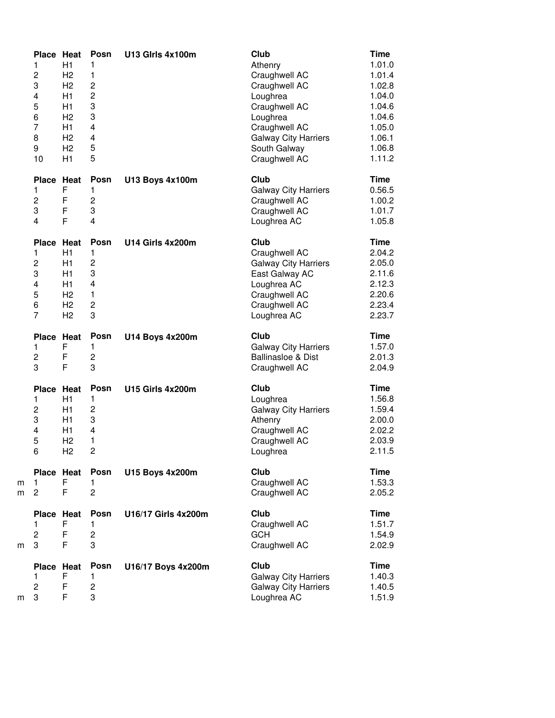|        | Place Heat<br>1<br>$\overline{c}$<br>3<br>4<br>5<br>6<br>7<br>8<br>9<br>10 | H1<br>H <sub>2</sub><br>H <sub>2</sub><br>H1<br>H1<br>H <sub>2</sub><br>H1<br>H <sub>2</sub><br>H <sub>2</sub><br>H1 | Posn<br>1<br>$\mathbf{1}$<br>$\overline{c}$<br>$\overline{c}$<br>3<br>3<br>4<br>4<br>5<br>5 | <b>U13 Girls 4x100m</b> | Club<br>Athenry<br>Craughwell AC<br>Craughwell AC<br>Loughrea<br>Craughwell AC<br>Loughrea<br>Craughwell AC<br><b>Galway City Harriers</b><br>South Galway<br>Craughwell AC | <b>Time</b><br>1.01.0<br>1.01.4<br>1.02.8<br>1.04.0<br>1.04.6<br>1.04.6<br>1.05.0<br>1.06.1<br>1.06.8<br>1.11.2 |
|--------|----------------------------------------------------------------------------|----------------------------------------------------------------------------------------------------------------------|---------------------------------------------------------------------------------------------|-------------------------|-----------------------------------------------------------------------------------------------------------------------------------------------------------------------------|-----------------------------------------------------------------------------------------------------------------|
|        | <b>Place</b><br>1<br>$\overline{c}$<br>3<br>4                              | Heat<br>F<br>F<br>F<br>F                                                                                             | Posn<br>1<br>$\overline{c}$<br>3<br>$\overline{\mathbf{4}}$                                 | <b>U13 Boys 4x100m</b>  | Club<br><b>Galway City Harriers</b><br>Craughwell AC<br>Craughwell AC<br>Loughrea AC                                                                                        | <b>Time</b><br>0.56.5<br>1.00.2<br>1.01.7<br>1.05.8                                                             |
|        | <b>Place</b><br>1<br>2<br>3<br>4<br>5<br>6<br>7                            | Heat<br>H1<br>H1<br>H1<br>H1<br>H <sub>2</sub><br>H <sub>2</sub><br>H <sub>2</sub>                                   | Posn<br>1<br>$\overline{c}$<br>3<br>4<br>1<br>$\overline{c}$<br>3                           | U14 Girls 4x200m        | Club<br>Craughwell AC<br><b>Galway City Harriers</b><br>East Galway AC<br>Loughrea AC<br>Craughwell AC<br>Craughwell AC<br>Loughrea AC                                      | <b>Time</b><br>2.04.2<br>2.05.0<br>2.11.6<br>2.12.3<br>2.20.6<br>2.23.4<br>2.23.7                               |
|        | Place Heat<br>1<br>2<br>3                                                  | F<br>F<br>F                                                                                                          | Posn<br>1<br>$\overline{c}$<br>3                                                            | <b>U14 Boys 4x200m</b>  | Club<br><b>Galway City Harriers</b><br>Ballinasloe & Dist<br>Craughwell AC                                                                                                  | <b>Time</b><br>1.57.0<br>2.01.3<br>2.04.9                                                                       |
|        | <b>Place</b><br>1<br>2<br>3<br>4<br>5<br>6                                 | Heat<br>H1<br>H1<br>H1<br>H1<br>H <sub>2</sub><br>H <sub>2</sub>                                                     | Posn<br>1<br>2<br>3<br>4<br>1<br>$\overline{c}$                                             | U15 Girls 4x200m        | Club<br>Loughrea<br><b>Galway City Harriers</b><br>Athenry<br>Craughwell AC<br>Craughwell AC<br>Loughrea                                                                    | <b>Time</b><br>1.56.8<br>1.59.4<br>2.00.0<br>2.02.2<br>2.03.9<br>2.11.5                                         |
| m<br>m | Place Heat<br>1<br>$\overline{c}$                                          | F<br>F                                                                                                               | Posn<br>1.<br>$\overline{c}$                                                                | <b>U15 Boys 4x200m</b>  | Club<br>Craughwell AC<br>Craughwell AC                                                                                                                                      | <b>Time</b><br>1.53.3<br>2.05.2                                                                                 |
| m      | Place Heat<br>1<br>2<br>3                                                  | F<br>F<br>F                                                                                                          | Posn<br>1<br>2<br>3                                                                         | U16/17 Girls 4x200m     | Club<br>Craughwell AC<br><b>GCH</b><br>Craughwell AC                                                                                                                        | <b>Time</b><br>1.51.7<br>1.54.9<br>2.02.9                                                                       |
|        | <b>Place</b>                                                               | Heat                                                                                                                 | Posn                                                                                        | U16/17 Boys 4x200m      | Club                                                                                                                                                                        | Time<br>1.40.3                                                                                                  |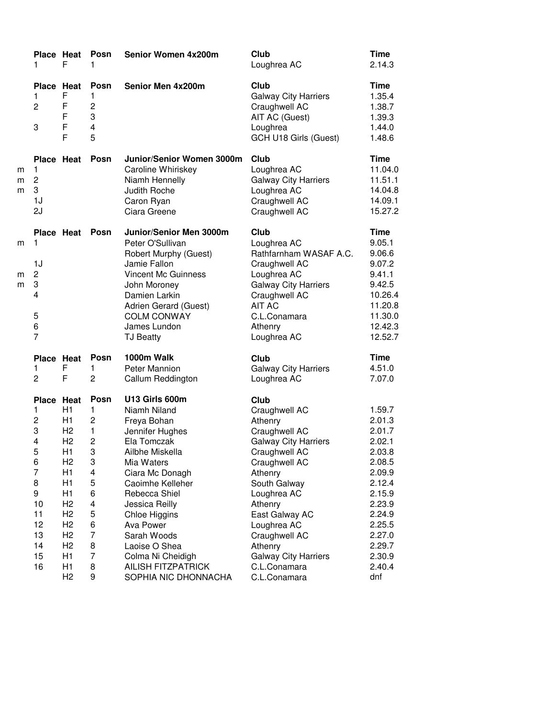|             | Place Heat<br>1                                                                                                             | F                                                                                                                                                                                                                          | Posn<br>1                                                                                                                        | Senior Women 4x200m                                                                                                                                                                                                                                                                                                                | Club<br>Loughrea AC                                                                                                                                                                                                                                                                                 | <b>Time</b><br>2.14.3                                                                                                                                               |
|-------------|-----------------------------------------------------------------------------------------------------------------------------|----------------------------------------------------------------------------------------------------------------------------------------------------------------------------------------------------------------------------|----------------------------------------------------------------------------------------------------------------------------------|------------------------------------------------------------------------------------------------------------------------------------------------------------------------------------------------------------------------------------------------------------------------------------------------------------------------------------|-----------------------------------------------------------------------------------------------------------------------------------------------------------------------------------------------------------------------------------------------------------------------------------------------------|---------------------------------------------------------------------------------------------------------------------------------------------------------------------|
|             | <b>Place Heat</b><br>1<br>$\overline{c}$<br>3                                                                               | F<br>F<br>F<br>F<br>F                                                                                                                                                                                                      | Posn<br>1<br>$\overline{c}$<br>3<br>$\overline{\mathbf{4}}$<br>5                                                                 | Senior Men 4x200m                                                                                                                                                                                                                                                                                                                  | Club<br><b>Galway City Harriers</b><br>Craughwell AC<br>AIT AC (Guest)<br>Loughrea<br>GCH U18 Girls (Guest)                                                                                                                                                                                         | <b>Time</b><br>1.35.4<br>1.38.7<br>1.39.3<br>1.44.0<br>1.48.6                                                                                                       |
| m<br>m<br>m | Place Heat<br>1<br>$\overline{c}$<br>3<br>1J<br>2J                                                                          |                                                                                                                                                                                                                            | <b>Posn</b>                                                                                                                      | Junior/Senior Women 3000m<br>Caroline Whiriskey<br>Niamh Hennelly<br>Judith Roche<br>Caron Ryan<br>Ciara Greene                                                                                                                                                                                                                    | Club<br>Loughrea AC<br><b>Galway City Harriers</b><br>Loughrea AC<br>Craughwell AC<br>Craughwell AC                                                                                                                                                                                                 | Time<br>11.04.0<br>11.51.1<br>14.04.8<br>14.09.1<br>15.27.2                                                                                                         |
| m<br>m<br>m | Place Heat<br>1<br>1J<br>2<br>3<br>4<br>5<br>6<br>$\overline{7}$                                                            |                                                                                                                                                                                                                            | <b>Posn</b>                                                                                                                      | Junior/Senior Men 3000m<br>Peter O'Sullivan<br>Robert Murphy (Guest)<br>Jamie Fallon<br><b>Vincent Mc Guinness</b><br>John Moroney<br>Damien Larkin<br>Adrien Gerard (Guest)<br><b>COLM CONWAY</b><br>James Lundon<br><b>TJ Beatty</b>                                                                                             | Club<br>Loughrea AC<br>Rathfarnham WASAF A.C.<br>Craughwell AC<br>Loughrea AC<br><b>Galway City Harriers</b><br>Craughwell AC<br><b>AIT AC</b><br>C.L.Conamara<br>Athenry<br>Loughrea AC                                                                                                            | <b>Time</b><br>9.05.1<br>9.06.6<br>9.07.2<br>9.41.1<br>9.42.5<br>10.26.4<br>11.20.8<br>11.30.0<br>12.42.3<br>12.52.7                                                |
|             | Place Heat<br>1<br>$\overline{c}$                                                                                           | F<br>F                                                                                                                                                                                                                     | Posn<br>1<br>$\overline{c}$                                                                                                      | 1000m Walk<br>Peter Mannion<br>Callum Reddington                                                                                                                                                                                                                                                                                   | Club<br><b>Galway City Harriers</b><br>Loughrea AC                                                                                                                                                                                                                                                  | <b>Time</b><br>4.51.0<br>7.07.0                                                                                                                                     |
|             | Place Heat<br>1<br>$\overline{c}$<br>3<br>4<br>5<br>6<br>$\overline{7}$<br>8<br>9<br>10<br>11<br>12<br>13<br>14<br>15<br>16 | H <sub>1</sub><br>H1<br>H <sub>2</sub><br>H <sub>2</sub><br>H1<br>H <sub>2</sub><br>H1<br>H1<br>H1<br>H <sub>2</sub><br>H <sub>2</sub><br>H <sub>2</sub><br>H <sub>2</sub><br>H <sub>2</sub><br>H1<br>H1<br>H <sub>2</sub> | Posn<br>1<br>$\overline{c}$<br>1<br>$\overline{c}$<br>3<br>3<br>4<br>5<br>6<br>4<br>5<br>6<br>$\overline{7}$<br>8<br>7<br>8<br>9 | U13 Girls 600m<br>Niamh Niland<br>Freya Bohan<br>Jennifer Hughes<br>Ela Tomczak<br>Ailbhe Miskella<br>Mia Waters<br>Ciara Mc Donagh<br>Caoimhe Kelleher<br>Rebecca Shiel<br>Jessica Reilly<br>Chloe Higgins<br>Ava Power<br>Sarah Woods<br>Laoise O Shea<br>Colma Ni Cheidigh<br><b>AILISH FITZPATRICK</b><br>SOPHIA NIC DHONNACHA | Club<br>Craughwell AC<br>Athenry<br>Craughwell AC<br><b>Galway City Harriers</b><br>Craughwell AC<br>Craughwell AC<br>Athenry<br>South Galway<br>Loughrea AC<br>Athenry<br>East Galway AC<br>Loughrea AC<br>Craughwell AC<br>Athenry<br><b>Galway City Harriers</b><br>C.L.Conamara<br>C.L.Conamara | 1.59.7<br>2.01.3<br>2.01.7<br>2.02.1<br>2.03.8<br>2.08.5<br>2.09.9<br>2.12.4<br>2.15.9<br>2.23.9<br>2.24.9<br>2.25.5<br>2.27.0<br>2.29.7<br>2.30.9<br>2.40.4<br>dnf |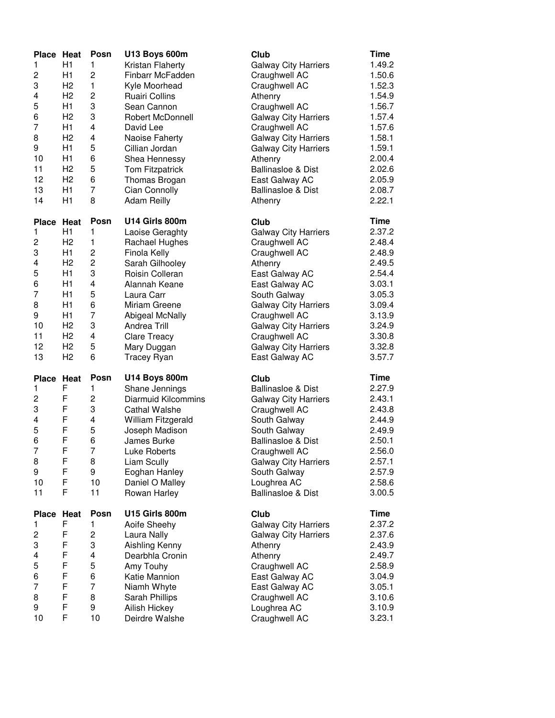| Place Heat   |                | Posn           | <b>U13 Boys 600m</b>            | Club                          | Time        |
|--------------|----------------|----------------|---------------------------------|-------------------------------|-------------|
| 1            | H1             | 1              | Kristan Flaherty                | <b>Galway City Harriers</b>   | 1.49.2      |
| 2            | H1             | $\overline{c}$ | Finbarr McFadden                | Craughwell AC                 | 1.50.6      |
| 3            | H <sub>2</sub> | 1              | Kyle Moorhead                   | Craughwell AC                 | 1.52.3      |
| 4            | H <sub>2</sub> | 2              | <b>Ruairi Collins</b>           | Athenry                       | 1.54.9      |
| 5            | H1             | 3              | Sean Cannon                     | Craughwell AC                 | 1.56.7      |
| 6            | H <sub>2</sub> | 3              | Robert McDonnell                | <b>Galway City Harriers</b>   | 1.57.4      |
| 7            | H1             | 4              | David Lee                       | Craughwell AC                 | 1.57.6      |
| 8            | H <sub>2</sub> | 4              | Naoise Faherty                  | <b>Galway City Harriers</b>   | 1.58.1      |
| 9            | H1             | 5              | Cillian Jordan                  | <b>Galway City Harriers</b>   | 1.59.1      |
| 10           | H1             | 6              | Shea Hennessy                   | Athenry                       | 2.00.4      |
| 11           | H <sub>2</sub> | 5              | Tom Fitzpatrick                 | <b>Ballinasloe &amp; Dist</b> | 2.02.6      |
| 12           | H <sub>2</sub> | 6              | Thomas Brogan                   | East Galway AC                | 2.05.9      |
| 13           | H1             | $\overline{7}$ | Cian Connolly                   | <b>Ballinasloe &amp; Dist</b> | 2.08.7      |
| 14           | H1             | 8              | <b>Adam Reilly</b>              | Athenry                       | 2.22.1      |
| Place        | Heat           | Posn           | U14 Girls 800m                  | Club                          | <b>Time</b> |
| 1            | H1             | 1              | Laoise Geraghty                 | <b>Galway City Harriers</b>   | 2.37.2      |
| 2            | H <sub>2</sub> | 1              | Rachael Hughes                  | Craughwell AC                 | 2.48.4      |
| 3            | H1             | 2              | Finola Kelly                    | Craughwell AC                 | 2.48.9      |
| 4            | H <sub>2</sub> | 2              | Sarah Gilhooley                 | Athenry                       | 2.49.5      |
| 5            | H1             | 3              | Roisin Colleran                 | East Galway AC                | 2.54.4      |
| 6            | H1             | 4              | Alannah Keane                   | East Galway AC                | 3.03.1      |
| 7            | H1             | 5              | Laura Carr                      | South Galway                  | 3.05.3      |
| 8            | H1             | 6              | Miriam Greene                   | <b>Galway City Harriers</b>   | 3.09.4      |
| 9            | H1             | $\overline{7}$ | Abigeal McNally                 | Craughwell AC                 | 3.13.9      |
| 10           | H <sub>2</sub> | 3              | <b>Andrea Trill</b>             | <b>Galway City Harriers</b>   | 3.24.9      |
| 11           | H <sub>2</sub> | 4              | <b>Clare Treacy</b>             | Craughwell AC                 | 3.30.8      |
| 12           | H <sub>2</sub> | 5              | Mary Duggan                     | <b>Galway City Harriers</b>   | 3.32.8      |
| 13           | H <sub>2</sub> | 6              | <b>Tracey Ryan</b>              | East Galway AC                | 3.57.7      |
|              |                |                |                                 |                               |             |
| Place Heat   |                | Posn           | <b>U14 Boys 800m</b>            | Club                          | Time        |
| 1            | F              | 1              | Shane Jennings                  | <b>Ballinasloe &amp; Dist</b> | 2.27.9      |
| 2            | F              | 2              | Diarmuid Kilcommins             | <b>Galway City Harriers</b>   | 2.43.1      |
| 3            | F              | 3              | <b>Cathal Walshe</b>            | Craughwell AC                 | 2.43.8      |
| 4            | F              | 4              | William Fitzgerald              | South Galway                  | 2.44.9      |
| 5            | F              | 5              | Joseph Madison                  | South Galway                  | 2.49.9      |
| 6            | F              | 6              | James Burke                     | <b>Ballinasloe &amp; Dist</b> | 2.50.1      |
| 7            | F              | $\overline{7}$ | Luke Roberts                    | Craughwell AC                 | 2.56.0      |
| 8            | F              | 8              | Liam Scully                     | <b>Galway City Harriers</b>   | 2.57.1      |
| 9            | F              | 9              | Eoghan Hanley                   | South Galway                  | 2.57.9      |
| 10           | F              | 10             | Daniel O Malley                 | Loughrea AC                   | 2.58.6      |
| 11           | F              | 11             | Rowan Harley                    | Ballinasloe & Dist            | 3.00.5      |
| <b>Place</b> | Heat           | Posn           | U15 Girls 800m                  | Club                          | <b>Time</b> |
| 1            | F              | 1              | Aoife Sheehy                    | <b>Galway City Harriers</b>   | 2.37.2      |
| 2            | F              | 2              | Laura Nally                     | <b>Galway City Harriers</b>   | 2.37.6      |
| 3            | F              | 3              | Aishling Kenny                  | Athenry                       | 2.43.9      |
| 4            | F              | 4              | Dearbhla Cronin                 | Athenry                       | 2.49.7      |
| 5            | F              | 5              | Amy Touhy                       | Craughwell AC                 | 2.58.9      |
| 6            | F              | 6              | Katie Mannion                   | East Galway AC                | 3.04.9      |
| 7            | F              | 7              | Niamh Whyte                     | East Galway AC                | 3.05.1      |
|              |                |                |                                 |                               |             |
| 8            | F              | 8              |                                 |                               | 3.10.6      |
| 9            | F              | 9              | Sarah Phillips<br>Ailish Hickey | Craughwell AC<br>Loughrea AC  | 3.10.9      |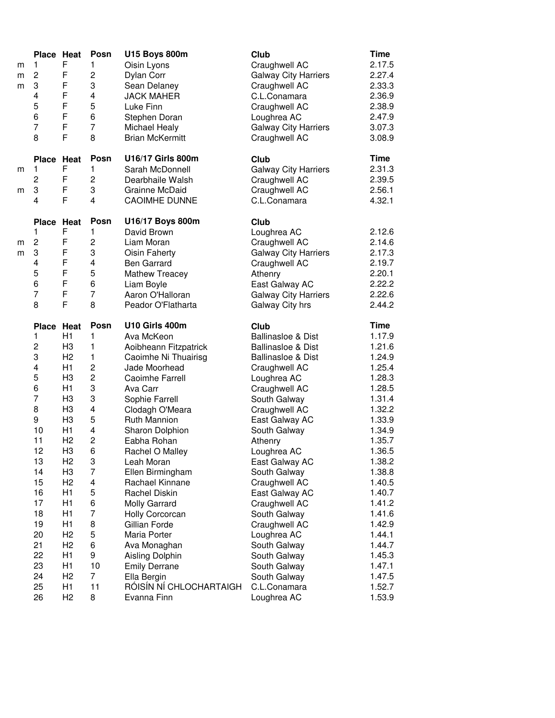| F<br>$\mathbf{1}$<br>$\mathbf{1}$<br>Oisin Lyons<br>Craughwell AC<br>m<br>F<br>$\overline{c}$<br>$\overline{\mathbf{c}}$<br>2.27.4<br>Dylan Corr<br><b>Galway City Harriers</b><br>m<br>3<br>3<br>F<br>2.33.3<br>Sean Delaney<br>Craughwell AC<br>m<br>F<br>4<br>4<br><b>JACK MAHER</b><br>2.36.9<br>C.L.Conamara<br>F<br>5<br>5<br>2.38.9<br>Luke Finn<br>Craughwell AC<br>F<br>6<br>6<br>2.47.9<br>Stephen Doran<br>Loughrea AC<br>F<br>$\overline{7}$<br>$\overline{7}$<br>3.07.3<br>Michael Healy<br><b>Galway City Harriers</b><br>F<br>8<br>8<br><b>Brian McKermitt</b><br>Craughwell AC<br>U16/17 Girls 800m<br>Posn<br>Club<br>Time<br><b>Place</b><br>Heat<br>F<br>1<br>1<br>Sarah McDonnell<br><b>Galway City Harriers</b><br>m<br>$\overline{c}$<br>F<br>$\overline{c}$<br>Dearbhaile Walsh<br>Craughwell AC<br>F<br>3<br>3<br>Craughwell AC<br>Grainne McDaid<br>m<br>F<br>4<br>4<br>C.L.Conamara<br>4.32.1<br><b>CAOIMHE DUNNE</b><br>U16/17 Boys 800m<br>Posn<br>Club<br>Place Heat<br>F<br>1<br>1<br>David Brown<br>Loughrea AC<br>$\overline{c}$<br>F<br>2<br>Liam Moran<br>Craughwell AC<br>m<br>F<br>3<br>3<br><b>Oisin Faherty</b><br><b>Galway City Harriers</b><br>m<br>F<br>4<br>4<br><b>Ben Garrard</b><br>Craughwell AC<br>F<br>5<br>5<br>2.20.1<br><b>Mathew Treacey</b><br>Athenry<br>F<br>6<br>6<br>East Galway AC<br>Liam Boyle<br>F<br>$\overline{7}$<br>$\overline{7}$<br>Aaron O'Halloran<br><b>Galway City Harriers</b><br>F<br>8<br>8<br>Peador O'Flatharta<br>Galway City hrs<br><b>Time</b><br>U10 Girls 400m<br>Posn<br>Club<br>Place Heat<br>1<br>H1<br>1<br>Ava McKeon<br><b>Ballinasloe &amp; Dist</b><br>2<br>H <sub>3</sub><br>1<br>1.21.6<br>Aoibheann Fitzpatrick<br><b>Ballinasloe &amp; Dist</b><br>3<br>H <sub>2</sub><br>1.24.9<br>1<br>Caoimhe Ni Thuairisg<br><b>Ballinasloe &amp; Dist</b><br>4<br>H1<br>$\overline{c}$<br>1.25.4<br>Jade Moorhead<br>Craughwell AC<br>5<br>$\overline{c}$<br>1.28.3<br>H <sub>3</sub><br>Caoimhe Farrell<br>Loughrea AC<br>6<br>3<br>H1<br>Ava Carr<br>Craughwell AC<br>$\overline{7}$<br>3<br>H <sub>3</sub><br>Sophie Farrell<br>South Galway<br>8<br>$\overline{\mathbf{4}}$<br>H <sub>3</sub><br>Craughwell AC<br>Clodagh O'Meara<br>9<br>5<br>H <sub>3</sub><br><b>Ruth Mannion</b><br>East Galway AC<br>10<br>4<br>H1<br>Sharon Dolphion<br>South Galway<br>$\overline{c}$<br>11<br>H <sub>2</sub><br>Eabha Rohan<br>Athenry<br>6<br>12<br>H <sub>3</sub><br>1.36.5<br>Rachel O Malley<br>Loughrea AC<br>H <sub>2</sub><br>3<br>13<br>Leah Moran<br>East Galway AC<br>7<br>H <sub>3</sub><br>14<br>Ellen Birmingham<br>South Galway<br>H <sub>2</sub><br>4<br>15<br>Rachael Kinnane<br>Craughwell AC<br>16<br>H1<br>5<br>Rachel Diskin<br>East Galway AC<br>17<br>H1<br>6<br><b>Molly Garrard</b><br>Craughwell AC<br>7<br>18<br>H1<br>South Galway<br>Holly Corcorcan<br>19<br>8<br>H1<br>Gillian Forde<br>Craughwell AC<br>5<br>20<br>H <sub>2</sub><br>1.44.1<br>Maria Porter<br>Loughrea AC<br>21<br>H <sub>2</sub><br>6<br>Ava Monaghan<br>South Galway<br>9<br>22<br>H <sub>1</sub><br>Aisling Dolphin<br>South Galway<br>23<br>H1<br>10<br><b>Emily Derrane</b><br>South Galway<br>1.47.1<br>$\overline{7}$<br>H <sub>2</sub><br>24<br>Ella Bergin<br>1.47.5<br>South Galway<br>RÓISÍN NÍ CHLOCHARTAIGH<br>11<br>25<br>H1<br>C.L.Conamara<br>1.52.7<br>8<br>26<br>H <sub>2</sub><br>Loughrea AC<br>Evanna Finn | Place Heat | Posn | <b>U15 Boys 800m</b> | Club | <b>Time</b> |
|----------------------------------------------------------------------------------------------------------------------------------------------------------------------------------------------------------------------------------------------------------------------------------------------------------------------------------------------------------------------------------------------------------------------------------------------------------------------------------------------------------------------------------------------------------------------------------------------------------------------------------------------------------------------------------------------------------------------------------------------------------------------------------------------------------------------------------------------------------------------------------------------------------------------------------------------------------------------------------------------------------------------------------------------------------------------------------------------------------------------------------------------------------------------------------------------------------------------------------------------------------------------------------------------------------------------------------------------------------------------------------------------------------------------------------------------------------------------------------------------------------------------------------------------------------------------------------------------------------------------------------------------------------------------------------------------------------------------------------------------------------------------------------------------------------------------------------------------------------------------------------------------------------------------------------------------------------------------------------------------------------------------------------------------------------------------------------------------------------------------------------------------------------------------------------------------------------------------------------------------------------------------------------------------------------------------------------------------------------------------------------------------------------------------------------------------------------------------------------------------------------------------------------------------------------------------------------------------------------------------------------------------------------------------------------------------------------------------------------------------------------------------------------------------------------------------------------------------------------------------------------------------------------------------------------------------------------------------------------------------------------------------------------------------------------------------------------------------------------------------------------------------------------------------------------------------------------------------------------------------------------------------------------------------------------------------------------------------------------------------------------------------------------------|------------|------|----------------------|------|-------------|
|                                                                                                                                                                                                                                                                                                                                                                                                                                                                                                                                                                                                                                                                                                                                                                                                                                                                                                                                                                                                                                                                                                                                                                                                                                                                                                                                                                                                                                                                                                                                                                                                                                                                                                                                                                                                                                                                                                                                                                                                                                                                                                                                                                                                                                                                                                                                                                                                                                                                                                                                                                                                                                                                                                                                                                                                                                                                                                                                                                                                                                                                                                                                                                                                                                                                                                                                                                                                                |            |      |                      |      | 2.17.5      |
|                                                                                                                                                                                                                                                                                                                                                                                                                                                                                                                                                                                                                                                                                                                                                                                                                                                                                                                                                                                                                                                                                                                                                                                                                                                                                                                                                                                                                                                                                                                                                                                                                                                                                                                                                                                                                                                                                                                                                                                                                                                                                                                                                                                                                                                                                                                                                                                                                                                                                                                                                                                                                                                                                                                                                                                                                                                                                                                                                                                                                                                                                                                                                                                                                                                                                                                                                                                                                |            |      |                      |      |             |
|                                                                                                                                                                                                                                                                                                                                                                                                                                                                                                                                                                                                                                                                                                                                                                                                                                                                                                                                                                                                                                                                                                                                                                                                                                                                                                                                                                                                                                                                                                                                                                                                                                                                                                                                                                                                                                                                                                                                                                                                                                                                                                                                                                                                                                                                                                                                                                                                                                                                                                                                                                                                                                                                                                                                                                                                                                                                                                                                                                                                                                                                                                                                                                                                                                                                                                                                                                                                                |            |      |                      |      |             |
|                                                                                                                                                                                                                                                                                                                                                                                                                                                                                                                                                                                                                                                                                                                                                                                                                                                                                                                                                                                                                                                                                                                                                                                                                                                                                                                                                                                                                                                                                                                                                                                                                                                                                                                                                                                                                                                                                                                                                                                                                                                                                                                                                                                                                                                                                                                                                                                                                                                                                                                                                                                                                                                                                                                                                                                                                                                                                                                                                                                                                                                                                                                                                                                                                                                                                                                                                                                                                |            |      |                      |      |             |
|                                                                                                                                                                                                                                                                                                                                                                                                                                                                                                                                                                                                                                                                                                                                                                                                                                                                                                                                                                                                                                                                                                                                                                                                                                                                                                                                                                                                                                                                                                                                                                                                                                                                                                                                                                                                                                                                                                                                                                                                                                                                                                                                                                                                                                                                                                                                                                                                                                                                                                                                                                                                                                                                                                                                                                                                                                                                                                                                                                                                                                                                                                                                                                                                                                                                                                                                                                                                                |            |      |                      |      |             |
|                                                                                                                                                                                                                                                                                                                                                                                                                                                                                                                                                                                                                                                                                                                                                                                                                                                                                                                                                                                                                                                                                                                                                                                                                                                                                                                                                                                                                                                                                                                                                                                                                                                                                                                                                                                                                                                                                                                                                                                                                                                                                                                                                                                                                                                                                                                                                                                                                                                                                                                                                                                                                                                                                                                                                                                                                                                                                                                                                                                                                                                                                                                                                                                                                                                                                                                                                                                                                |            |      |                      |      |             |
|                                                                                                                                                                                                                                                                                                                                                                                                                                                                                                                                                                                                                                                                                                                                                                                                                                                                                                                                                                                                                                                                                                                                                                                                                                                                                                                                                                                                                                                                                                                                                                                                                                                                                                                                                                                                                                                                                                                                                                                                                                                                                                                                                                                                                                                                                                                                                                                                                                                                                                                                                                                                                                                                                                                                                                                                                                                                                                                                                                                                                                                                                                                                                                                                                                                                                                                                                                                                                |            |      |                      |      |             |
|                                                                                                                                                                                                                                                                                                                                                                                                                                                                                                                                                                                                                                                                                                                                                                                                                                                                                                                                                                                                                                                                                                                                                                                                                                                                                                                                                                                                                                                                                                                                                                                                                                                                                                                                                                                                                                                                                                                                                                                                                                                                                                                                                                                                                                                                                                                                                                                                                                                                                                                                                                                                                                                                                                                                                                                                                                                                                                                                                                                                                                                                                                                                                                                                                                                                                                                                                                                                                |            |      |                      |      | 3.08.9      |
|                                                                                                                                                                                                                                                                                                                                                                                                                                                                                                                                                                                                                                                                                                                                                                                                                                                                                                                                                                                                                                                                                                                                                                                                                                                                                                                                                                                                                                                                                                                                                                                                                                                                                                                                                                                                                                                                                                                                                                                                                                                                                                                                                                                                                                                                                                                                                                                                                                                                                                                                                                                                                                                                                                                                                                                                                                                                                                                                                                                                                                                                                                                                                                                                                                                                                                                                                                                                                |            |      |                      |      |             |
|                                                                                                                                                                                                                                                                                                                                                                                                                                                                                                                                                                                                                                                                                                                                                                                                                                                                                                                                                                                                                                                                                                                                                                                                                                                                                                                                                                                                                                                                                                                                                                                                                                                                                                                                                                                                                                                                                                                                                                                                                                                                                                                                                                                                                                                                                                                                                                                                                                                                                                                                                                                                                                                                                                                                                                                                                                                                                                                                                                                                                                                                                                                                                                                                                                                                                                                                                                                                                |            |      |                      |      | 2.31.3      |
|                                                                                                                                                                                                                                                                                                                                                                                                                                                                                                                                                                                                                                                                                                                                                                                                                                                                                                                                                                                                                                                                                                                                                                                                                                                                                                                                                                                                                                                                                                                                                                                                                                                                                                                                                                                                                                                                                                                                                                                                                                                                                                                                                                                                                                                                                                                                                                                                                                                                                                                                                                                                                                                                                                                                                                                                                                                                                                                                                                                                                                                                                                                                                                                                                                                                                                                                                                                                                |            |      |                      |      | 2.39.5      |
|                                                                                                                                                                                                                                                                                                                                                                                                                                                                                                                                                                                                                                                                                                                                                                                                                                                                                                                                                                                                                                                                                                                                                                                                                                                                                                                                                                                                                                                                                                                                                                                                                                                                                                                                                                                                                                                                                                                                                                                                                                                                                                                                                                                                                                                                                                                                                                                                                                                                                                                                                                                                                                                                                                                                                                                                                                                                                                                                                                                                                                                                                                                                                                                                                                                                                                                                                                                                                |            |      |                      |      | 2.56.1      |
|                                                                                                                                                                                                                                                                                                                                                                                                                                                                                                                                                                                                                                                                                                                                                                                                                                                                                                                                                                                                                                                                                                                                                                                                                                                                                                                                                                                                                                                                                                                                                                                                                                                                                                                                                                                                                                                                                                                                                                                                                                                                                                                                                                                                                                                                                                                                                                                                                                                                                                                                                                                                                                                                                                                                                                                                                                                                                                                                                                                                                                                                                                                                                                                                                                                                                                                                                                                                                |            |      |                      |      |             |
|                                                                                                                                                                                                                                                                                                                                                                                                                                                                                                                                                                                                                                                                                                                                                                                                                                                                                                                                                                                                                                                                                                                                                                                                                                                                                                                                                                                                                                                                                                                                                                                                                                                                                                                                                                                                                                                                                                                                                                                                                                                                                                                                                                                                                                                                                                                                                                                                                                                                                                                                                                                                                                                                                                                                                                                                                                                                                                                                                                                                                                                                                                                                                                                                                                                                                                                                                                                                                |            |      |                      |      |             |
|                                                                                                                                                                                                                                                                                                                                                                                                                                                                                                                                                                                                                                                                                                                                                                                                                                                                                                                                                                                                                                                                                                                                                                                                                                                                                                                                                                                                                                                                                                                                                                                                                                                                                                                                                                                                                                                                                                                                                                                                                                                                                                                                                                                                                                                                                                                                                                                                                                                                                                                                                                                                                                                                                                                                                                                                                                                                                                                                                                                                                                                                                                                                                                                                                                                                                                                                                                                                                |            |      |                      |      | 2.12.6      |
|                                                                                                                                                                                                                                                                                                                                                                                                                                                                                                                                                                                                                                                                                                                                                                                                                                                                                                                                                                                                                                                                                                                                                                                                                                                                                                                                                                                                                                                                                                                                                                                                                                                                                                                                                                                                                                                                                                                                                                                                                                                                                                                                                                                                                                                                                                                                                                                                                                                                                                                                                                                                                                                                                                                                                                                                                                                                                                                                                                                                                                                                                                                                                                                                                                                                                                                                                                                                                |            |      |                      |      | 2.14.6      |
|                                                                                                                                                                                                                                                                                                                                                                                                                                                                                                                                                                                                                                                                                                                                                                                                                                                                                                                                                                                                                                                                                                                                                                                                                                                                                                                                                                                                                                                                                                                                                                                                                                                                                                                                                                                                                                                                                                                                                                                                                                                                                                                                                                                                                                                                                                                                                                                                                                                                                                                                                                                                                                                                                                                                                                                                                                                                                                                                                                                                                                                                                                                                                                                                                                                                                                                                                                                                                |            |      |                      |      | 2.17.3      |
|                                                                                                                                                                                                                                                                                                                                                                                                                                                                                                                                                                                                                                                                                                                                                                                                                                                                                                                                                                                                                                                                                                                                                                                                                                                                                                                                                                                                                                                                                                                                                                                                                                                                                                                                                                                                                                                                                                                                                                                                                                                                                                                                                                                                                                                                                                                                                                                                                                                                                                                                                                                                                                                                                                                                                                                                                                                                                                                                                                                                                                                                                                                                                                                                                                                                                                                                                                                                                |            |      |                      |      | 2.19.7      |
|                                                                                                                                                                                                                                                                                                                                                                                                                                                                                                                                                                                                                                                                                                                                                                                                                                                                                                                                                                                                                                                                                                                                                                                                                                                                                                                                                                                                                                                                                                                                                                                                                                                                                                                                                                                                                                                                                                                                                                                                                                                                                                                                                                                                                                                                                                                                                                                                                                                                                                                                                                                                                                                                                                                                                                                                                                                                                                                                                                                                                                                                                                                                                                                                                                                                                                                                                                                                                |            |      |                      |      |             |
|                                                                                                                                                                                                                                                                                                                                                                                                                                                                                                                                                                                                                                                                                                                                                                                                                                                                                                                                                                                                                                                                                                                                                                                                                                                                                                                                                                                                                                                                                                                                                                                                                                                                                                                                                                                                                                                                                                                                                                                                                                                                                                                                                                                                                                                                                                                                                                                                                                                                                                                                                                                                                                                                                                                                                                                                                                                                                                                                                                                                                                                                                                                                                                                                                                                                                                                                                                                                                |            |      |                      |      | 2.22.2      |
|                                                                                                                                                                                                                                                                                                                                                                                                                                                                                                                                                                                                                                                                                                                                                                                                                                                                                                                                                                                                                                                                                                                                                                                                                                                                                                                                                                                                                                                                                                                                                                                                                                                                                                                                                                                                                                                                                                                                                                                                                                                                                                                                                                                                                                                                                                                                                                                                                                                                                                                                                                                                                                                                                                                                                                                                                                                                                                                                                                                                                                                                                                                                                                                                                                                                                                                                                                                                                |            |      |                      |      | 2.22.6      |
|                                                                                                                                                                                                                                                                                                                                                                                                                                                                                                                                                                                                                                                                                                                                                                                                                                                                                                                                                                                                                                                                                                                                                                                                                                                                                                                                                                                                                                                                                                                                                                                                                                                                                                                                                                                                                                                                                                                                                                                                                                                                                                                                                                                                                                                                                                                                                                                                                                                                                                                                                                                                                                                                                                                                                                                                                                                                                                                                                                                                                                                                                                                                                                                                                                                                                                                                                                                                                |            |      |                      |      | 2.44.2      |
|                                                                                                                                                                                                                                                                                                                                                                                                                                                                                                                                                                                                                                                                                                                                                                                                                                                                                                                                                                                                                                                                                                                                                                                                                                                                                                                                                                                                                                                                                                                                                                                                                                                                                                                                                                                                                                                                                                                                                                                                                                                                                                                                                                                                                                                                                                                                                                                                                                                                                                                                                                                                                                                                                                                                                                                                                                                                                                                                                                                                                                                                                                                                                                                                                                                                                                                                                                                                                |            |      |                      |      |             |
|                                                                                                                                                                                                                                                                                                                                                                                                                                                                                                                                                                                                                                                                                                                                                                                                                                                                                                                                                                                                                                                                                                                                                                                                                                                                                                                                                                                                                                                                                                                                                                                                                                                                                                                                                                                                                                                                                                                                                                                                                                                                                                                                                                                                                                                                                                                                                                                                                                                                                                                                                                                                                                                                                                                                                                                                                                                                                                                                                                                                                                                                                                                                                                                                                                                                                                                                                                                                                |            |      |                      |      | 1.17.9      |
|                                                                                                                                                                                                                                                                                                                                                                                                                                                                                                                                                                                                                                                                                                                                                                                                                                                                                                                                                                                                                                                                                                                                                                                                                                                                                                                                                                                                                                                                                                                                                                                                                                                                                                                                                                                                                                                                                                                                                                                                                                                                                                                                                                                                                                                                                                                                                                                                                                                                                                                                                                                                                                                                                                                                                                                                                                                                                                                                                                                                                                                                                                                                                                                                                                                                                                                                                                                                                |            |      |                      |      |             |
|                                                                                                                                                                                                                                                                                                                                                                                                                                                                                                                                                                                                                                                                                                                                                                                                                                                                                                                                                                                                                                                                                                                                                                                                                                                                                                                                                                                                                                                                                                                                                                                                                                                                                                                                                                                                                                                                                                                                                                                                                                                                                                                                                                                                                                                                                                                                                                                                                                                                                                                                                                                                                                                                                                                                                                                                                                                                                                                                                                                                                                                                                                                                                                                                                                                                                                                                                                                                                |            |      |                      |      |             |
|                                                                                                                                                                                                                                                                                                                                                                                                                                                                                                                                                                                                                                                                                                                                                                                                                                                                                                                                                                                                                                                                                                                                                                                                                                                                                                                                                                                                                                                                                                                                                                                                                                                                                                                                                                                                                                                                                                                                                                                                                                                                                                                                                                                                                                                                                                                                                                                                                                                                                                                                                                                                                                                                                                                                                                                                                                                                                                                                                                                                                                                                                                                                                                                                                                                                                                                                                                                                                |            |      |                      |      |             |
|                                                                                                                                                                                                                                                                                                                                                                                                                                                                                                                                                                                                                                                                                                                                                                                                                                                                                                                                                                                                                                                                                                                                                                                                                                                                                                                                                                                                                                                                                                                                                                                                                                                                                                                                                                                                                                                                                                                                                                                                                                                                                                                                                                                                                                                                                                                                                                                                                                                                                                                                                                                                                                                                                                                                                                                                                                                                                                                                                                                                                                                                                                                                                                                                                                                                                                                                                                                                                |            |      |                      |      |             |
|                                                                                                                                                                                                                                                                                                                                                                                                                                                                                                                                                                                                                                                                                                                                                                                                                                                                                                                                                                                                                                                                                                                                                                                                                                                                                                                                                                                                                                                                                                                                                                                                                                                                                                                                                                                                                                                                                                                                                                                                                                                                                                                                                                                                                                                                                                                                                                                                                                                                                                                                                                                                                                                                                                                                                                                                                                                                                                                                                                                                                                                                                                                                                                                                                                                                                                                                                                                                                |            |      |                      |      | 1.28.5      |
|                                                                                                                                                                                                                                                                                                                                                                                                                                                                                                                                                                                                                                                                                                                                                                                                                                                                                                                                                                                                                                                                                                                                                                                                                                                                                                                                                                                                                                                                                                                                                                                                                                                                                                                                                                                                                                                                                                                                                                                                                                                                                                                                                                                                                                                                                                                                                                                                                                                                                                                                                                                                                                                                                                                                                                                                                                                                                                                                                                                                                                                                                                                                                                                                                                                                                                                                                                                                                |            |      |                      |      | 1.31.4      |
|                                                                                                                                                                                                                                                                                                                                                                                                                                                                                                                                                                                                                                                                                                                                                                                                                                                                                                                                                                                                                                                                                                                                                                                                                                                                                                                                                                                                                                                                                                                                                                                                                                                                                                                                                                                                                                                                                                                                                                                                                                                                                                                                                                                                                                                                                                                                                                                                                                                                                                                                                                                                                                                                                                                                                                                                                                                                                                                                                                                                                                                                                                                                                                                                                                                                                                                                                                                                                |            |      |                      |      | 1.32.2      |
|                                                                                                                                                                                                                                                                                                                                                                                                                                                                                                                                                                                                                                                                                                                                                                                                                                                                                                                                                                                                                                                                                                                                                                                                                                                                                                                                                                                                                                                                                                                                                                                                                                                                                                                                                                                                                                                                                                                                                                                                                                                                                                                                                                                                                                                                                                                                                                                                                                                                                                                                                                                                                                                                                                                                                                                                                                                                                                                                                                                                                                                                                                                                                                                                                                                                                                                                                                                                                |            |      |                      |      | 1.33.9      |
|                                                                                                                                                                                                                                                                                                                                                                                                                                                                                                                                                                                                                                                                                                                                                                                                                                                                                                                                                                                                                                                                                                                                                                                                                                                                                                                                                                                                                                                                                                                                                                                                                                                                                                                                                                                                                                                                                                                                                                                                                                                                                                                                                                                                                                                                                                                                                                                                                                                                                                                                                                                                                                                                                                                                                                                                                                                                                                                                                                                                                                                                                                                                                                                                                                                                                                                                                                                                                |            |      |                      |      | 1.34.9      |
|                                                                                                                                                                                                                                                                                                                                                                                                                                                                                                                                                                                                                                                                                                                                                                                                                                                                                                                                                                                                                                                                                                                                                                                                                                                                                                                                                                                                                                                                                                                                                                                                                                                                                                                                                                                                                                                                                                                                                                                                                                                                                                                                                                                                                                                                                                                                                                                                                                                                                                                                                                                                                                                                                                                                                                                                                                                                                                                                                                                                                                                                                                                                                                                                                                                                                                                                                                                                                |            |      |                      |      | 1.35.7      |
|                                                                                                                                                                                                                                                                                                                                                                                                                                                                                                                                                                                                                                                                                                                                                                                                                                                                                                                                                                                                                                                                                                                                                                                                                                                                                                                                                                                                                                                                                                                                                                                                                                                                                                                                                                                                                                                                                                                                                                                                                                                                                                                                                                                                                                                                                                                                                                                                                                                                                                                                                                                                                                                                                                                                                                                                                                                                                                                                                                                                                                                                                                                                                                                                                                                                                                                                                                                                                |            |      |                      |      |             |
|                                                                                                                                                                                                                                                                                                                                                                                                                                                                                                                                                                                                                                                                                                                                                                                                                                                                                                                                                                                                                                                                                                                                                                                                                                                                                                                                                                                                                                                                                                                                                                                                                                                                                                                                                                                                                                                                                                                                                                                                                                                                                                                                                                                                                                                                                                                                                                                                                                                                                                                                                                                                                                                                                                                                                                                                                                                                                                                                                                                                                                                                                                                                                                                                                                                                                                                                                                                                                |            |      |                      |      | 1.38.2      |
|                                                                                                                                                                                                                                                                                                                                                                                                                                                                                                                                                                                                                                                                                                                                                                                                                                                                                                                                                                                                                                                                                                                                                                                                                                                                                                                                                                                                                                                                                                                                                                                                                                                                                                                                                                                                                                                                                                                                                                                                                                                                                                                                                                                                                                                                                                                                                                                                                                                                                                                                                                                                                                                                                                                                                                                                                                                                                                                                                                                                                                                                                                                                                                                                                                                                                                                                                                                                                |            |      |                      |      | 1.38.8      |
|                                                                                                                                                                                                                                                                                                                                                                                                                                                                                                                                                                                                                                                                                                                                                                                                                                                                                                                                                                                                                                                                                                                                                                                                                                                                                                                                                                                                                                                                                                                                                                                                                                                                                                                                                                                                                                                                                                                                                                                                                                                                                                                                                                                                                                                                                                                                                                                                                                                                                                                                                                                                                                                                                                                                                                                                                                                                                                                                                                                                                                                                                                                                                                                                                                                                                                                                                                                                                |            |      |                      |      | 1.40.5      |
|                                                                                                                                                                                                                                                                                                                                                                                                                                                                                                                                                                                                                                                                                                                                                                                                                                                                                                                                                                                                                                                                                                                                                                                                                                                                                                                                                                                                                                                                                                                                                                                                                                                                                                                                                                                                                                                                                                                                                                                                                                                                                                                                                                                                                                                                                                                                                                                                                                                                                                                                                                                                                                                                                                                                                                                                                                                                                                                                                                                                                                                                                                                                                                                                                                                                                                                                                                                                                |            |      |                      |      | 1.40.7      |
|                                                                                                                                                                                                                                                                                                                                                                                                                                                                                                                                                                                                                                                                                                                                                                                                                                                                                                                                                                                                                                                                                                                                                                                                                                                                                                                                                                                                                                                                                                                                                                                                                                                                                                                                                                                                                                                                                                                                                                                                                                                                                                                                                                                                                                                                                                                                                                                                                                                                                                                                                                                                                                                                                                                                                                                                                                                                                                                                                                                                                                                                                                                                                                                                                                                                                                                                                                                                                |            |      |                      |      | 1.41.2      |
|                                                                                                                                                                                                                                                                                                                                                                                                                                                                                                                                                                                                                                                                                                                                                                                                                                                                                                                                                                                                                                                                                                                                                                                                                                                                                                                                                                                                                                                                                                                                                                                                                                                                                                                                                                                                                                                                                                                                                                                                                                                                                                                                                                                                                                                                                                                                                                                                                                                                                                                                                                                                                                                                                                                                                                                                                                                                                                                                                                                                                                                                                                                                                                                                                                                                                                                                                                                                                |            |      |                      |      | 1.41.6      |
|                                                                                                                                                                                                                                                                                                                                                                                                                                                                                                                                                                                                                                                                                                                                                                                                                                                                                                                                                                                                                                                                                                                                                                                                                                                                                                                                                                                                                                                                                                                                                                                                                                                                                                                                                                                                                                                                                                                                                                                                                                                                                                                                                                                                                                                                                                                                                                                                                                                                                                                                                                                                                                                                                                                                                                                                                                                                                                                                                                                                                                                                                                                                                                                                                                                                                                                                                                                                                |            |      |                      |      | 1.42.9      |
|                                                                                                                                                                                                                                                                                                                                                                                                                                                                                                                                                                                                                                                                                                                                                                                                                                                                                                                                                                                                                                                                                                                                                                                                                                                                                                                                                                                                                                                                                                                                                                                                                                                                                                                                                                                                                                                                                                                                                                                                                                                                                                                                                                                                                                                                                                                                                                                                                                                                                                                                                                                                                                                                                                                                                                                                                                                                                                                                                                                                                                                                                                                                                                                                                                                                                                                                                                                                                |            |      |                      |      |             |
|                                                                                                                                                                                                                                                                                                                                                                                                                                                                                                                                                                                                                                                                                                                                                                                                                                                                                                                                                                                                                                                                                                                                                                                                                                                                                                                                                                                                                                                                                                                                                                                                                                                                                                                                                                                                                                                                                                                                                                                                                                                                                                                                                                                                                                                                                                                                                                                                                                                                                                                                                                                                                                                                                                                                                                                                                                                                                                                                                                                                                                                                                                                                                                                                                                                                                                                                                                                                                |            |      |                      |      | 1.44.7      |
|                                                                                                                                                                                                                                                                                                                                                                                                                                                                                                                                                                                                                                                                                                                                                                                                                                                                                                                                                                                                                                                                                                                                                                                                                                                                                                                                                                                                                                                                                                                                                                                                                                                                                                                                                                                                                                                                                                                                                                                                                                                                                                                                                                                                                                                                                                                                                                                                                                                                                                                                                                                                                                                                                                                                                                                                                                                                                                                                                                                                                                                                                                                                                                                                                                                                                                                                                                                                                |            |      |                      |      | 1.45.3      |
|                                                                                                                                                                                                                                                                                                                                                                                                                                                                                                                                                                                                                                                                                                                                                                                                                                                                                                                                                                                                                                                                                                                                                                                                                                                                                                                                                                                                                                                                                                                                                                                                                                                                                                                                                                                                                                                                                                                                                                                                                                                                                                                                                                                                                                                                                                                                                                                                                                                                                                                                                                                                                                                                                                                                                                                                                                                                                                                                                                                                                                                                                                                                                                                                                                                                                                                                                                                                                |            |      |                      |      |             |
|                                                                                                                                                                                                                                                                                                                                                                                                                                                                                                                                                                                                                                                                                                                                                                                                                                                                                                                                                                                                                                                                                                                                                                                                                                                                                                                                                                                                                                                                                                                                                                                                                                                                                                                                                                                                                                                                                                                                                                                                                                                                                                                                                                                                                                                                                                                                                                                                                                                                                                                                                                                                                                                                                                                                                                                                                                                                                                                                                                                                                                                                                                                                                                                                                                                                                                                                                                                                                |            |      |                      |      |             |
|                                                                                                                                                                                                                                                                                                                                                                                                                                                                                                                                                                                                                                                                                                                                                                                                                                                                                                                                                                                                                                                                                                                                                                                                                                                                                                                                                                                                                                                                                                                                                                                                                                                                                                                                                                                                                                                                                                                                                                                                                                                                                                                                                                                                                                                                                                                                                                                                                                                                                                                                                                                                                                                                                                                                                                                                                                                                                                                                                                                                                                                                                                                                                                                                                                                                                                                                                                                                                |            |      |                      |      |             |
|                                                                                                                                                                                                                                                                                                                                                                                                                                                                                                                                                                                                                                                                                                                                                                                                                                                                                                                                                                                                                                                                                                                                                                                                                                                                                                                                                                                                                                                                                                                                                                                                                                                                                                                                                                                                                                                                                                                                                                                                                                                                                                                                                                                                                                                                                                                                                                                                                                                                                                                                                                                                                                                                                                                                                                                                                                                                                                                                                                                                                                                                                                                                                                                                                                                                                                                                                                                                                |            |      |                      |      | 1.53.9      |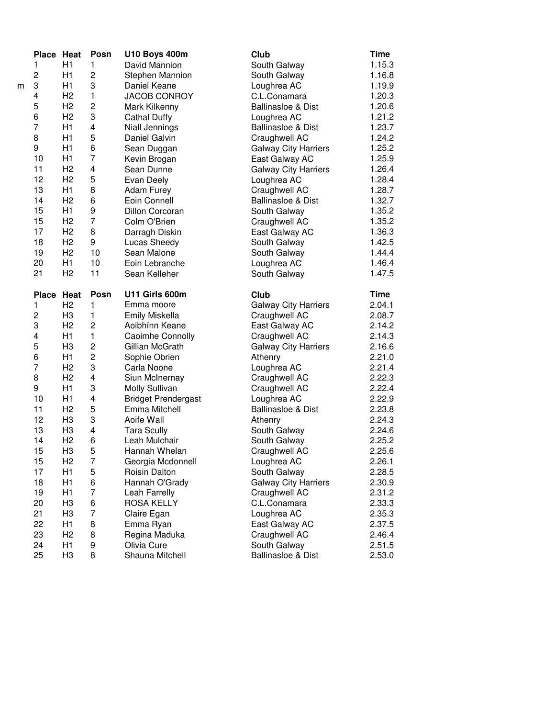|   | Place Heat              |                      | Posn                    | <b>U10 Boys 400m</b>           | Club                               | <b>Time</b>      |
|---|-------------------------|----------------------|-------------------------|--------------------------------|------------------------------------|------------------|
|   | 1                       | H1                   | 1                       | David Mannion                  | South Galway                       | 1.15.3           |
|   | 2                       | H1                   | $\overline{c}$          | Stephen Mannion                | South Galway                       | 1.16.8           |
| m | 3                       | H1                   | 3                       | Daniel Keane                   | Loughrea AC                        | 1.19.9           |
|   | 4                       | H <sub>2</sub>       | 1                       | <b>JACOB CONROY</b>            | C.L.Conamara                       | 1.20.3           |
|   | 5                       | H <sub>2</sub>       | $\overline{c}$          | Mark Kilkenny                  | <b>Ballinasloe &amp; Dist</b>      | 1.20.6           |
|   | $\,6$                   | H <sub>2</sub>       | 3                       | <b>Cathal Duffy</b>            | Loughrea AC                        | 1.21.2           |
|   | $\overline{7}$          | H1                   | $\overline{\mathbf{4}}$ | Niall Jennings                 | <b>Ballinasloe &amp; Dist</b>      | 1.23.7           |
|   | 8                       | H1                   | 5                       | Daniel Galvin                  | Craughwell AC                      | 1.24.2           |
|   | 9                       | H1                   | 6                       | Sean Duggan                    | <b>Galway City Harriers</b>        | 1.25.2           |
|   | 10                      | H1                   | 7                       | Kevin Brogan                   | East Galway AC                     | 1.25.9           |
|   | 11                      | H <sub>2</sub>       | 4                       | Sean Dunne                     | <b>Galway City Harriers</b>        | 1.26.4           |
|   | 12                      | H <sub>2</sub>       | 5                       | Evan Deely                     | Loughrea AC                        | 1.28.4           |
|   | 13                      | H1                   | 8                       | <b>Adam Furey</b>              | Craughwell AC                      | 1.28.7           |
|   | 14                      | H <sub>2</sub>       | 6                       | Eoin Connell                   | <b>Ballinasloe &amp; Dist</b>      | 1.32.7           |
|   | 15                      | H1                   | 9                       | <b>Dillon Corcoran</b>         | South Galway                       | 1.35.2           |
|   | 15                      | H <sub>2</sub>       | $\overline{7}$          | Colm O'Brien                   | Craughwell AC                      | 1.35.2           |
|   | 17                      | H <sub>2</sub>       | 8                       | Darragh Diskin                 |                                    | 1.36.3           |
|   | 18                      | H <sub>2</sub>       | 9                       | Lucas Sheedy                   | East Galway AC                     | 1.42.5           |
|   |                         | H <sub>2</sub>       |                         |                                | South Galway                       |                  |
|   | 19                      |                      | 10                      | Sean Malone                    | South Galway                       | 1.44.4           |
|   | 20                      | H1                   | 10                      | Eoin Lebranche                 | Loughrea AC                        | 1.46.4           |
|   | 21                      | H <sub>2</sub>       | 11                      | Sean Kelleher                  | South Galway                       | 1.47.5           |
|   | Place Heat              |                      | Posn                    | U11 Girls 600m                 | Club                               | <b>Time</b>      |
|   | 1                       | H <sub>2</sub>       | 1                       | Emma moore                     | <b>Galway City Harriers</b>        | 2.04.1           |
|   |                         |                      |                         |                                |                                    |                  |
|   | $\overline{\mathbf{c}}$ | H <sub>3</sub>       | 1                       | Emily Miskella                 | Craughwell AC                      | 2.08.7           |
|   | 3                       | H <sub>2</sub>       | $\overline{c}$          | Aoibhínn Keane                 | East Galway AC                     | 2.14.2           |
|   | 4                       | H1                   | 1                       | Caoimhe Connolly               | Craughwell AC                      | 2.14.3           |
|   | 5                       | H <sub>3</sub>       | $\overline{c}$          | Gillian McGrath                | <b>Galway City Harriers</b>        | 2.16.6           |
|   | $\,6$                   | H1                   | $\overline{c}$          | Sophie Obrien                  | Athenry                            | 2.21.0           |
|   | $\overline{7}$          | H <sub>2</sub>       | 3                       | Carla Noone                    | Loughrea AC                        | 2.21.4           |
|   | 8                       | H <sub>2</sub>       | 4                       | Siun McInernay                 | Craughwell AC                      | 2.22.3           |
|   | 9                       | H1                   | 3                       | Molly Sullivan                 | Craughwell AC                      | 2.22.4           |
|   | 10                      | H1                   | $\overline{\mathbf{4}}$ | <b>Bridget Prendergast</b>     | Loughrea AC                        | 2.22.9           |
|   | 11                      | H <sub>2</sub>       | 5                       | Emma Mitchell                  | Ballinasloe & Dist                 | 2.23.8           |
|   | 12                      | H <sub>3</sub>       | 3                       | Aoife Wall                     |                                    | 2.24.3           |
|   | 13                      | H <sub>3</sub>       | 4                       | <b>Tara Scully</b>             | Athenry<br>South Galway            | 2.24.6           |
|   | 14                      | H <sub>2</sub>       |                         | Leah Mulchair                  |                                    |                  |
|   |                         |                      | 6                       | Hannah Whelan                  | South Galway                       | 2.25.2           |
|   | 15                      | H <sub>3</sub>       | 5<br>7                  |                                | Craughwell AC                      | 2.25.6           |
|   | 15                      | H <sub>2</sub>       |                         | Georgia Mcdonnell              | Loughrea AC                        | 2.26.1           |
|   | 17                      | H <sub>1</sub>       | 5                       | Roisin Dalton                  | South Galway                       | 2.28.5           |
|   | 18                      | H1                   | 6                       | Hannah O'Grady                 | <b>Galway City Harriers</b>        | 2.30.9           |
|   | 19                      | H1                   | 7                       | Leah Farrelly                  | Craughwell AC                      | 2.31.2           |
|   | 20                      | H <sub>3</sub>       | 6                       | <b>ROSA KELLY</b>              | C.L.Conamara                       | 2.33.3           |
|   | 21                      | H <sub>3</sub>       | 7                       | Claire Egan                    | Loughrea AC                        | 2.35.3           |
|   | 22                      | H1                   | 8                       | Emma Ryan                      | East Galway AC                     | 2.37.5           |
|   | 23                      | H <sub>2</sub>       | 8                       | Regina Maduka                  | Craughwell AC                      | 2.46.4           |
|   | 24<br>25                | H1<br>H <sub>3</sub> | 9<br>8                  | Olivia Cure<br>Shauna Mitchell | South Galway<br>Ballinasloe & Dist | 2.51.5<br>2.53.0 |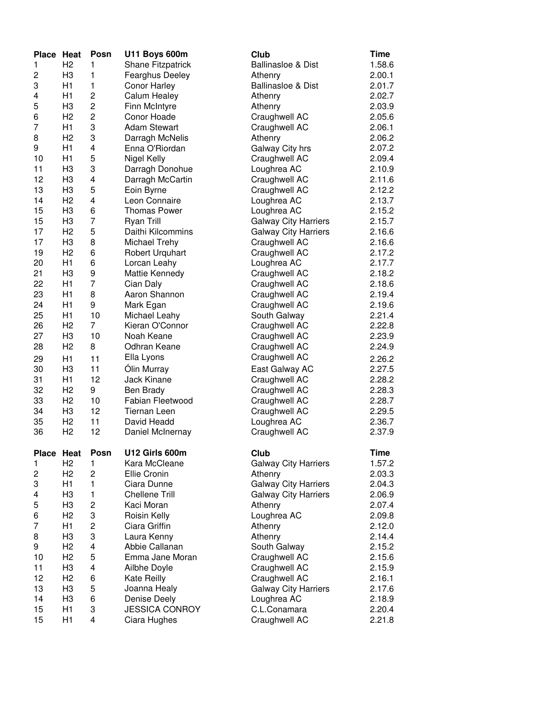| Place Heat   |                | Posn           | <b>U11 Boys 600m</b>  | Club                          | Time        |
|--------------|----------------|----------------|-----------------------|-------------------------------|-------------|
| 1            | H <sub>2</sub> | 1              | Shane Fitzpatrick     | <b>Ballinasloe &amp; Dist</b> | 1.58.6      |
| 2            | H <sub>3</sub> | 1              | Fearghus Deeley       | Athenry                       | 2.00.1      |
| 3            | H1             | 1              | <b>Conor Harley</b>   | <b>Ballinasloe &amp; Dist</b> | 2.01.7      |
| 4            | H1             | 2              | Calum Healey          | Athenry                       | 2.02.7      |
| 5            | H <sub>3</sub> | 2              | Finn McIntyre         | Athenry                       | 2.03.9      |
| 6            | H <sub>2</sub> | 2              | Conor Hoade           | Craughwell AC                 | 2.05.6      |
| 7            | H1             | 3              | <b>Adam Stewart</b>   | Craughwell AC                 | 2.06.1      |
| 8            | H <sub>2</sub> | 3              | Darragh McNelis       | Athenry                       | 2.06.2      |
| 9            | H1             | 4              | Enna O'Riordan        | Galway City hrs               | 2.07.2      |
| 10           | H1             | 5              | Nigel Kelly           | Craughwell AC                 | 2.09.4      |
| 11           | H <sub>3</sub> | 3              | Darragh Donohue       | Loughrea AC                   | 2.10.9      |
| 12           | H <sub>3</sub> | 4              | Darragh McCartin      | Craughwell AC                 | 2.11.6      |
| 13           | H <sub>3</sub> | 5              | Eoin Byrne            | Craughwell AC                 | 2.12.2      |
| 14           | H <sub>2</sub> | 4              | Leon Connaire         | Loughrea AC                   | 2.13.7      |
| 15           | H <sub>3</sub> | 6              | <b>Thomas Power</b>   | Loughrea AC                   | 2.15.2      |
| 15           | H <sub>3</sub> | 7              | <b>Ryan Trill</b>     | <b>Galway City Harriers</b>   | 2.15.7      |
| 17           | H <sub>2</sub> | 5              | Daithi Kilcommins     | <b>Galway City Harriers</b>   | 2.16.6      |
| 17           | H <sub>3</sub> | 8              | Michael Trehy         | Craughwell AC                 | 2.16.6      |
| 19           | H <sub>2</sub> | 6              | Robert Urquhart       | Craughwell AC                 | 2.17.2      |
| 20           | H1             | 6              | Lorcan Leahy          | Loughrea AC                   | 2.17.7      |
| 21           | H <sub>3</sub> | 9              | Mattie Kennedy        | Craughwell AC                 | 2.18.2      |
| 22           | H1             | 7              | Cian Daly             | Craughwell AC                 | 2.18.6      |
| 23           | H1             | 8              | Aaron Shannon         | Craughwell AC                 | 2.19.4      |
| 24           | H1             | 9              | Mark Egan             | Craughwell AC                 | 2.19.6      |
| 25           | H1             | 10             | Michael Leahy         | South Galway                  | 2.21.4      |
| 26           | H <sub>2</sub> | 7              | Kieran O'Connor       | Craughwell AC                 | 2.22.8      |
| 27           | H <sub>3</sub> | 10             | Noah Keane            | Craughwell AC                 | 2.23.9      |
| 28           | H <sub>2</sub> | 8              | Odhran Keane          | Craughwell AC                 | 2.24.9      |
| 29           | H1             | 11             | Ella Lyons            | Craughwell AC                 | 2.26.2      |
| 30           | H <sub>3</sub> | 11             | Ólin Murray           | East Galway AC                | 2.27.5      |
| 31           | H1             | 12             | Jack Kinane           | Craughwell AC                 | 2.28.2      |
| 32           | H <sub>2</sub> | 9              | Ben Brady             | Craughwell AC                 | 2.28.3      |
| 33           | H <sub>2</sub> | 10             | Fabian Fleetwood      | Craughwell AC                 | 2.28.7      |
| 34           | H <sub>3</sub> | 12             | <b>Tiernan Leen</b>   | Craughwell AC                 | 2.29.5      |
| 35           | H <sub>2</sub> | 11             | David Headd           | Loughrea AC                   | 2.36.7      |
| 36           | H <sub>2</sub> | 12             | Daniel McInernay      | Craughwell AC                 | 2.37.9      |
|              |                |                |                       |                               |             |
| <b>Place</b> | Heat           | Posn           | U12 Girls 600m        | <b>Club</b>                   | <b>Time</b> |
| 1            | H <sub>2</sub> | 1              | Kara McCleane         | <b>Galway City Harriers</b>   | 1.57.2      |
| 2            | H <sub>2</sub> | $\overline{c}$ | Ellie Cronin          | Athenry                       | 2.03.3      |
| 3            | H1             | $\mathbf{1}$   | Ciara Dunne           | <b>Galway City Harriers</b>   | 2.04.3      |
| 4            | H <sub>3</sub> | 1              | <b>Chellene Trill</b> | <b>Galway City Harriers</b>   | 2.06.9      |
| 5            | H <sub>3</sub> | 2              | Kaci Moran            | Athenry                       | 2.07.4      |
| 6            | H <sub>2</sub> | 3              | Roisin Kelly          | Loughrea AC                   | 2.09.8      |
| 7            | H1             | 2              | Ciara Griffin         | Athenry                       | 2.12.0      |
| 8            | H3             | 3              | Laura Kenny           | Athenry                       | 2.14.4      |
| 9            | H <sub>2</sub> | 4              | Abbie Callanan        | South Galway                  | 2.15.2      |
| 10           | H <sub>2</sub> | 5              | Emma Jane Moran       | Craughwell AC                 | 2.15.6      |
| 11           | H <sub>3</sub> | 4              | Ailbhe Doyle          | Craughwell AC                 | 2.15.9      |
| 12           | H <sub>2</sub> | 6              | Kate Reilly           | Craughwell AC                 | 2.16.1      |
| 13           | H <sub>3</sub> | 5              | Joanna Healy          | <b>Galway City Harriers</b>   | 2.17.6      |
| 14           | H <sub>3</sub> | 6              | Denise Deely          | Loughrea AC                   | 2.18.9      |
| 15           | H1             | 3              | <b>JESSICA CONROY</b> | C.L.Conamara                  | 2.20.4      |
| 15           | H1             | 4              | Ciara Hughes          | Craughwell AC                 | 2.21.8      |
|              |                |                |                       |                               |             |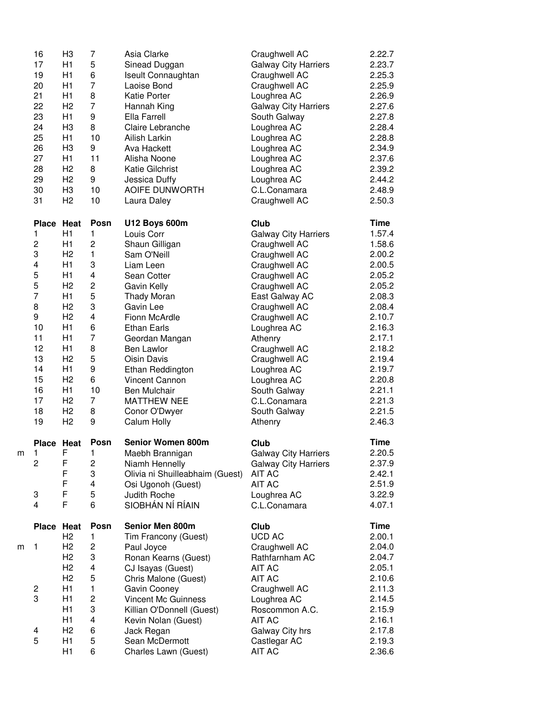|   | 16             | H <sub>3</sub> | 7                       | Asia Clarke                               | Craughwell AC                   | 2.22.7           |
|---|----------------|----------------|-------------------------|-------------------------------------------|---------------------------------|------------------|
|   | 17             | H1             | 5                       | Sinead Duggan                             | <b>Galway City Harriers</b>     | 2.23.7           |
|   | 19             | H1             | 6                       | Iseult Connaughtan                        | Craughwell AC                   | 2.25.3           |
|   | 20             | H1             | 7                       | Laoise Bond                               | Craughwell AC                   | 2.25.9           |
|   | 21             | H1             | 8                       | <b>Katie Porter</b>                       | Loughrea AC                     | 2.26.9           |
|   | 22             | H <sub>2</sub> | $\overline{7}$          | Hannah King                               | <b>Galway City Harriers</b>     | 2.27.6           |
|   | 23             | H1             | 9                       | Ella Farrell                              | South Galway                    | 2.27.8           |
|   | 24             | H <sub>3</sub> | 8                       | Claire Lebranche                          | Loughrea AC                     | 2.28.4           |
|   | 25             | H1             | 10                      | Ailish Larkin                             | Loughrea AC                     | 2.28.8           |
|   | 26             | H <sub>3</sub> | 9                       | Ava Hackett                               | Loughrea AC                     | 2.34.9           |
|   | 27             | H1             | 11                      | Alisha Noone                              | Loughrea AC                     | 2.37.6           |
|   | 28             | H <sub>2</sub> | 8                       | Katie Gilchrist                           | Loughrea AC                     | 2.39.2           |
|   | 29             | H <sub>2</sub> | 9                       | Jessica Duffy                             | Loughrea AC                     | 2.44.2           |
|   | 30             | H <sub>3</sub> | 10                      | AOIFE DUNWORTH                            | C.L.Conamara                    | 2.48.9           |
|   | 31             | H <sub>2</sub> | 10                      | Laura Daley                               | Craughwell AC                   | 2.50.3           |
|   | <b>Place</b>   | Heat           | Posn                    | <b>U12 Boys 600m</b>                      | Club                            | Time             |
|   | 1              | H1             | 1                       | Louis Corr                                | <b>Galway City Harriers</b>     | 1.57.4           |
|   | $\overline{c}$ | H1             | $\overline{c}$          | Shaun Gilligan                            | Craughwell AC                   | 1.58.6           |
|   | 3              | H <sub>2</sub> | 1                       | Sam O'Neill                               | Craughwell AC                   | 2.00.2           |
|   | 4              | H <sub>1</sub> | 3                       | Liam Leen                                 | Craughwell AC                   | 2.00.5           |
|   | 5              | H1             | 4                       | Sean Cotter                               | Craughwell AC                   | 2.05.2           |
|   | 5              | H <sub>2</sub> | 2                       | Gavin Kelly                               | Craughwell AC                   | 2.05.2           |
|   | $\overline{7}$ | H1             | 5                       | <b>Thady Moran</b>                        | East Galway AC                  | 2.08.3           |
|   | 8              | H <sub>2</sub> | 3                       | Gavin Lee                                 | Craughwell AC                   | 2.08.4           |
|   | 9              | H <sub>2</sub> | $\overline{\mathbf{4}}$ | Fionn McArdle                             | Craughwell AC                   | 2.10.7           |
|   | 10             | H1             | 6                       | <b>Ethan Earls</b>                        | Loughrea AC                     | 2.16.3           |
|   | 11             | H1             | $\overline{7}$          | Geordan Mangan                            | Athenry                         | 2.17.1           |
|   | 12             | H1             | 8                       | <b>Ben Lawlor</b>                         | Craughwell AC                   | 2.18.2           |
|   | 13             | H <sub>2</sub> | 5                       | Oisin Davis                               | Craughwell AC                   | 2.19.4           |
|   | 14             | H1             | 9                       | Ethan Reddington                          | Loughrea AC                     | 2.19.7           |
|   | 15             | H <sub>2</sub> | 6                       | <b>Vincent Cannon</b>                     | Loughrea AC                     | 2.20.8           |
|   | 16             | H <sub>1</sub> | 10                      | Ben Mulchair                              | South Galway                    | 2.21.1           |
|   | 17             | H <sub>2</sub> | 7                       | <b>MATTHEW NEE</b>                        | C.L.Conamara                    | 2.21.3           |
|   | 18             | H <sub>2</sub> | 8                       | Conor O'Dwyer                             | South Galway                    | 2.21.5           |
|   | 19             | H <sub>2</sub> | 9                       | Calum Holly                               | Athenry                         | 2.46.3           |
|   | <b>Place</b>   | Heat           | Posn                    | <b>Senior Women 800m</b>                  | Club                            | Time             |
| m | 1              | F              | 1                       | Maebh Brannigan                           | <b>Galway City Harriers</b>     | 2.20.5           |
|   | 2              | F              | 2                       | Niamh Hennelly                            | <b>Galway City Harriers</b>     | 2.37.9           |
|   |                | F              | 3                       | Olivia ni Shuilleabhaim (Guest)           | AIT AC                          | 2.42.1           |
|   |                | F              | 4                       | Osi Ugonoh (Guest)                        | <b>AIT AC</b>                   | 2.51.9           |
|   | 3              | F              | 5                       | Judith Roche                              | Loughrea AC                     | 3.22.9           |
|   | 4              | F              | 6                       | SIOBHÁN NÍ RÍAIN                          | C.L.Conamara                    | 4.07.1           |
|   | Place          | Heat           | Posn                    | Senior Men 800m                           | Club                            | <b>Time</b>      |
|   |                |                |                         | Tim Francony (Guest)                      | <b>UCD AC</b>                   | 2.00.1           |
| m |                | H <sub>2</sub> | 1                       |                                           |                                 |                  |
|   | 1              | H2             | 2                       | Paul Joyce                                | Craughwell AC                   | 2.04.0           |
|   |                | H <sub>2</sub> | 3                       |                                           |                                 | 2.04.7           |
|   |                | H <sub>2</sub> | 4                       | Ronan Kearns (Guest)<br>CJ Isayas (Guest) | Rathfarnham AC<br><b>AIT AC</b> | 2.05.1           |
|   |                | H <sub>2</sub> |                         |                                           |                                 |                  |
|   |                | H1             | 5                       | Chris Malone (Guest)                      | <b>AIT AC</b>                   | 2.10.6           |
|   | 2              |                | $\mathbf{1}$            | Gavin Cooney                              | Craughwell AC                   | 2.11.3           |
|   | 3              | H1             | 2                       | Vincent Mc Guinness                       | Loughrea AC                     | 2.14.5           |
|   |                | H1             | 3                       | Killian O'Donnell (Guest)                 | Roscommon A.C.                  | 2.15.9           |
|   |                | H1             | 4                       | Kevin Nolan (Guest)                       | <b>AIT AC</b>                   | 2.16.1           |
|   | 4              | H <sub>2</sub> | 6                       | Jack Regan                                | Galway City hrs                 | 2.17.8           |
|   | 5              | H1<br>H1       | 5<br>6                  | Sean McDermott<br>Charles Lawn (Guest)    | Castlegar AC<br>AIT AC          | 2.19.3<br>2.36.6 |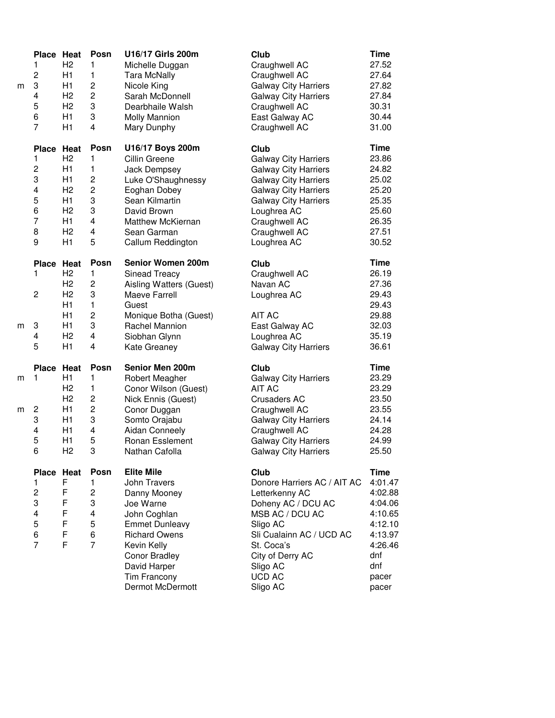| m | Place Heat<br>1<br>$\overline{c}$<br>3<br>4<br>5<br>6<br>7 | H <sub>2</sub><br>H1<br>H1<br>H <sub>2</sub><br>H <sub>2</sub><br>H1<br>H1 | Posn<br>1<br>$\mathbf{1}$<br>$\overline{c}$<br>$\overline{c}$<br>3<br>3<br>4 | U16/17 Girls 200m<br>Michelle Duggan<br><b>Tara McNally</b><br>Nicole King<br>Sarah McDonnell<br>Dearbhaile Walsh<br><b>Molly Mannion</b><br>Mary Dunphy | Club<br>Craughwell AC<br>Craughwell AC<br><b>Galway City Harriers</b><br><b>Galway City Harriers</b><br>Craughwell AC<br>East Galway AC<br>Craughwell AC | <b>Time</b><br>27.52<br>27.64<br>27.82<br>27.84<br>30.31<br>30.44<br>31.00 |
|---|------------------------------------------------------------|----------------------------------------------------------------------------|------------------------------------------------------------------------------|----------------------------------------------------------------------------------------------------------------------------------------------------------|----------------------------------------------------------------------------------------------------------------------------------------------------------|----------------------------------------------------------------------------|
|   | <b>Place</b>                                               | Heat                                                                       | Posn                                                                         | U16/17 Boys 200m                                                                                                                                         | Club                                                                                                                                                     | <b>Time</b>                                                                |
|   | 1                                                          | H <sub>2</sub>                                                             | 1                                                                            | Cillin Greene                                                                                                                                            | <b>Galway City Harriers</b>                                                                                                                              | 23.86                                                                      |
|   | $\overline{c}$                                             | H1                                                                         | 1                                                                            | Jack Dempsey                                                                                                                                             | <b>Galway City Harriers</b>                                                                                                                              | 24.82                                                                      |
|   | 3                                                          | H1                                                                         | 2                                                                            | Luke O'Shaughnessy                                                                                                                                       | <b>Galway City Harriers</b>                                                                                                                              | 25.02                                                                      |
|   | 4                                                          | H <sub>2</sub>                                                             | $\overline{c}$                                                               | Eoghan Dobey                                                                                                                                             | <b>Galway City Harriers</b>                                                                                                                              | 25.20                                                                      |
|   | 5                                                          | H1                                                                         | 3                                                                            | Sean Kilmartin                                                                                                                                           | <b>Galway City Harriers</b>                                                                                                                              | 25.35                                                                      |
|   | 6<br>$\overline{7}$                                        | H <sub>2</sub>                                                             | 3                                                                            | David Brown                                                                                                                                              | Loughrea AC                                                                                                                                              | 25.60                                                                      |
|   | 8                                                          | H1<br>H <sub>2</sub>                                                       | 4<br>4                                                                       | Matthew McKiernan                                                                                                                                        | Craughwell AC                                                                                                                                            | 26.35                                                                      |
|   | 9                                                          | H1                                                                         | 5                                                                            | Sean Garman<br>Callum Reddington                                                                                                                         | Craughwell AC<br>Loughrea AC                                                                                                                             | 27.51<br>30.52                                                             |
|   |                                                            |                                                                            |                                                                              |                                                                                                                                                          |                                                                                                                                                          |                                                                            |
|   | <b>Place</b>                                               | Heat                                                                       | Posn                                                                         | <b>Senior Women 200m</b>                                                                                                                                 | Club                                                                                                                                                     | <b>Time</b>                                                                |
|   | 1                                                          | H <sub>2</sub>                                                             | 1                                                                            | <b>Sinead Treacy</b>                                                                                                                                     | Craughwell AC                                                                                                                                            | 26.19                                                                      |
|   |                                                            | H <sub>2</sub>                                                             | 2                                                                            | Aisling Watters (Guest)                                                                                                                                  | Navan AC                                                                                                                                                 | 27.36                                                                      |
|   | $\overline{c}$                                             | H <sub>2</sub>                                                             | 3                                                                            | Maeve Farrell                                                                                                                                            | Loughrea AC                                                                                                                                              | 29.43                                                                      |
|   |                                                            | H1                                                                         | 1                                                                            | Guest                                                                                                                                                    |                                                                                                                                                          | 29.43                                                                      |
|   |                                                            | H1                                                                         | $\overline{c}$                                                               | Monique Botha (Guest)                                                                                                                                    | AIT AC                                                                                                                                                   | 29.88                                                                      |
| m | 3                                                          | H1                                                                         | 3                                                                            | Rachel Mannion                                                                                                                                           | East Galway AC                                                                                                                                           | 32.03                                                                      |
|   | 4<br>5                                                     | H <sub>2</sub>                                                             | 4                                                                            | Siobhan Glynn                                                                                                                                            | Loughrea AC                                                                                                                                              | 35.19                                                                      |
|   |                                                            | H1                                                                         | 4                                                                            | Kate Greaney                                                                                                                                             | <b>Galway City Harriers</b>                                                                                                                              | 36.61                                                                      |
|   | Place Heat                                                 |                                                                            | Posn                                                                         | Senior Men 200m                                                                                                                                          | Club                                                                                                                                                     | <b>Time</b>                                                                |
| m | 1                                                          | H1                                                                         | 1                                                                            | Robert Meagher                                                                                                                                           | <b>Galway City Harriers</b>                                                                                                                              | 23.29                                                                      |
|   |                                                            | H <sub>2</sub>                                                             | 1                                                                            | Conor Wilson (Guest)                                                                                                                                     | <b>AIT AC</b>                                                                                                                                            | 23.29                                                                      |
|   |                                                            | H <sub>2</sub>                                                             | 2                                                                            | Nick Ennis (Guest)                                                                                                                                       | <b>Crusaders AC</b>                                                                                                                                      | 23.50                                                                      |
| m | 2                                                          | H1                                                                         | $\overline{c}$                                                               | Conor Duggan                                                                                                                                             | Craughwell AC                                                                                                                                            | 23.55                                                                      |
|   | 3                                                          | H1                                                                         | 3                                                                            | Somto Orajabu                                                                                                                                            | <b>Galway City Harriers</b>                                                                                                                              | 24.14                                                                      |
|   | 4                                                          | H1                                                                         | 4                                                                            | <b>Aidan Conneely</b>                                                                                                                                    | Craughwell AC                                                                                                                                            | 24.28                                                                      |
|   | 5<br>6                                                     | H1                                                                         | 5<br>3                                                                       | Ronan Esslement                                                                                                                                          | <b>Galway City Harriers</b>                                                                                                                              | 24.99                                                                      |
|   |                                                            | H <sub>2</sub>                                                             |                                                                              | Nathan Cafolla                                                                                                                                           | <b>Galway City Harriers</b>                                                                                                                              | 25.50                                                                      |
|   | Place Heat                                                 |                                                                            | Posn                                                                         | <b>Elite Mile</b>                                                                                                                                        | Club                                                                                                                                                     | <b>Time</b>                                                                |
|   | 1                                                          | F                                                                          | $\mathbf{1}$                                                                 | <b>John Travers</b>                                                                                                                                      | Donore Harriers AC / AIT AC                                                                                                                              | 4:01.47                                                                    |
|   | $\overline{\mathbf{c}}$                                    | F                                                                          | 2                                                                            | Danny Mooney                                                                                                                                             | Letterkenny AC                                                                                                                                           | 4:02.88                                                                    |
|   | 3                                                          | F                                                                          | 3                                                                            | Joe Warne                                                                                                                                                | Doheny AC / DCU AC                                                                                                                                       | 4:04.06                                                                    |
|   | 4                                                          | F                                                                          | 4                                                                            | John Coghlan                                                                                                                                             | MSB AC / DCU AC                                                                                                                                          | 4:10.65                                                                    |
|   | 5                                                          | F                                                                          | 5                                                                            | <b>Emmet Dunleavy</b>                                                                                                                                    | Sligo AC                                                                                                                                                 | 4:12.10                                                                    |
|   | 6                                                          | F                                                                          | 6                                                                            | <b>Richard Owens</b>                                                                                                                                     | Sli Cualainn AC / UCD AC                                                                                                                                 | 4:13.97                                                                    |
|   | $\overline{7}$                                             | F                                                                          | $\overline{7}$                                                               | Kevin Kelly                                                                                                                                              | St. Coca's                                                                                                                                               | 4:26.46                                                                    |
|   |                                                            |                                                                            |                                                                              | <b>Conor Bradley</b>                                                                                                                                     | City of Derry AC                                                                                                                                         | dnf                                                                        |
|   |                                                            |                                                                            |                                                                              | David Harper                                                                                                                                             | Sligo AC                                                                                                                                                 | dnf                                                                        |
|   |                                                            |                                                                            |                                                                              | Tim Francony                                                                                                                                             | <b>UCD AC</b>                                                                                                                                            | pacer                                                                      |
|   |                                                            |                                                                            |                                                                              | Dermot McDermott                                                                                                                                         | Sligo AC                                                                                                                                                 | pacer                                                                      |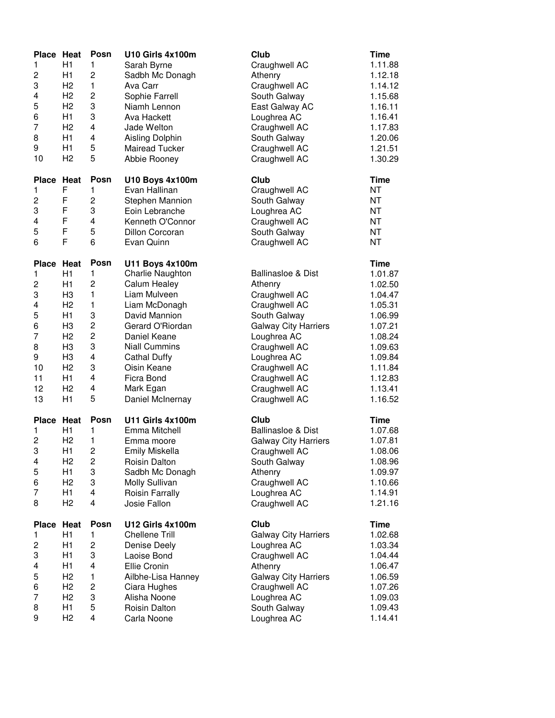| Place Heat<br>1<br>2<br>3<br>4<br>5<br>6<br>7<br>8<br>9<br>10                   | H1<br>H1<br>H <sub>2</sub><br>H <sub>2</sub><br>H <sub>2</sub><br>H1<br>H <sub>2</sub><br>H1<br>H1<br>H <sub>2</sub>                                                       | Posn<br>1<br>$\overline{c}$<br>1<br>$\overline{\mathbf{c}}$<br>3<br>3<br>4<br>4<br>5<br>5                             | U10 Girls 4x100m<br>Sarah Byrne<br>Sadbh Mc Donagh<br>Ava Carr<br>Sophie Farrell<br>Niamh Lennon<br>Ava Hackett<br>Jade Welton<br>Aisling Dolphin<br><b>Mairead Tucker</b><br>Abbie Rooney                                                             | Club<br>Craughwell AC<br>Athenry<br>Craughwell AC<br>South Galway<br>East Galway AC<br>Loughrea AC<br>Craughwell AC<br>South Galway<br>Craughwell AC<br>Craughwell AC                                                                        | <b>Time</b><br>1.11.88<br>1.12.18<br>1.14.12<br>1.15.68<br>1.16.11<br>1.16.41<br>1.17.83<br>1.20.06<br>1.21.51<br>1.30.29                           |
|---------------------------------------------------------------------------------|----------------------------------------------------------------------------------------------------------------------------------------------------------------------------|-----------------------------------------------------------------------------------------------------------------------|--------------------------------------------------------------------------------------------------------------------------------------------------------------------------------------------------------------------------------------------------------|----------------------------------------------------------------------------------------------------------------------------------------------------------------------------------------------------------------------------------------------|-----------------------------------------------------------------------------------------------------------------------------------------------------|
| Place Heat<br>1<br>$\overline{\mathbf{c}}$<br>3<br>4<br>5<br>6                  | F<br>F<br>F<br>F<br>F<br>F                                                                                                                                                 | Posn<br>1<br>$\overline{c}$<br>3<br>4<br>5<br>6                                                                       | <b>U10 Boys 4x100m</b><br>Evan Hallinan<br>Stephen Mannion<br>Eoin Lebranche<br>Kenneth O'Connor<br>Dillon Corcoran<br>Evan Quinn                                                                                                                      | Club<br>Craughwell AC<br>South Galway<br>Loughrea AC<br>Craughwell AC<br>South Galway<br>Craughwell AC                                                                                                                                       | <b>Time</b><br><b>NT</b><br>ΝT<br>NT<br><b>NT</b><br><b>NT</b><br><b>NT</b>                                                                         |
| Place Heat<br>1<br>2<br>3<br>4<br>5<br>6<br>7<br>8<br>9<br>10<br>11<br>12<br>13 | H1<br>H1<br>H <sub>3</sub><br>H <sub>2</sub><br>H1<br>H <sub>3</sub><br>H <sub>2</sub><br>H <sub>3</sub><br>H <sub>3</sub><br>H <sub>2</sub><br>H1<br>H <sub>2</sub><br>H1 | Posn<br>1<br>$\overline{c}$<br>1<br>1<br>3<br>$\overline{\mathbf{c}}$<br>$\overline{c}$<br>3<br>4<br>3<br>4<br>4<br>5 | <b>U11 Boys 4x100m</b><br>Charlie Naughton<br>Calum Healey<br>Liam Mulveen<br>Liam McDonagh<br>David Mannion<br>Gerard O'Riordan<br>Daniel Keane<br>Niall Cummins<br><b>Cathal Duffy</b><br>Oisin Keane<br>Ficra Bond<br>Mark Egan<br>Daniel McInernay | <b>Ballinasloe &amp; Dist</b><br>Athenry<br>Craughwell AC<br>Craughwell AC<br>South Galway<br><b>Galway City Harriers</b><br>Loughrea AC<br>Craughwell AC<br>Loughrea AC<br>Craughwell AC<br>Craughwell AC<br>Craughwell AC<br>Craughwell AC | Time<br>1.01.87<br>1.02.50<br>1.04.47<br>1.05.31<br>1.06.99<br>1.07.21<br>1.08.24<br>1.09.63<br>1.09.84<br>1.11.84<br>1.12.83<br>1.13.41<br>1.16.52 |
| Place Heat<br>1<br>$\overline{c}$<br>3<br>4<br>5<br>6<br>7<br>8                 | H1<br>H <sub>2</sub><br>H1<br>H <sub>2</sub><br>H1<br>H <sub>2</sub><br>H1<br>H <sub>2</sub>                                                                               | Posn<br>1<br>1<br>$\overline{2}$<br>$\overline{c}$<br>3<br>3<br>4<br>4                                                | U11 Girls 4x100m<br>Emma Mitchell<br>Emma moore<br>Emily Miskella<br>Roisin Dalton<br>Sadbh Mc Donagh<br>Molly Sullivan<br><b>Roisin Farrally</b><br>Josie Fallon                                                                                      | Club<br><b>Ballinasloe &amp; Dist</b><br><b>Galway City Harriers</b><br>Craughwell AC<br>South Galway<br>Athenry<br>Craughwell AC<br>Loughrea AC<br>Craughwell AC                                                                            | <b>Time</b><br>1.07.68<br>1.07.81<br>1.08.06<br>1.08.96<br>1.09.97<br>1.10.66<br>1.14.91<br>1.21.16                                                 |
| Place Heat<br>1<br>$\overline{\mathbf{c}}$<br>3<br>4<br>5<br>6<br>7<br>8<br>9   | H1<br>H1<br>H1<br>H1<br>H <sub>2</sub><br>H <sub>2</sub><br>H <sub>2</sub><br>H1<br>H <sub>2</sub>                                                                         | Posn<br>1<br>$\overline{c}$<br>3<br>$\overline{\mathbf{4}}$<br>1<br>$\overline{\mathbf{c}}$<br>3<br>5<br>4            | U12 Girls 4x100m<br><b>Chellene Trill</b><br>Denise Deely<br>Laoise Bond<br>Ellie Cronin<br>Ailbhe-Lisa Hanney<br>Ciara Hughes<br>Alisha Noone<br>Roisin Dalton<br>Carla Noone                                                                         | Club<br><b>Galway City Harriers</b><br>Loughrea AC<br>Craughwell AC<br>Athenry<br><b>Galway City Harriers</b><br>Craughwell AC<br>Loughrea AC<br>South Galway<br>Loughrea AC                                                                 | <b>Time</b><br>1.02.68<br>1.03.34<br>1.04.44<br>1.06.47<br>1.06.59<br>1.07.26<br>1.09.03<br>1.09.43<br>1.14.41                                      |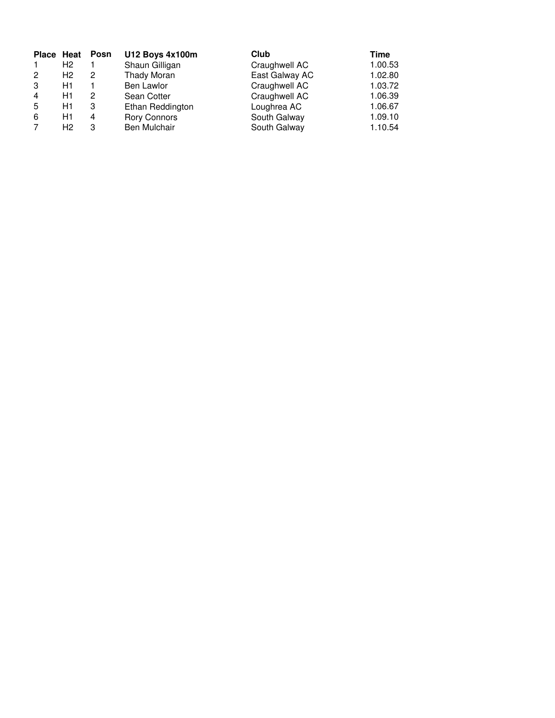| Place Heat     |                | Posn | <b>U12 Boys 4x100m</b> | Club           | Time    |
|----------------|----------------|------|------------------------|----------------|---------|
| $\mathbf{1}$   | H <sub>2</sub> |      | Shaun Gilligan         | Craughwell AC  | 1.00.53 |
| $\overline{2}$ | H <sub>2</sub> | 2    | Thady Moran            | East Galway AC | 1.02.80 |
| 3              | H1             |      | Ben Lawlor             | Craughwell AC  | 1.03.72 |
| $\overline{4}$ | H1             | 2    | Sean Cotter            | Craughwell AC  | 1.06.39 |
| 5              | H1             | 3    | Ethan Reddington       | Loughrea AC    | 1.06.67 |
| 6              | H1             | 4    | <b>Rory Connors</b>    | South Galway   | 1.09.10 |
| 7              | H2             | З    | Ben Mulchair           | South Galway   | 1.10.54 |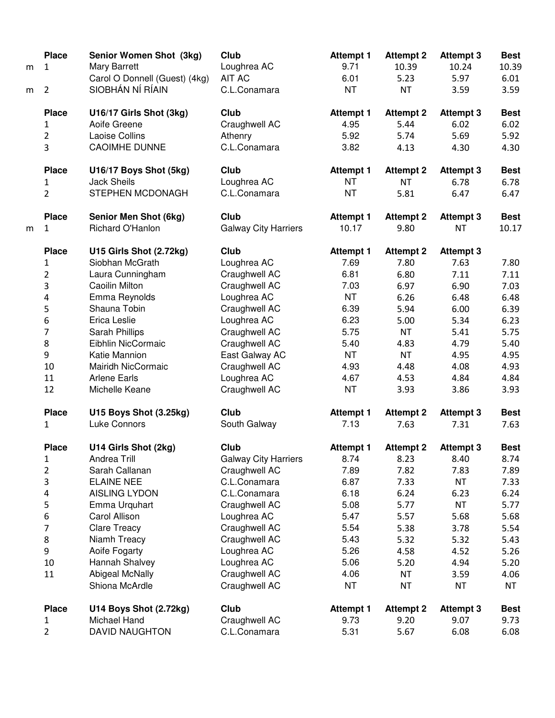| m | <b>Place</b><br>$\mathbf{1}$ | Senior Women Shot (3kg)<br><b>Mary Barrett</b> | Club<br>Loughrea AC         | <b>Attempt 1</b><br>9.71 | <b>Attempt 2</b><br>10.39 | <b>Attempt 3</b><br>10.24 | <b>Best</b><br>10.39 |
|---|------------------------------|------------------------------------------------|-----------------------------|--------------------------|---------------------------|---------------------------|----------------------|
|   |                              | Carol O Donnell (Guest) (4kg)                  | <b>AIT AC</b>               | 6.01                     | 5.23                      | 5.97                      | 6.01                 |
| m | $\overline{2}$               | SIOBHÁN NÍ RÍAIN                               | C.L.Conamara                | <b>NT</b>                | <b>NT</b>                 | 3.59                      | 3.59                 |
|   | <b>Place</b>                 | U16/17 Girls Shot (3kg)                        | Club                        | <b>Attempt 1</b>         | <b>Attempt 2</b>          | <b>Attempt 3</b>          | <b>Best</b>          |
|   | $\mathbf{1}$                 | Aoife Greene                                   | Craughwell AC               | 4.95                     | 5.44                      | 6.02                      | 6.02                 |
|   | $\overline{2}$               | <b>Laoise Collins</b>                          | Athenry                     | 5.92                     | 5.74                      | 5.69                      | 5.92                 |
|   | $\overline{3}$               | <b>CAOIMHE DUNNE</b>                           | C.L.Conamara                | 3.82                     | 4.13                      | 4.30                      | 4.30                 |
|   | <b>Place</b>                 | U16/17 Boys Shot (5kg)                         | Club                        | <b>Attempt 1</b>         | <b>Attempt 2</b>          | <b>Attempt 3</b>          | <b>Best</b>          |
|   | 1                            | <b>Jack Sheils</b>                             | Loughrea AC                 | <b>NT</b>                | <b>NT</b>                 | 6.78                      | 6.78                 |
|   | $\overline{2}$               | STEPHEN MCDONAGH                               | C.L.Conamara                | <b>NT</b>                | 5.81                      | 6.47                      | 6.47                 |
|   | <b>Place</b>                 | Senior Men Shot (6kg)                          | Club                        | <b>Attempt 1</b>         | <b>Attempt 2</b>          | <b>Attempt 3</b>          | <b>Best</b>          |
| m | 1                            | Richard O'Hanlon                               | <b>Galway City Harriers</b> | 10.17                    | 9.80                      | <b>NT</b>                 | 10.17                |
|   | <b>Place</b>                 | U15 Girls Shot (2.72kg)                        | Club                        | <b>Attempt 1</b>         | <b>Attempt 2</b>          | <b>Attempt 3</b>          |                      |
|   | 1                            | Siobhan McGrath                                | Loughrea AC                 | 7.69                     | 7.80                      | 7.63                      | 7.80                 |
|   | $\overline{2}$               | Laura Cunningham                               | Craughwell AC               | 6.81                     | 6.80                      | 7.11                      | 7.11                 |
|   | 3                            | Caoilin Milton                                 | Craughwell AC               | 7.03                     | 6.97                      | 6.90                      | 7.03                 |
|   | 4                            | Emma Reynolds                                  | Loughrea AC                 | <b>NT</b>                | 6.26                      | 6.48                      | 6.48                 |
|   | 5                            | Shauna Tobin                                   | Craughwell AC               | 6.39                     | 5.94                      | 6.00                      | 6.39                 |
|   | 6                            | Erica Leslie                                   | Loughrea AC                 | 6.23                     | 5.00                      | 5.34                      | 6.23                 |
|   | $\overline{7}$               | Sarah Phillips                                 | Craughwell AC               | 5.75                     | <b>NT</b>                 | 5.41                      | 5.75                 |
|   | 8                            | Eibhlin NicCormaic                             | Craughwell AC               | 5.40                     | 4.83                      | 4.79                      | 5.40                 |
|   | 9                            | Katie Mannion                                  | East Galway AC              | NT                       | <b>NT</b>                 | 4.95                      | 4.95                 |
|   | 10                           | Mairidh NicCormaic                             | Craughwell AC               | 4.93                     | 4.48                      | 4.08                      | 4.93                 |
|   | 11                           | <b>Arlene Earls</b>                            | Loughrea AC                 | 4.67                     | 4.53                      | 4.84                      | 4.84                 |
|   | 12                           | Michelle Keane                                 | Craughwell AC               | <b>NT</b>                | 3.93                      | 3.86                      | 3.93                 |
|   | <b>Place</b>                 | U15 Boys Shot (3.25kg)                         | Club                        | <b>Attempt 1</b>         | <b>Attempt 2</b>          | <b>Attempt 3</b>          | <b>Best</b>          |
|   | $\mathbf{1}$                 | <b>Luke Connors</b>                            | South Galway                | 7.13                     | 7.63                      | 7.31                      | 7.63                 |
|   | <b>Place</b>                 | U14 Girls Shot (2kg)                           | Club                        | <b>Attempt 1</b>         | <b>Attempt 2</b>          | <b>Attempt 3</b>          | <b>Best</b>          |
|   | 1                            | Andrea Trill                                   | <b>Galway City Harriers</b> | 8.74                     | 8.23                      | 8.40                      | 8.74                 |
|   | 2                            | Sarah Callanan                                 | Craughwell AC               | 7.89                     | 7.82                      | 7.83                      | 7.89                 |
|   | 3                            | <b>ELAINE NEE</b>                              | C.L.Conamara                | 6.87                     | 7.33                      | <b>NT</b>                 | 7.33                 |
|   | 4                            | <b>AISLING LYDON</b>                           | C.L.Conamara                | 6.18                     | 6.24                      | 6.23                      | 6.24                 |
|   | 5                            | Emma Urquhart                                  | Craughwell AC               | 5.08                     | 5.77                      | <b>NT</b>                 | 5.77                 |
|   | 6                            | Carol Allison                                  | Loughrea AC                 | 5.47                     | 5.57                      | 5.68                      | 5.68                 |
|   | 7                            | <b>Clare Treacy</b>                            | Craughwell AC               | 5.54                     | 5.38                      | 3.78                      | 5.54                 |
|   | 8                            | Niamh Treacy                                   | Craughwell AC               | 5.43                     | 5.32                      | 5.32                      | 5.43                 |
|   | 9                            | Aoife Fogarty                                  | Loughrea AC                 | 5.26                     | 4.58                      | 4.52                      | 5.26                 |
|   | 10                           | Hannah Shalvey                                 | Loughrea AC                 | 5.06                     | 5.20                      | 4.94                      | 5.20                 |
|   | 11                           | <b>Abigeal McNally</b>                         | Craughwell AC               | 4.06                     | <b>NT</b>                 | 3.59                      | 4.06                 |
|   |                              | Shiona McArdle                                 | Craughwell AC               | NT                       | <b>NT</b>                 | <b>NT</b>                 | <b>NT</b>            |
|   | <b>Place</b>                 | U14 Boys Shot (2.72kg)                         | Club                        | <b>Attempt 1</b>         | <b>Attempt 2</b>          | <b>Attempt 3</b>          | <b>Best</b>          |
|   | $\mathbf{1}$                 | Michael Hand                                   | Craughwell AC               | 9.73                     | 9.20                      | 9.07                      | 9.73                 |
|   | $\overline{2}$               | <b>DAVID NAUGHTON</b>                          | C.L.Conamara                | 5.31                     | 5.67                      | 6.08                      | 6.08                 |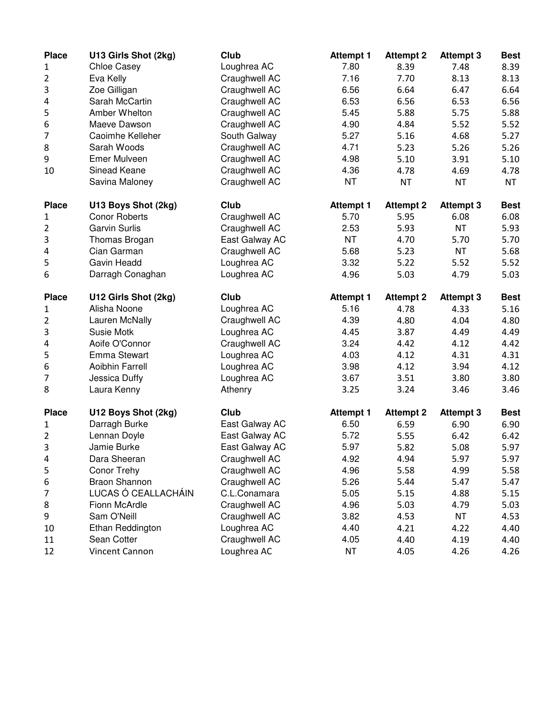| <b>Place</b>   | U13 Girls Shot (2kg) | Club           | <b>Attempt 1</b> | <b>Attempt 2</b> | <b>Attempt 3</b> | <b>Best</b> |
|----------------|----------------------|----------------|------------------|------------------|------------------|-------------|
| 1              | <b>Chloe Casey</b>   | Loughrea AC    | 7.80             | 8.39             | 7.48             | 8.39        |
| 2              | Eva Kelly            | Craughwell AC  | 7.16             | 7.70             | 8.13             | 8.13        |
| 3              | Zoe Gilligan         | Craughwell AC  | 6.56             | 6.64             | 6.47             | 6.64        |
| 4              | Sarah McCartin       | Craughwell AC  | 6.53             | 6.56             | 6.53             | 6.56        |
| 5              | Amber Whelton        | Craughwell AC  | 5.45             | 5.88             | 5.75             | 5.88        |
| 6              | Maeve Dawson         | Craughwell AC  | 4.90             | 4.84             | 5.52             | 5.52        |
| 7              | Caoimhe Kelleher     | South Galway   | 5.27             | 5.16             | 4.68             | 5.27        |
| 8              | Sarah Woods          | Craughwell AC  | 4.71             | 5.23             | 5.26             | 5.26        |
| 9              | Emer Mulveen         | Craughwell AC  | 4.98             | 5.10             | 3.91             | 5.10        |
| 10             | Sinead Keane         | Craughwell AC  | 4.36             | 4.78             | 4.69             | 4.78        |
|                | Savina Maloney       | Craughwell AC  | <b>NT</b>        | <b>NT</b>        | <b>NT</b>        | <b>NT</b>   |
| <b>Place</b>   | U13 Boys Shot (2kg)  | Club           | <b>Attempt 1</b> | <b>Attempt 2</b> | <b>Attempt 3</b> | <b>Best</b> |
| 1              | <b>Conor Roberts</b> | Craughwell AC  | 5.70             | 5.95             | 6.08             | 6.08        |
| 2              | <b>Garvin Surlis</b> | Craughwell AC  | 2.53             | 5.93             | <b>NT</b>        | 5.93        |
| 3              | Thomas Brogan        | East Galway AC | <b>NT</b>        | 4.70             | 5.70             | 5.70        |
| 4              | Cian Garman          | Craughwell AC  | 5.68             | 5.23             | <b>NT</b>        | 5.68        |
| 5              | Gavin Headd          | Loughrea AC    | 3.32             | 5.22             | 5.52             | 5.52        |
| 6              | Darragh Conaghan     | Loughrea AC    | 4.96             | 5.03             | 4.79             | 5.03        |
| <b>Place</b>   | U12 Girls Shot (2kg) | Club           | <b>Attempt 1</b> | <b>Attempt 2</b> | <b>Attempt 3</b> | <b>Best</b> |
| 1              | Alisha Noone         | Loughrea AC    | 5.16             | 4.78             | 4.33             | 5.16        |
| 2              | Lauren McNally       | Craughwell AC  | 4.39             | 4.80             | 4.04             | 4.80        |
| 3              | Susie Motk           | Loughrea AC    | 4.45             | 3.87             | 4.49             | 4.49        |
| 4              | Aoife O'Connor       | Craughwell AC  | 3.24             | 4.42             | 4.12             | 4.42        |
| 5              | Emma Stewart         | Loughrea AC    | 4.03             | 4.12             | 4.31             | 4.31        |
| 6              | Aoibhin Farrell      | Loughrea AC    | 3.98             | 4.12             | 3.94             | 4.12        |
| 7              | Jessica Duffy        | Loughrea AC    | 3.67             | 3.51             | 3.80             | 3.80        |
| 8              | Laura Kenny          | Athenry        | 3.25             | 3.24             | 3.46             | 3.46        |
| <b>Place</b>   | U12 Boys Shot (2kg)  | Club           | <b>Attempt 1</b> | <b>Attempt 2</b> | <b>Attempt 3</b> | <b>Best</b> |
| 1              | Darragh Burke        | East Galway AC | 6.50             | 6.59             | 6.90             | 6.90        |
| $\overline{2}$ | Lennan Doyle         | East Galway AC | 5.72             | 5.55             | 6.42             | 6.42        |
| 3              | Jamie Burke          | East Galway AC | 5.97             | 5.82             | 5.08             | 5.97        |
| 4              | Dara Sheeran         | Craughwell AC  | 4.92             | 4.94             | 5.97             | 5.97        |
| 5              | Conor Trehy          | Craughwell AC  | 4.96             | 5.58             | 4.99             | 5.58        |
| 6              | <b>Braon Shannon</b> | Craughwell AC  | 5.26             | 5.44             | 5.47             | 5.47        |
| 7              | LUCAS Ó CEALLACHÁIN  | C.L.Conamara   | 5.05             | 5.15             | 4.88             | 5.15        |
| 8              | Fionn McArdle        | Craughwell AC  | 4.96             | 5.03             | 4.79             | 5.03        |
| 9              | Sam O'Neill          | Craughwell AC  | 3.82             | 4.53             | NT               | 4.53        |
| 10             | Ethan Reddington     | Loughrea AC    | 4.40             | 4.21             | 4.22             | 4.40        |
| 11             | Sean Cotter          | Craughwell AC  | 4.05             | 4.40             | 4.19             | 4.40        |
| 12             | Vincent Cannon       | Loughrea AC    | <b>NT</b>        | 4.05             | 4.26             | 4.26        |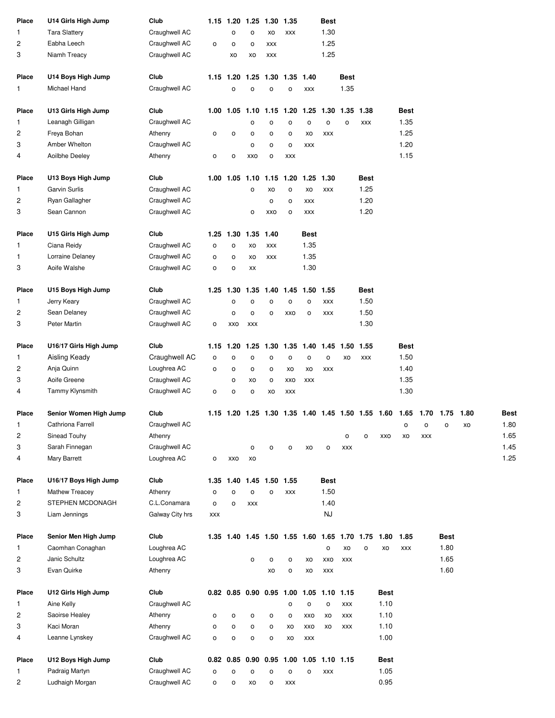| Place                   | U14 Girls High Jump    | Club            |            |              |                | 1.15 1.20 1.25 1.30      | 1.35       |                                              | Best           |            |              |             |              |            |                                                                       |    |      |
|-------------------------|------------------------|-----------------|------------|--------------|----------------|--------------------------|------------|----------------------------------------------|----------------|------------|--------------|-------------|--------------|------------|-----------------------------------------------------------------------|----|------|
| 1                       | <b>Tara Slattery</b>   | Craughwell AC   |            | o            | O              | XO                       | XXX        |                                              | 1.30           |            |              |             |              |            |                                                                       |    |      |
| $\overline{\mathbf{c}}$ | Eabha Leech            | Craughwell AC   | o          | $\mathsf{o}$ | O              | <b>XXX</b>               |            |                                              | 1.25           |            |              |             |              |            |                                                                       |    |      |
| 3                       | Niamh Treacy           | Craughwell AC   |            | XO           | XO             | <b>XXX</b>               |            |                                              | 1.25           |            |              |             |              |            |                                                                       |    |      |
| Place                   | U14 Boys High Jump     | Club            |            | 1.15 1.20    |                | 1.25 1.30 1.35           |            | 1.40                                         |                | Best       |              |             |              |            |                                                                       |    |      |
| 1                       | Michael Hand           | Craughwell AC   |            | O            | O              | $\mathsf{o}$             | O          | XXX                                          |                | 1.35       |              |             |              |            |                                                                       |    |      |
| Place                   | U13 Girls High Jump    | Club            |            | 1.00 1.05    |                | 1.10 1.15 1.20           |            | 1.25                                         | 1.30           | 1.35       | 1.38         |             | <b>Best</b>  |            |                                                                       |    |      |
| 1                       | Leanagh Gilligan       | Craughwell AC   |            |              | o              | o                        | o          | o                                            | $\circ$        | o          | XXX          |             | 1.35         |            |                                                                       |    |      |
| 2                       | Freya Bohan            | Athenry         | o          | $\mathsf{o}$ | o              | o                        | o          | XO                                           | XXX            |            |              |             | 1.25         |            |                                                                       |    |      |
| 3                       | Amber Whelton          | Craughwell AC   |            |              | o              | o                        | o          | <b>XXX</b>                                   |                |            |              |             | 1.20         |            |                                                                       |    |      |
| 4                       | Aoilbhe Deeley         | Athenry         | о          | o            | XXO            | o                        | <b>XXX</b> |                                              |                |            |              |             | 1.15         |            |                                                                       |    |      |
| Place                   | U13 Boys High Jump     | Club            |            | 1.00 1.05    | 1.10           |                          | 1.15 1.20  |                                              | 1.25 1.30      |            | Best         |             |              |            |                                                                       |    |      |
| 1                       | <b>Garvin Surlis</b>   | Craughwell AC   |            |              | o              | XO                       | o          | XO                                           | <b>XXX</b>     |            | 1.25         |             |              |            |                                                                       |    |      |
| $\overline{\mathbf{c}}$ | Ryan Gallagher         | Craughwell AC   |            |              |                | o                        | o          | XXX                                          |                |            | 1.20         |             |              |            |                                                                       |    |      |
| 3                       | Sean Cannon            | Craughwell AC   |            |              | o              | XXO                      | o          | XXX                                          |                |            | 1.20         |             |              |            |                                                                       |    |      |
| Place                   | U15 Girls High Jump    | Club            |            | 1.25 1.30    |                | 1.35 1.40                |            | Best                                         |                |            |              |             |              |            |                                                                       |    |      |
| 1                       | Ciana Reidy            | Craughwell AC   | о          | o            | XO             | <b>XXX</b>               |            | 1.35                                         |                |            |              |             |              |            |                                                                       |    |      |
| 1                       | Lorraine Delaney       | Craughwell AC   | o          | o            | XO             | XXX                      |            | 1.35                                         |                |            |              |             |              |            |                                                                       |    |      |
| 3                       | Aoife Walshe           | Craughwell AC   | o          | o            | XX             |                          |            | 1.30                                         |                |            |              |             |              |            |                                                                       |    |      |
| Place                   | U15 Boys High Jump     | Club            |            | 1.25 1.30    | 1.35           |                          | 1.40 1.45  | 1.50 1.55                                    |                |            | Best         |             |              |            |                                                                       |    |      |
| 1                       | Jerry Keary            | Craughwell AC   |            | o            | o              | o                        | o          | o                                            | XXX            |            | 1.50         |             |              |            |                                                                       |    |      |
| 2                       | Sean Delaney           | Craughwell AC   |            | o            | o              | o                        | <b>XXO</b> | $\circ$                                      | XXX            |            | 1.50         |             |              |            |                                                                       |    |      |
| 3                       | Peter Martin           | Craughwell AC   | o          | XXO          | <b>XXX</b>     |                          |            |                                              |                |            | 1.30         |             |              |            |                                                                       |    |      |
| Place                   | U16/17 Girls High Jump | Club            | 1.15       | 1.20         | 1.25           |                          | 1.30 1.35  | 1.40 1.45                                    |                | 1.50       | 1.55         |             | <b>Best</b>  |            |                                                                       |    |      |
| 1                       | Aisling Keady          | Craughwell AC   | o          | o            | o              | o                        | $\circ$    | o                                            | $\mathsf{o}$   | XO         | <b>XXX</b>   |             | 1.50         |            |                                                                       |    |      |
| $\overline{\mathbf{c}}$ | Anja Quinn             | Loughrea AC     | o          | o            | о              | o                        | XO         | XO                                           | <b>XXX</b>     |            |              |             | 1.40         |            |                                                                       |    |      |
| 3                       | Aoife Greene           | Craughwell AC   |            | o            | XO             | $\mathsf{o}$             | <b>XXO</b> | <b>XXX</b>                                   |                |            |              |             | 1.35         |            |                                                                       |    |      |
| 4                       | Tammy Klynsmith        | Craughwell AC   | o          | o            | о              | XO                       | XXX        |                                              |                |            |              |             | 1.30         |            |                                                                       |    |      |
| Place                   | Senior Women High Jump | Club            |            |              |                |                          |            |                                              |                |            |              |             |              |            | 1.15 1.20 1.25 1.30 1.35 1.40 1.45 1.50 1.55 1.60 1.65 1.70 1.75 1.80 |    | Best |
| $\mathbf{1}$            | Cathriona Farrell      | Craughwell AC   |            |              |                |                          |            |                                              |                |            |              |             | $\mathsf{o}$ | O          | O                                                                     | XO | 1.80 |
| $\overline{\mathbf{c}}$ | Sinead Touhy           | Athenry         |            |              |                |                          |            |                                              |                | o          | o            | XXO         | XO           | <b>XXX</b> |                                                                       |    | 1.65 |
| 3                       | Sarah Finnegan         | Craughwell AC   |            |              | o              | o                        | o          | XO                                           | o              | <b>XXX</b> |              |             |              |            |                                                                       |    | 1.45 |
| 4                       | Mary Barrett           | Loughrea AC     | o          | XXO          | XO             |                          |            |                                              |                |            |              |             |              |            |                                                                       |    | 1.25 |
| Place                   | U16/17 Boys High Jump  | Club            |            | 1.35 1.40    |                | 1.45 1.50 1.55           |            |                                              | Best           |            |              |             |              |            |                                                                       |    |      |
| 1                       | Mathew Treacey         | Athenry         | o          | $\mathsf{o}$ | o              | o                        | XXX        |                                              | 1.50           |            |              |             |              |            |                                                                       |    |      |
| 2                       | STEPHEN MCDONAGH       | C.L.Conamara    | o          | o            | <b>XXX</b>     |                          |            |                                              | 1.40           |            |              |             |              |            |                                                                       |    |      |
| 3                       | Liam Jennings          | Galway City hrs | <b>XXX</b> |              |                |                          |            |                                              | <b>NJ</b>      |            |              |             |              |            |                                                                       |    |      |
| Place                   | Senior Men High Jump   | Club            |            |              |                |                          |            | 1.35 1.40 1.45 1.50 1.55 1.60 1.65 1.70 1.75 |                |            |              | 1.80        | 1.85         |            | Best                                                                  |    |      |
| 1                       | Caomhan Conaghan       | Loughrea AC     |            |              |                |                          |            |                                              | $\mathsf{o}\,$ | XO         | $\mathsf{o}$ | XO          | XXX          |            | 1.80                                                                  |    |      |
| 2                       | Janic Schultz          | Loughrea AC     |            |              | 0              | o                        | o          | XO                                           | XXO            | <b>XXX</b> |              |             |              |            | 1.65                                                                  |    |      |
| 3                       | Evan Quirke            | Athenry         |            |              |                | XO                       | o          | XO                                           | XXX            |            |              |             |              |            | 1.60                                                                  |    |      |
| Place                   | U12 Girls High Jump    | Club            |            |              |                | 0.82 0.85 0.90 0.95 1.00 |            |                                              | $1.05$ 1.10    | 1.15       |              | <b>Best</b> |              |            |                                                                       |    |      |
| 1                       | Aine Kelly             | Craughwell AC   |            |              |                |                          | o          | o                                            | $\circ$        | XXX        |              | 1.10        |              |            |                                                                       |    |      |
| $\overline{\mathbf{c}}$ | Saoirse Healey         | Athenry         | о          | o            | о              | o                        | о          | XXO                                          | XO             | <b>XXX</b> |              | 1.10        |              |            |                                                                       |    |      |
| 3                       | Kaci Moran             | Athenry         | o          | o            | o              | o                        | XO         | XXO                                          | XO             | <b>XXX</b> |              | 1.10        |              |            |                                                                       |    |      |
| 4                       | Leanne Lynskey         | Craughwell AC   | o          | $\mathsf{o}$ | $\mathsf{o}\,$ | o                        | XO         | <b>XXX</b>                                   |                |            |              | 1.00        |              |            |                                                                       |    |      |
| Place                   | U12 Boys High Jump     | Club            |            | $0.82$ 0.85  |                |                          |            | 0.90 0.95 1.00 1.05 1.10 1.15                |                |            |              | <b>Best</b> |              |            |                                                                       |    |      |
| 1.                      | Padraig Martyn         | Craughwell AC   | o          | o            | o              | $\mathsf{o}$             | o          | o                                            | XXX            |            |              | 1.05        |              |            |                                                                       |    |      |
| 2                       | Ludhaigh Morgan        | Craughwell AC   | o          | o            | XO             | $\mathsf{o}$             | <b>XXX</b> |                                              |                |            |              | 0.95        |              |            |                                                                       |    |      |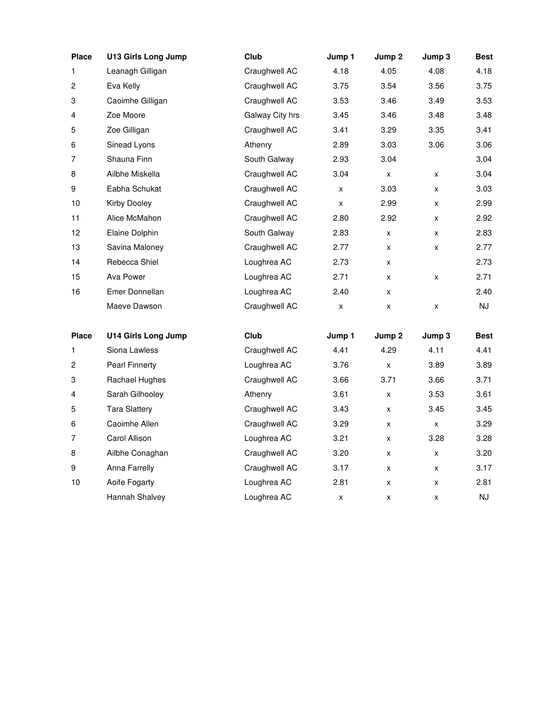| <b>Place</b>   | <b>U13 Girls Long Jump</b>              | Club            | Jump 1         | Jump 2         | Jump 3         | <b>Best</b>  |
|----------------|-----------------------------------------|-----------------|----------------|----------------|----------------|--------------|
| 1              | Leanagh Gilligan                        | Craughwell AC   | 4.18           | 4.05           | 4.08           | 4.18         |
| 2              | Eva Kelly                               | Craughwell AC   | 3.75           | 3.54           | 3.56           | 3.75         |
| 3              | Caoimhe Gilligan                        | Craughwell AC   | 3.53           | 3.46           | 3.49           | 3.53         |
| 4              | Zoe Moore                               | Galway City hrs | 3.45           | 3.46           | 3.48           | 3.48         |
| 5              | Zoe Gilligan                            | Craughwell AC   | 3.41           | 3.29           | 3.35           | 3.41         |
| 6              | Sinead Lyons                            | Athenry         | 2.89           | 3.03           | 3.06           | 3.06         |
| 7              | Shauna Finn                             | South Galway    | 2.93           | 3.04           |                | 3.04         |
| 8              | Ailbhe Miskella                         | Craughwell AC   | 3.04           | x              | X              | 3.04         |
| 9              | Eabha Schukat                           | Craughwell AC   | X              | 3.03           | X              | 3.03         |
| 10             | <b>Kirby Dooley</b>                     | Craughwell AC   | X              | 2.99           | x              | 2.99         |
| 11             | Alice McMahon                           | Craughwell AC   | 2.80           | 2.92           | X              | 2.92         |
| 12             | Elaine Dolphin                          | South Galway    | 2.83           | x              | X              | 2.83         |
| 13             | Savina Maloney                          | Craughwell AC   | 2.77           | x              | x              | 2.77         |
| 14             | Rebecca Shiel                           | Loughrea AC     | 2.73           | x              |                | 2.73         |
| 15             | Ava Power                               | Loughrea AC     | 2.71           | x              | X              | 2.71         |
| 16             | Emer Donnellan                          | Loughrea AC     | 2.40           | x              |                | 2.40         |
|                | Maeve Dawson                            | Craughwell AC   | $\pmb{\times}$ | x              | X              | NJ           |
| <b>Place</b>   | <b>U14 Girls Long Jump</b>              | Club            |                |                | Jump 3         | <b>Best</b>  |
| 1              | Siona Lawless                           | Craughwell AC   | Jump 1<br>4.41 | Jump 2<br>4.29 | 4.11           | 4.41         |
| $\overline{c}$ |                                         | Loughrea AC     |                |                |                |              |
|                | <b>Pearl Finnerty</b><br>Rachael Hughes | Craughwell AC   | 3.76<br>3.66   | x<br>3.71      | 3.89<br>3.66   | 3.89<br>3.71 |
| 3<br>4         | Sarah Gilhooley                         | Athenry         | 3.61           |                | 3.53           | 3.61         |
|                | <b>Tara Slattery</b>                    |                 |                | x              |                |              |
| 5              |                                         | Craughwell AC   | 3.43           | x              | 3.45           | 3.45         |
| 6              | Caoimhe Allen                           | Craughwell AC   | 3.29           | x              | $\pmb{\times}$ | 3.29         |
| 7              | Carol Allison                           | Loughrea AC     | 3.21           | x              | 3.28           | 3.28         |
| 8              | Ailbhe Conaghan                         | Craughwell AC   | 3.20           | x              | X              | 3.20         |
| 9              | Anna Farrelly                           | Craughwell AC   | 3.17           | x              | X              | 3.17         |
| 10             | Aoife Fogarty                           | Loughrea AC     | 2.81           | x              | X              | 2.81         |
|                | Hannah Shalvey                          | Loughrea AC     | x              | x              | x              | <b>NJ</b>    |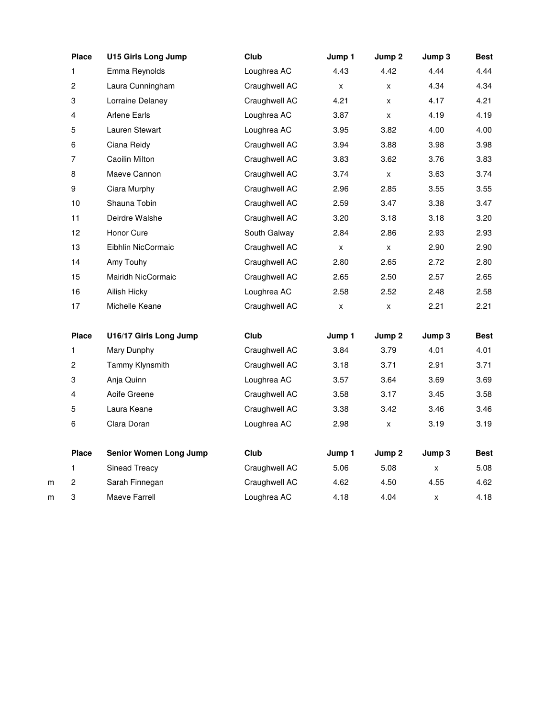|   | <b>Place</b>            | <b>U15 Girls Long Jump</b>    | Club          | Jump 1 | Jump 2         | Jump 3 | <b>Best</b> |
|---|-------------------------|-------------------------------|---------------|--------|----------------|--------|-------------|
|   | 1                       | Emma Reynolds                 | Loughrea AC   | 4.43   | 4.42           | 4.44   | 4.44        |
|   | $\overline{c}$          | Laura Cunningham              | Craughwell AC | x      | x              | 4.34   | 4.34        |
|   | 3                       | Lorraine Delaney              | Craughwell AC | 4.21   | X              | 4.17   | 4.21        |
|   | 4                       | <b>Arlene Earls</b>           | Loughrea AC   | 3.87   | X              | 4.19   | 4.19        |
|   | 5                       | Lauren Stewart                | Loughrea AC   | 3.95   | 3.82           | 4.00   | 4.00        |
|   | 6                       | Ciana Reidy                   | Craughwell AC | 3.94   | 3.88           | 3.98   | 3.98        |
|   | $\overline{7}$          | Caoilin Milton                | Craughwell AC | 3.83   | 3.62           | 3.76   | 3.83        |
|   | 8                       | Maeve Cannon                  | Craughwell AC | 3.74   | $\pmb{\times}$ | 3.63   | 3.74        |
|   | 9                       | Ciara Murphy                  | Craughwell AC | 2.96   | 2.85           | 3.55   | 3.55        |
|   | 10                      | Shauna Tobin                  | Craughwell AC | 2.59   | 3.47           | 3.38   | 3.47        |
|   | 11                      | Deirdre Walshe                | Craughwell AC | 3.20   | 3.18           | 3.18   | 3.20        |
|   | 12                      | Honor Cure                    | South Galway  | 2.84   | 2.86           | 2.93   | 2.93        |
|   | 13                      | Eibhlin NicCormaic            | Craughwell AC | X      | X              | 2.90   | 2.90        |
|   | 14                      | Amy Touhy                     | Craughwell AC | 2.80   | 2.65           | 2.72   | 2.80        |
|   | 15                      | Mairidh NicCormaic            | Craughwell AC | 2.65   | 2.50           | 2.57   | 2.65        |
|   | 16                      | Ailish Hicky                  | Loughrea AC   | 2.58   | 2.52           | 2.48   | 2.58        |
|   | 17                      | Michelle Keane                | Craughwell AC | X      | X              | 2.21   | 2.21        |
|   | <b>Place</b>            | U16/17 Girls Long Jump        | Club          | Jump 1 | Jump 2         | Jump 3 | <b>Best</b> |
|   | $\mathbf{1}$            | Mary Dunphy                   | Craughwell AC | 3.84   | 3.79           | 4.01   | 4.01        |
|   | $\overline{\mathbf{c}}$ | Tammy Klynsmith               | Craughwell AC | 3.18   | 3.71           | 2.91   | 3.71        |
|   | 3                       | Anja Quinn                    | Loughrea AC   | 3.57   | 3.64           | 3.69   | 3.69        |
|   | $\overline{\mathbf{4}}$ | Aoife Greene                  | Craughwell AC | 3.58   | 3.17           | 3.45   | 3.58        |
|   | 5                       | Laura Keane                   | Craughwell AC | 3.38   | 3.42           | 3.46   | 3.46        |
|   | 6                       | Clara Doran                   | Loughrea AC   | 2.98   | X              | 3.19   | 3.19        |
|   | <b>Place</b>            | <b>Senior Women Long Jump</b> | <b>Club</b>   | Jump 1 | Jump 2         | Jump 3 | <b>Best</b> |
|   | $\mathbf{1}$            | Sinead Treacy                 | Craughwell AC | 5.06   | 5.08           | X      | 5.08        |
| m | 2                       | Sarah Finnegan                | Craughwell AC | 4.62   | 4.50           | 4.55   | 4.62        |
| m | 3                       | Maeve Farrell                 | Loughrea AC   | 4.18   | 4.04           | X      | 4.18        |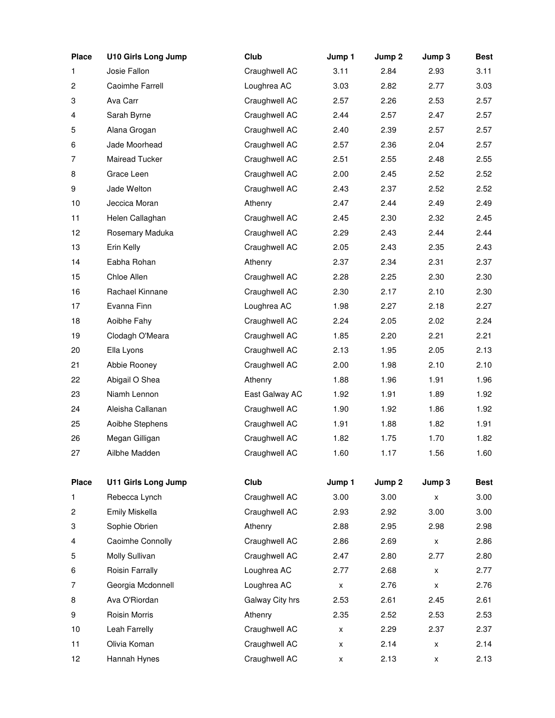| <b>Place</b>            | <b>U10 Girls Long Jump</b> | Club            | Jump 1 | Jump 2 | Jump 3 | <b>Best</b> |
|-------------------------|----------------------------|-----------------|--------|--------|--------|-------------|
| 1                       | Josie Fallon               | Craughwell AC   | 3.11   | 2.84   | 2.93   | 3.11        |
| $\overline{\mathbf{c}}$ | Caoimhe Farrell            | Loughrea AC     | 3.03   | 2.82   | 2.77   | 3.03        |
| 3                       | Ava Carr                   | Craughwell AC   | 2.57   | 2.26   | 2.53   | 2.57        |
| 4                       | Sarah Byrne                | Craughwell AC   | 2.44   | 2.57   | 2.47   | 2.57        |
| 5                       | Alana Grogan               | Craughwell AC   | 2.40   | 2.39   | 2.57   | 2.57        |
| 6                       | Jade Moorhead              | Craughwell AC   | 2.57   | 2.36   | 2.04   | 2.57        |
| 7                       | Mairead Tucker             | Craughwell AC   | 2.51   | 2.55   | 2.48   | 2.55        |
| 8                       | Grace Leen                 | Craughwell AC   | 2.00   | 2.45   | 2.52   | 2.52        |
| 9                       | Jade Welton                | Craughwell AC   | 2.43   | 2.37   | 2.52   | 2.52        |
| 10                      | Jeccica Moran              | Athenry         | 2.47   | 2.44   | 2.49   | 2.49        |
| 11                      | Helen Callaghan            | Craughwell AC   | 2.45   | 2.30   | 2.32   | 2.45        |
| 12                      | Rosemary Maduka            | Craughwell AC   | 2.29   | 2.43   | 2.44   | 2.44        |
| 13                      | Erin Kelly                 | Craughwell AC   | 2.05   | 2.43   | 2.35   | 2.43        |
| 14                      | Eabha Rohan                | Athenry         | 2.37   | 2.34   | 2.31   | 2.37        |
| 15                      | Chloe Allen                | Craughwell AC   | 2.28   | 2.25   | 2.30   | 2.30        |
| 16                      | Rachael Kinnane            | Craughwell AC   | 2.30   | 2.17   | 2.10   | 2.30        |
| 17                      | Evanna Finn                | Loughrea AC     | 1.98   | 2.27   | 2.18   | 2.27        |
| 18                      | Aoibhe Fahy                | Craughwell AC   | 2.24   | 2.05   | 2.02   | 2.24        |
| 19                      | Clodagh O'Meara            | Craughwell AC   | 1.85   | 2.20   | 2.21   | 2.21        |
| 20                      | Ella Lyons                 | Craughwell AC   | 2.13   | 1.95   | 2.05   | 2.13        |
| 21                      | Abbie Rooney               | Craughwell AC   | 2.00   | 1.98   | 2.10   | 2.10        |
| 22                      | Abigail O Shea             | Athenry         | 1.88   | 1.96   | 1.91   | 1.96        |
| 23                      | Niamh Lennon               | East Galway AC  | 1.92   | 1.91   | 1.89   | 1.92        |
| 24                      | Aleisha Callanan           | Craughwell AC   | 1.90   | 1.92   | 1.86   | 1.92        |
| 25                      | Aoibhe Stephens            | Craughwell AC   | 1.91   | 1.88   | 1.82   | 1.91        |
| 26                      | Megan Gilligan             | Craughwell AC   | 1.82   | 1.75   | 1.70   | 1.82        |
| 27                      | Ailbhe Madden              | Craughwell AC   | 1.60   | 1.17   | 1.56   | 1.60        |
| <b>Place</b>            | U11 Girls Long Jump        | Club            | Jump 1 | Jump 2 | Jump 3 | <b>Best</b> |
| 1                       | Rebecca Lynch              | Craughwell AC   | 3.00   | 3.00   | X      | 3.00        |
| $\overline{c}$          | Emily Miskella             | Craughwell AC   | 2.93   | 2.92   | 3.00   | 3.00        |
| 3                       | Sophie Obrien              | Athenry         | 2.88   | 2.95   | 2.98   | 2.98        |
| 4                       | Caoimhe Connolly           | Craughwell AC   | 2.86   | 2.69   | X      | 2.86        |
| 5                       | Molly Sullivan             | Craughwell AC   | 2.47   | 2.80   | 2.77   | 2.80        |
| 6                       | Roisin Farrally            | Loughrea AC     | 2.77   | 2.68   | X      | 2.77        |
| $\overline{7}$          | Georgia Mcdonnell          | Loughrea AC     | X      | 2.76   | X      | 2.76        |
| 8                       | Ava O'Riordan              | Galway City hrs | 2.53   | 2.61   | 2.45   | 2.61        |
| 9                       | Roisin Morris              | Athenry         | 2.35   | 2.52   | 2.53   | 2.53        |
| 10                      | Leah Farrelly              | Craughwell AC   | X      | 2.29   | 2.37   | 2.37        |
| 11                      | Olivia Koman               | Craughwell AC   | X      | 2.14   | X      | 2.14        |
| 12                      | Hannah Hynes               | Craughwell AC   | X      | 2.13   | x      | 2.13        |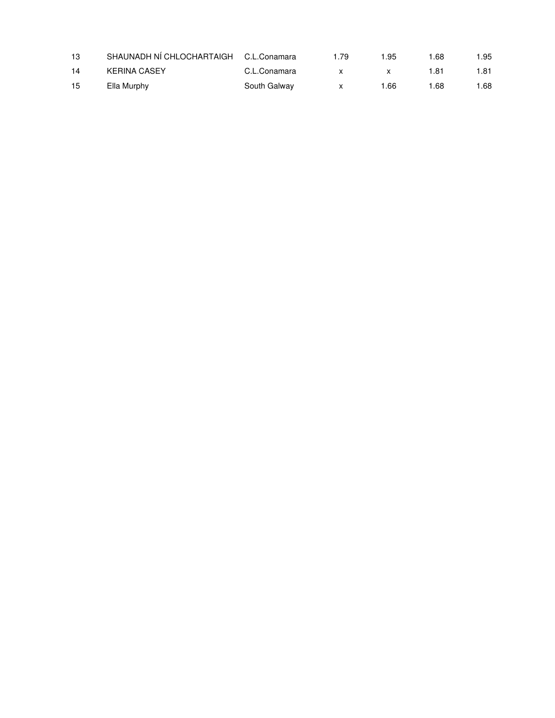| 13 | SHAUNADH NÍ CHLOCHARTAIGH C.L.Conamara |              | 1.79 | 1.95 | ∣.68 | 1.95 |
|----|----------------------------------------|--------------|------|------|------|------|
| 14 | <b>KERINA CASEY</b>                    | C.L.Conamara |      |      | 1.81 | 1.81 |
| 15 | Ella Murphy                            | South Galway |      | 1.66 | 1.68 | 1.68 |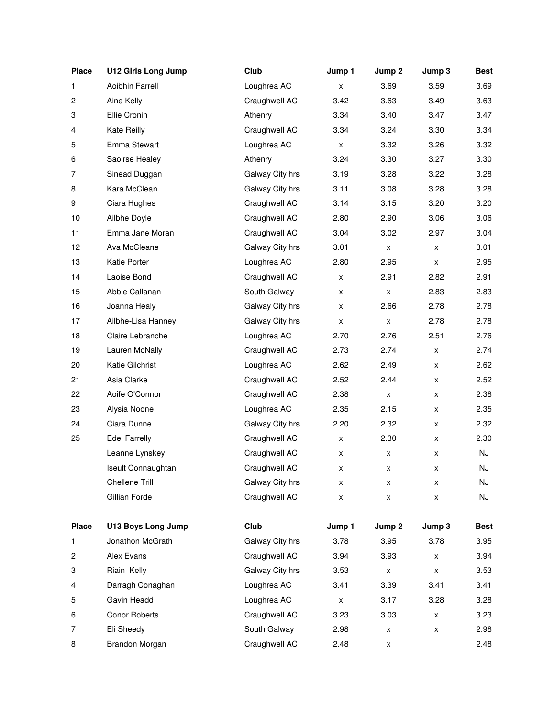| <b>Place</b> | <b>U12 Girls Long Jump</b> | Club            | Jump 1 | Jump 2             | Jump 3 | <b>Best</b> |
|--------------|----------------------------|-----------------|--------|--------------------|--------|-------------|
| 1            | Aoibhin Farrell            | Loughrea AC     | x      | 3.69               | 3.59   | 3.69        |
| 2            | Aine Kelly                 | Craughwell AC   | 3.42   | 3.63               | 3.49   | 3.63        |
| 3            | Ellie Cronin               | Athenry         | 3.34   | 3.40               | 3.47   | 3.47        |
| 4            | Kate Reilly                | Craughwell AC   | 3.34   | 3.24               | 3.30   | 3.34        |
| 5            | Emma Stewart               | Loughrea AC     | x      | 3.32               | 3.26   | 3.32        |
| 6            | Saoirse Healey             | Athenry         | 3.24   | 3.30               | 3.27   | 3.30        |
| 7            | Sinead Duggan              | Galway City hrs | 3.19   | 3.28               | 3.22   | 3.28        |
| 8            | Kara McClean               | Galway City hrs | 3.11   | 3.08               | 3.28   | 3.28        |
| 9            | Ciara Hughes               | Craughwell AC   | 3.14   | 3.15               | 3.20   | 3.20        |
| 10           | Ailbhe Doyle               | Craughwell AC   | 2.80   | 2.90               | 3.06   | 3.06        |
| 11           | Emma Jane Moran            | Craughwell AC   | 3.04   | 3.02               | 2.97   | 3.04        |
| 12           | Ava McCleane               | Galway City hrs | 3.01   | X                  | X      | 3.01        |
| 13           | Katie Porter               | Loughrea AC     | 2.80   | 2.95               | X      | 2.95        |
| 14           | Laoise Bond                | Craughwell AC   | X      | 2.91               | 2.82   | 2.91        |
| 15           | Abbie Callanan             | South Galway    | x      | $\pmb{\mathsf{x}}$ | 2.83   | 2.83        |
| 16           | Joanna Healy               | Galway City hrs | X      | 2.66               | 2.78   | 2.78        |
| 17           | Ailbhe-Lisa Hanney         | Galway City hrs | x      | $\pmb{\mathsf{x}}$ | 2.78   | 2.78        |
| 18           | Claire Lebranche           | Loughrea AC     | 2.70   | 2.76               | 2.51   | 2.76        |
| 19           | Lauren McNally             | Craughwell AC   | 2.73   | 2.74               | x      | 2.74        |
| 20           | Katie Gilchrist            | Loughrea AC     | 2.62   | 2.49               | x      | 2.62        |
| 21           | Asia Clarke                | Craughwell AC   | 2.52   | 2.44               | X      | 2.52        |
| 22           | Aoife O'Connor             | Craughwell AC   | 2.38   | X                  | X      | 2.38        |
| 23           | Alysia Noone               | Loughrea AC     | 2.35   | 2.15               | X      | 2.35        |
| 24           | Ciara Dunne                | Galway City hrs | 2.20   | 2.32               | X      | 2.32        |
| 25           | <b>Edel Farrelly</b>       | Craughwell AC   | X      | 2.30               | X      | 2.30        |
|              | Leanne Lynskey             | Craughwell AC   | x      | X                  | x      | <b>NJ</b>   |
|              | Iseult Connaughtan         | Craughwell AC   | x      | x                  | x      | NJ          |
|              | Chellene Trill             | Galway City hrs | x      | x                  | x      | NJ          |
|              | Gillian Forde              | Craughwell AC   | x      | X                  | X      | NJ          |
| <b>Place</b> | <b>U13 Boys Long Jump</b>  | Club            | Jump 1 | Jump 2             | Jump 3 | <b>Best</b> |
| 1            | Jonathon McGrath           | Galway City hrs | 3.78   | 3.95               | 3.78   | 3.95        |
| 2            | Alex Evans                 | Craughwell AC   | 3.94   | 3.93               | X      | 3.94        |
| 3            | Riain Kelly                | Galway City hrs | 3.53   | $\pmb{\mathsf{x}}$ | X      | 3.53        |
| 4            | Darragh Conaghan           | Loughrea AC     | 3.41   | 3.39               | 3.41   | 3.41        |
| 5            | Gavin Headd                | Loughrea AC     | X      | 3.17               | 3.28   | 3.28        |
| 6            | Conor Roberts              | Craughwell AC   | 3.23   | 3.03               | x      | 3.23        |
| 7            | Eli Sheedy                 | South Galway    | 2.98   | X                  | X      | 2.98        |
| 8            | Brandon Morgan             | Craughwell AC   | 2.48   | x                  |        | 2.48        |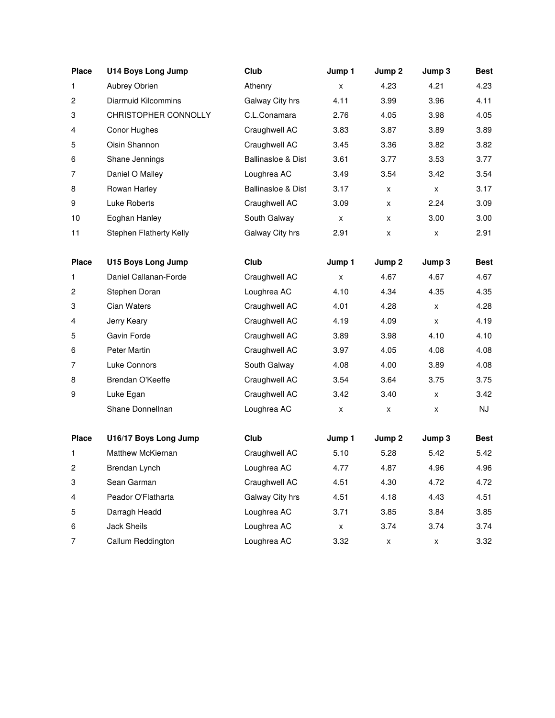| <b>Place</b>   | <b>U14 Boys Long Jump</b> | Club                          | Jump 1             | Jump 2 | Jump 3 | <b>Best</b> |
|----------------|---------------------------|-------------------------------|--------------------|--------|--------|-------------|
| 1              | Aubrey Obrien             | Athenry                       | x                  | 4.23   | 4.21   | 4.23        |
| 2              | Diarmuid Kilcommins       | Galway City hrs               | 4.11               | 3.99   | 3.96   | 4.11        |
| 3              | CHRISTOPHER CONNOLLY      | C.L.Conamara                  | 2.76               | 4.05   | 3.98   | 4.05        |
| 4              | Conor Hughes              | Craughwell AC                 | 3.83               | 3.87   | 3.89   | 3.89        |
| 5              | Oisin Shannon             | Craughwell AC                 | 3.45               | 3.36   | 3.82   | 3.82        |
| 6              | Shane Jennings            | <b>Ballinasloe &amp; Dist</b> | 3.61               | 3.77   | 3.53   | 3.77        |
| $\overline{7}$ | Daniel O Malley           | Loughrea AC                   | 3.49               | 3.54   | 3.42   | 3.54        |
| 8              | Rowan Harley              | Ballinasloe & Dist            | 3.17               | X      | X      | 3.17        |
| 9              | Luke Roberts              | Craughwell AC                 | 3.09               | X      | 2.24   | 3.09        |
| 10             | Eoghan Hanley             | South Galway                  | x                  | X      | 3.00   | 3.00        |
| 11             | Stephen Flatherty Kelly   | Galway City hrs               | 2.91               | X      | x      | 2.91        |
|                |                           |                               |                    |        |        |             |
| <b>Place</b>   | <b>U15 Boys Long Jump</b> | Club                          | Jump 1             | Jump 2 | Jump 3 | <b>Best</b> |
| 1              | Daniel Callanan-Forde     | Craughwell AC                 | x                  | 4.67   | 4.67   | 4.67        |
| 2              | Stephen Doran             | Loughrea AC                   | 4.10               | 4.34   | 4.35   | 4.35        |
| 3              | Cian Waters               | Craughwell AC                 | 4.01               | 4.28   | x      | 4.28        |
| 4              | Jerry Keary               | Craughwell AC                 | 4.19               | 4.09   | x      | 4.19        |
| 5              | Gavin Forde               | Craughwell AC                 | 3.89               | 3.98   | 4.10   | 4.10        |
| 6              | Peter Martin              | Craughwell AC                 | 3.97               | 4.05   | 4.08   | 4.08        |
| 7              | Luke Connors              | South Galway                  | 4.08               | 4.00   | 3.89   | 4.08        |
| 8              | Brendan O'Keeffe          | Craughwell AC                 | 3.54               | 3.64   | 3.75   | 3.75        |
| 9              | Luke Egan                 | Craughwell AC                 | 3.42               | 3.40   | x      | 3.42        |
|                | Shane Donnellnan          | Loughrea AC                   | x                  | X      | x      | NJ          |
|                |                           |                               |                    |        |        |             |
| <b>Place</b>   | U16/17 Boys Long Jump     | Club                          | Jump 1             | Jump 2 | Jump 3 | <b>Best</b> |
| 1              | Matthew McKiernan         | Craughwell AC                 | 5.10               | 5.28   | 5.42   | 5.42        |
| 2              | Brendan Lynch             | Loughrea AC                   | 4.77               | 4.87   | 4.96   | 4.96        |
| 3              | Sean Garman               | Craughwell AC                 | 4.51               | 4.30   | 4.72   | 4.72        |
| 4              | Peador O'Flatharta        | Galway City hrs               | 4.51               | 4.18   | 4.43   | 4.51        |
| 5              | Darragh Headd             | Loughrea AC                   | 3.71               | 3.85   | 3.84   | 3.85        |
| 6              | Jack Sheils               | Loughrea AC                   | $\pmb{\mathsf{x}}$ | 3.74   | 3.74   | 3.74        |
| 7              | Callum Reddington         | Loughrea AC                   | 3.32               | X      | X      | 3.32        |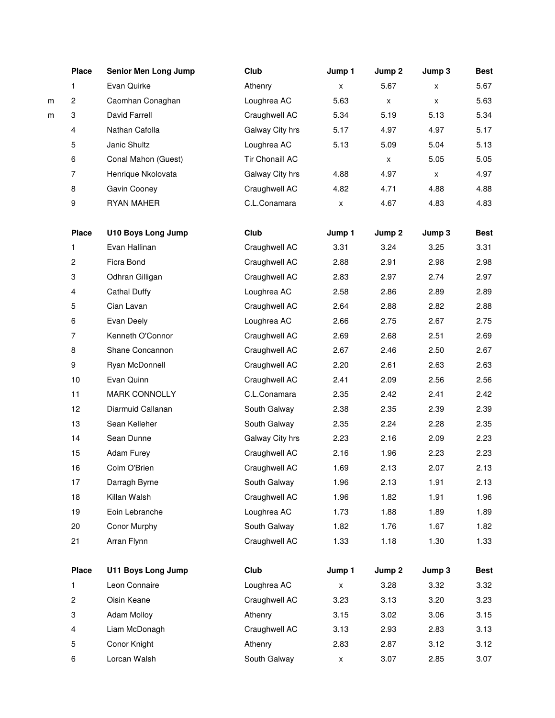|   | <b>Place</b>            | <b>Senior Men Long Jump</b> | Club                   | Jump 1             | Jump 2             | Jump 3 | <b>Best</b> |
|---|-------------------------|-----------------------------|------------------------|--------------------|--------------------|--------|-------------|
|   | 1                       | Evan Quirke                 | Athenry                | x                  | 5.67               | x      | 5.67        |
| m | 2                       | Caomhan Conaghan            | Loughrea AC            | 5.63               | $\pmb{\mathsf{x}}$ | X      | 5.63        |
| m | 3                       | David Farrell               | Craughwell AC          | 5.34               | 5.19               | 5.13   | 5.34        |
|   | 4                       | Nathan Cafolla              | Galway City hrs        | 5.17               | 4.97               | 4.97   | 5.17        |
|   | 5                       | Janic Shultz                | Loughrea AC            | 5.13               | 5.09               | 5.04   | 5.13        |
|   | 6                       | Conal Mahon (Guest)         | <b>Tir Chonaill AC</b> |                    | X                  | 5.05   | 5.05        |
|   | 7                       | Henrique Nkolovata          | Galway City hrs        | 4.88               | 4.97               | X      | 4.97        |
|   | 8                       | Gavin Cooney                | Craughwell AC          | 4.82               | 4.71               | 4.88   | 4.88        |
|   | 9                       | RYAN MAHER                  | C.L.Conamara           | x                  | 4.67               | 4.83   | 4.83        |
|   | <b>Place</b>            | <b>U10 Boys Long Jump</b>   | Club                   | Jump 1             | Jump 2             | Jump 3 | <b>Best</b> |
|   | 1                       | Evan Hallinan               | Craughwell AC          | 3.31               | 3.24               | 3.25   | 3.31        |
|   | $\mathbf{2}$            | Ficra Bond                  | Craughwell AC          | 2.88               | 2.91               | 2.98   | 2.98        |
|   | 3                       | Odhran Gilligan             | Craughwell AC          | 2.83               | 2.97               | 2.74   | 2.97        |
|   | 4                       | <b>Cathal Duffy</b>         | Loughrea AC            | 2.58               | 2.86               | 2.89   | 2.89        |
|   | 5                       | Cian Lavan                  | Craughwell AC          | 2.64               | 2.88               | 2.82   | 2.88        |
|   | 6                       | Evan Deely                  | Loughrea AC            | 2.66               | 2.75               | 2.67   | 2.75        |
|   | $\overline{7}$          | Kenneth O'Connor            | Craughwell AC          | 2.69               | 2.68               | 2.51   | 2.69        |
|   | 8                       | Shane Concannon             | Craughwell AC          | 2.67               | 2.46               | 2.50   | 2.67        |
|   | 9                       | Ryan McDonnell              | Craughwell AC          | 2.20               | 2.61               | 2.63   | 2.63        |
|   | 10                      | Evan Quinn                  | Craughwell AC          | 2.41               | 2.09               | 2.56   | 2.56        |
|   | 11                      | <b>MARK CONNOLLY</b>        | C.L.Conamara           | 2.35               | 2.42               | 2.41   | 2.42        |
|   | 12                      | Diarmuid Callanan           | South Galway           | 2.38               | 2.35               | 2.39   | 2.39        |
|   | 13                      | Sean Kelleher               | South Galway           | 2.35               | 2.24               | 2.28   | 2.35        |
|   | 14                      | Sean Dunne                  | Galway City hrs        | 2.23               | 2.16               | 2.09   | 2.23        |
|   | 15                      | <b>Adam Furey</b>           | Craughwell AC          | 2.16               | 1.96               | 2.23   | 2.23        |
|   | 16                      | Colm O'Brien                | Craughwell AC          | 1.69               | 2.13               | 2.07   | 2.13        |
|   | 17                      | Darragh Byrne               | South Galway           | 1.96               | 2.13               | 1.91   | 2.13        |
|   | 18                      | Killan Walsh                | Craughwell AC          | 1.96               | 1.82               | 1.91   | 1.96        |
|   | 19                      | Eoin Lebranche              | Loughrea AC            | 1.73               | 1.88               | 1.89   | 1.89        |
|   | 20                      | Conor Murphy                | South Galway           | 1.82               | 1.76               | 1.67   | 1.82        |
|   | 21                      | Arran Flynn                 | Craughwell AC          | 1.33               | 1.18               | 1.30   | 1.33        |
|   | <b>Place</b>            | U11 Boys Long Jump          | Club                   | Jump 1             | Jump 2             | Jump 3 | <b>Best</b> |
|   | 1                       | Leon Connaire               | Loughrea AC            | $\pmb{\mathsf{X}}$ | 3.28               | 3.32   | 3.32        |
|   | $\overline{\mathbf{c}}$ | Oisin Keane                 | Craughwell AC          | 3.23               | 3.13               | 3.20   | 3.23        |
|   | 3                       | <b>Adam Molloy</b>          | Athenry                | 3.15               | 3.02               | 3.06   | 3.15        |
|   | $\overline{\mathbf{4}}$ | Liam McDonagh               | Craughwell AC          | 3.13               | 2.93               | 2.83   | 3.13        |
|   | 5                       | Conor Knight                | Athenry                | 2.83               | 2.87               | 3.12   | 3.12        |
|   | 6                       | Lorcan Walsh                | South Galway           | X                  | 3.07               | 2.85   | 3.07        |
|   |                         |                             |                        |                    |                    |        |             |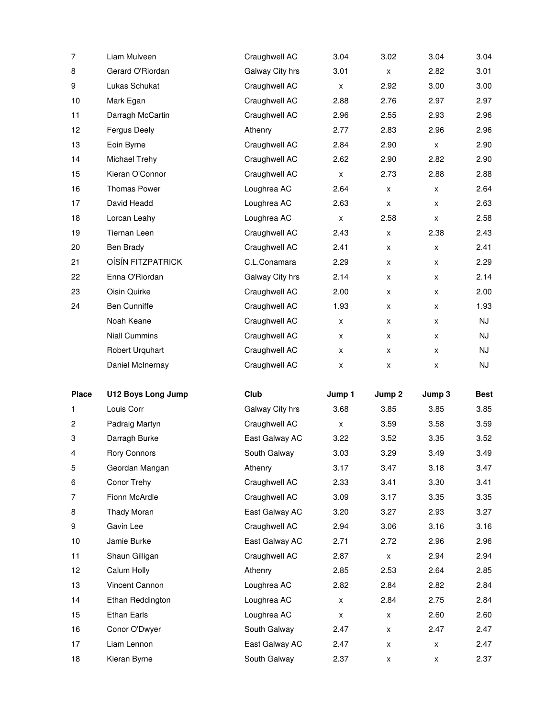| $\overline{7}$ | Liam Mulveen              | Craughwell AC   | 3.04               | 3.02               | 3.04   | 3.04        |
|----------------|---------------------------|-----------------|--------------------|--------------------|--------|-------------|
| 8              | Gerard O'Riordan          | Galway City hrs | 3.01               | X                  | 2.82   | 3.01        |
| 9              | Lukas Schukat             | Craughwell AC   | X                  | 2.92               | 3.00   | 3.00        |
| 10             | Mark Egan                 | Craughwell AC   | 2.88               | 2.76               | 2.97   | 2.97        |
| 11             | Darragh McCartin          | Craughwell AC   | 2.96               | 2.55               | 2.93   | 2.96        |
| 12             | Fergus Deely              | Athenry         | 2.77               | 2.83               | 2.96   | 2.96        |
| 13             | Eoin Byrne                | Craughwell AC   | 2.84               | 2.90               | X      | 2.90        |
| 14             | Michael Trehy             | Craughwell AC   | 2.62               | 2.90               | 2.82   | 2.90        |
| 15             | Kieran O'Connor           | Craughwell AC   | X                  | 2.73               | 2.88   | 2.88        |
| 16             | <b>Thomas Power</b>       | Loughrea AC     | 2.64               | X                  | X      | 2.64        |
| 17             | David Headd               | Loughrea AC     | 2.63               | X                  | X      | 2.63        |
| 18             | Lorcan Leahy              | Loughrea AC     | $\pmb{\mathsf{x}}$ | 2.58               | X      | 2.58        |
| 19             | <b>Tiernan Leen</b>       | Craughwell AC   | 2.43               | X                  | 2.38   | 2.43        |
| 20             | <b>Ben Brady</b>          | Craughwell AC   | 2.41               | X                  | X      | 2.41        |
| 21             | <b>OÍSÍN FITZPATRICK</b>  | C.L.Conamara    | 2.29               | x                  | X      | 2.29        |
| 22             | Enna O'Riordan            | Galway City hrs | 2.14               | x                  | x      | 2.14        |
| 23             | Oisin Quirke              | Craughwell AC   | 2.00               | x                  | X      | 2.00        |
| 24             | Ben Cunniffe              | Craughwell AC   | 1.93               | x                  | X      | 1.93        |
|                | Noah Keane                | Craughwell AC   | X                  | X                  | X      | NJ          |
|                | <b>Niall Cummins</b>      | Craughwell AC   | X                  | X                  | X      | NJ          |
|                | Robert Urquhart           | Craughwell AC   | x                  | x                  | X      | NJ          |
|                |                           |                 |                    |                    |        |             |
|                | Daniel McInernay          | Craughwell AC   | x                  | x                  | x      | NJ          |
| <b>Place</b>   | <b>U12 Boys Long Jump</b> | Club            | Jump 1             | Jump 2             | Jump 3 | <b>Best</b> |
| 1              | Louis Corr                | Galway City hrs | 3.68               | 3.85               | 3.85   | 3.85        |
| $\overline{c}$ | Padraig Martyn            | Craughwell AC   | X                  | 3.59               | 3.58   | 3.59        |
| 3              | Darragh Burke             | East Galway AC  | 3.22               | 3.52               | 3.35   | 3.52        |
| 4              | <b>Rory Connors</b>       | South Galway    | 3.03               | 3.29               | 3.49   | 3.49        |
| 5              | Geordan Mangan            | Athenry         | 3.17               | 3.47               | 3.18   | 3.47        |
| 6              | Conor Trehy               | Craughwell AC   | 2.33               | 3.41               | 3.30   | 3.41        |
| 7              | Fionn McArdle             | Craughwell AC   | 3.09               | 3.17               | 3.35   | 3.35        |
| 8              | Thady Moran               | East Galway AC  | 3.20               | 3.27               | 2.93   | 3.27        |
| 9              | Gavin Lee                 | Craughwell AC   | 2.94               | 3.06               | 3.16   | 3.16        |
| 10             | Jamie Burke               | East Galway AC  | 2.71               | 2.72               | 2.96   | 2.96        |
| 11             | Shaun Gilligan            | Craughwell AC   | 2.87               | $\pmb{\mathsf{x}}$ | 2.94   | 2.94        |
| 12             | Calum Holly               | Athenry         | 2.85               | 2.53               | 2.64   | 2.85        |
| 13             | Vincent Cannon            | Loughrea AC     | 2.82               | 2.84               | 2.82   | 2.84        |
| 14             | Ethan Reddington          | Loughrea AC     | X                  | 2.84               | 2.75   | 2.84        |
| 15             | Ethan Earls               | Loughrea AC     | $\pmb{\mathsf{x}}$ | X                  | 2.60   | 2.60        |
| 16             | Conor O'Dwyer             | South Galway    | 2.47               | X                  | 2.47   | 2.47        |
| 17             | Liam Lennon               | East Galway AC  | 2.47               | x                  | X      | 2.47        |